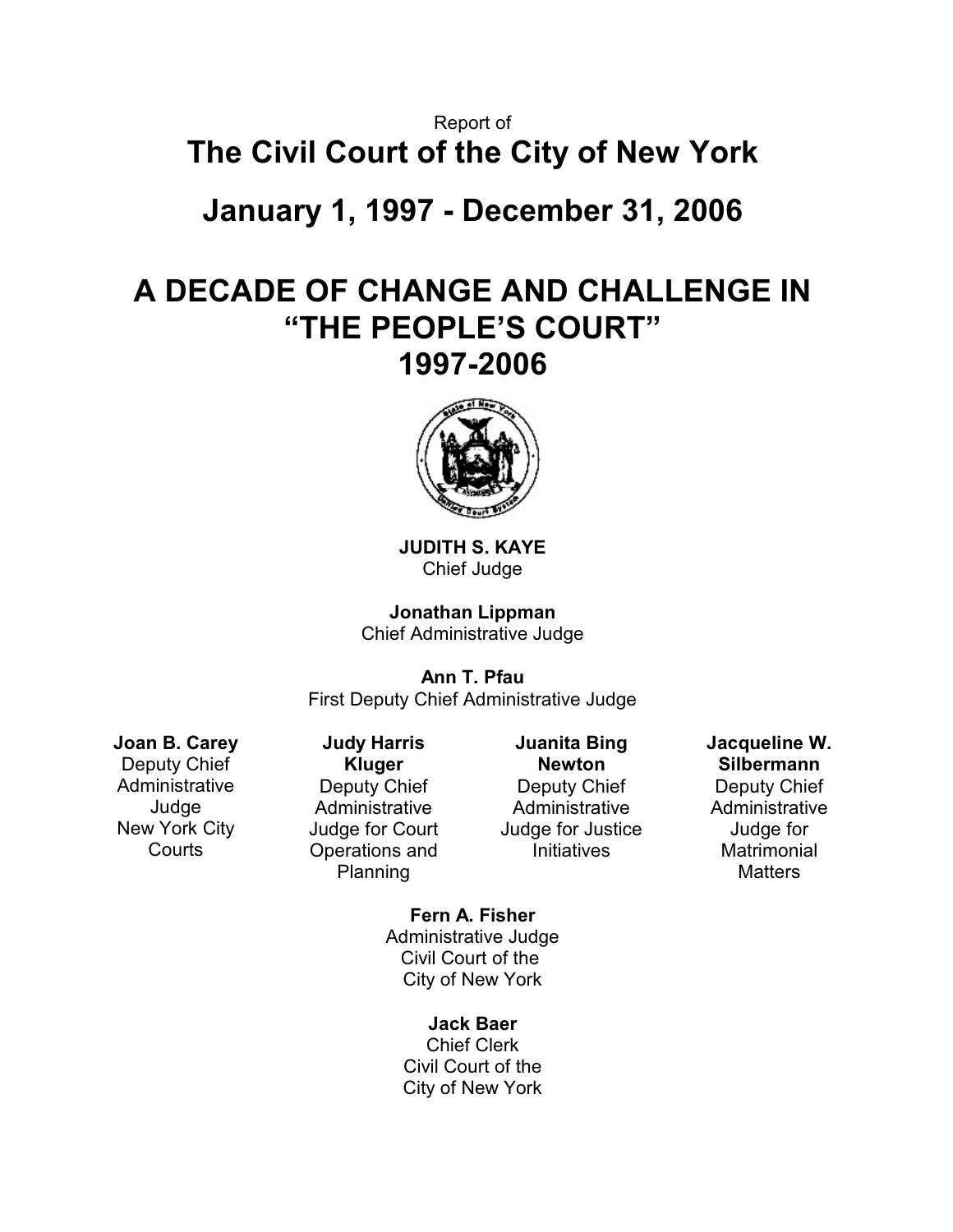# Report of **The Civil Court of the City of New York**

**January 1, 1997 - December 31, 2006**

# **A DECADE OF CHANGE AND CHALLENGE IN "THE PEOPLE'S COURT" 1997-2006**



**JUDITH S. KAYE** Chief Judge

**Jonathan Lippman** Chief Administrative Judge

**Ann T. Pfau** First Deputy Chief Administrative Judge

**Joan B. Carey** Deputy Chief **Administrative** Judge New York City **Courts** 

**Judy Harris Kluger** Deputy Chief **Administrative** Judge for Court Operations and Planning

**Juanita Bing Newton** Deputy Chief Administrative Judge for Justice **Initiatives** 

**Jacqueline W. Silbermann** Deputy Chief Administrative Judge for **Matrimonial Matters** 

**Fern A. Fisher** Administrative Judge Civil Court of the City of New York

> **Jack Baer** Chief Clerk Civil Court of the City of New York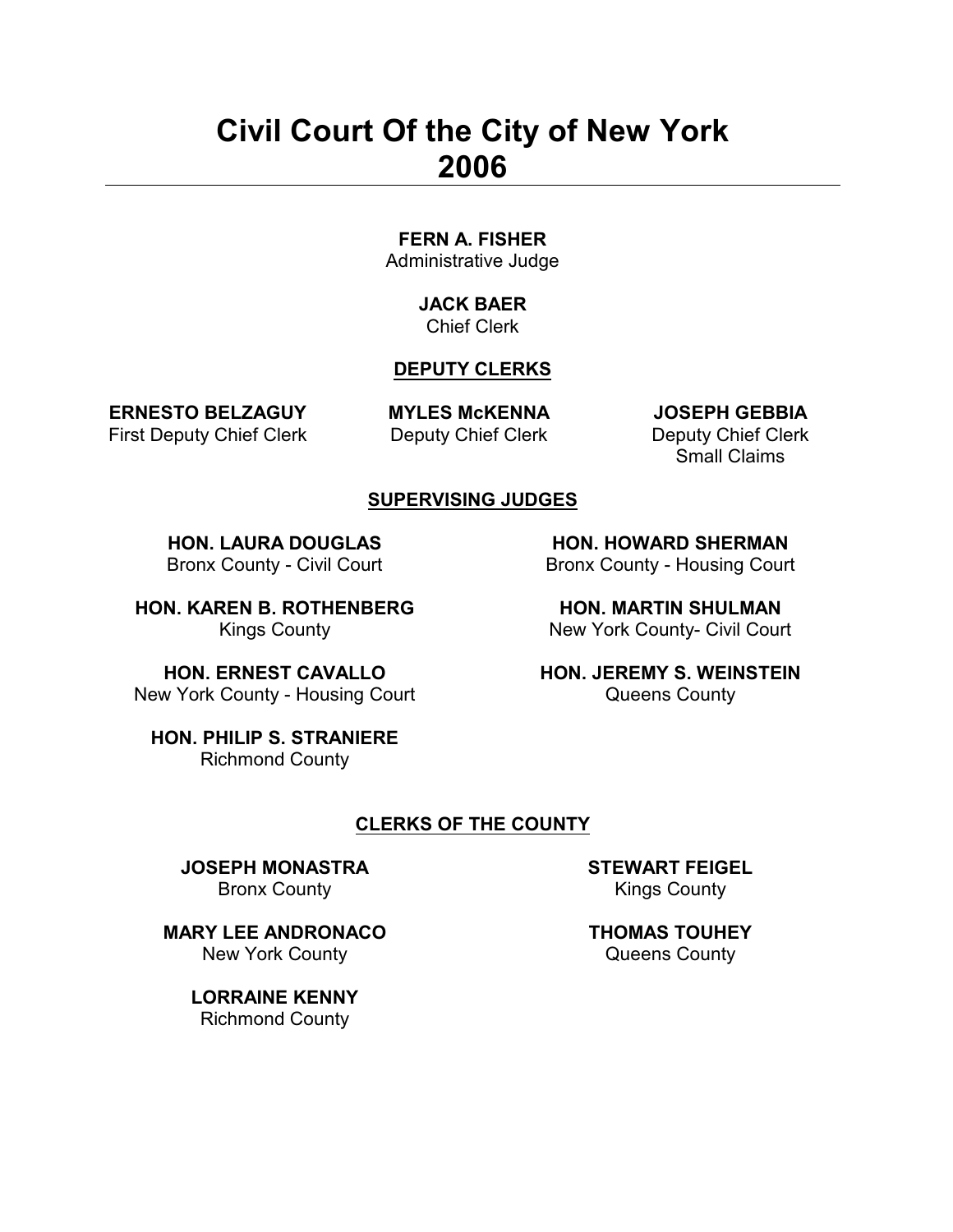# **Civil Court Of the City of New York 2006**

# **FERN A. FISHER**

Administrative Judge

#### **JACK BAER** Chief Clerk

## **DEPUTY CLERKS**

**ERNESTO BELZAGUY** First Deputy Chief Clerk **MYLES McKENNA** Deputy Chief Clerk

**JOSEPH GEBBIA** Deputy Chief Clerk Small Claims

#### **SUPERVISING JUDGES**

**HON. LAURA DOUGLAS** Bronx County - Civil Court

**HON. HOWARD SHERMAN** Bronx County - Housing Court

**HON. KAREN B. ROTHENBERG** Kings County

**HON. MARTIN SHULMAN** New York County- Civil Court

**HON. JEREMY S. WEINSTEIN** Queens County

**HON. ERNEST CAVALLO** New York County - Housing Court

**HON. PHILIP S. STRANIERE** Richmond County

#### **CLERKS OF THE COUNTY**

**JOSEPH MONASTRA** Bronx County

**MARY LEE ANDRONACO** New York County

> **LORRAINE KENNY** Richmond County

**STEWART FEIGEL** Kings County

**THOMAS TOUHEY** Queens County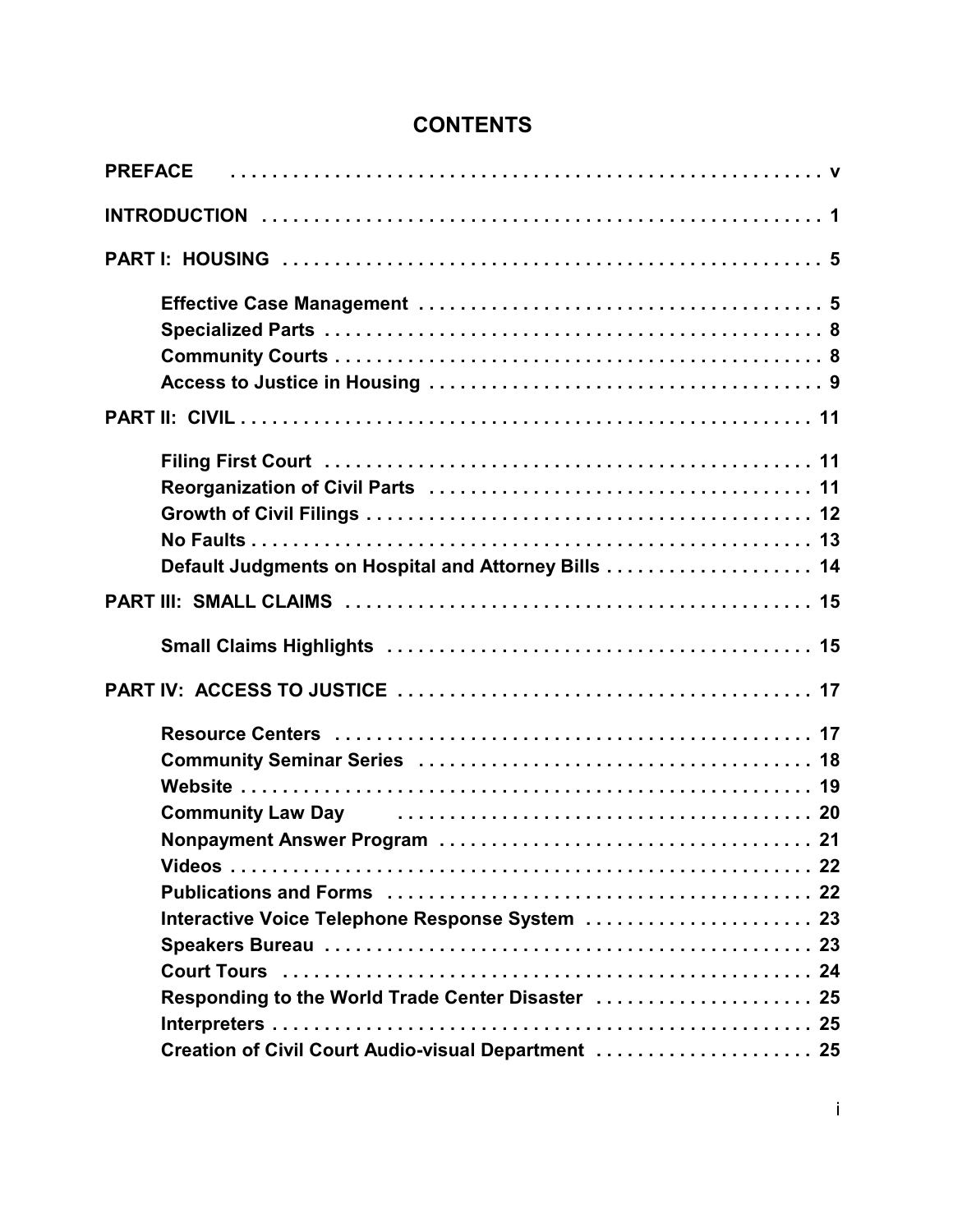# **CONTENTS**

| <b>PREFACE</b>                                      |
|-----------------------------------------------------|
|                                                     |
|                                                     |
|                                                     |
|                                                     |
|                                                     |
|                                                     |
|                                                     |
|                                                     |
|                                                     |
|                                                     |
|                                                     |
|                                                     |
|                                                     |
|                                                     |
|                                                     |
|                                                     |
| Community Law Day Community Law Day                 |
|                                                     |
|                                                     |
| Interactive Voice Telephone Response System  23     |
|                                                     |
|                                                     |
| Responding to the World Trade Center Disaster  25   |
|                                                     |
| Creation of Civil Court Audio-visual Department  25 |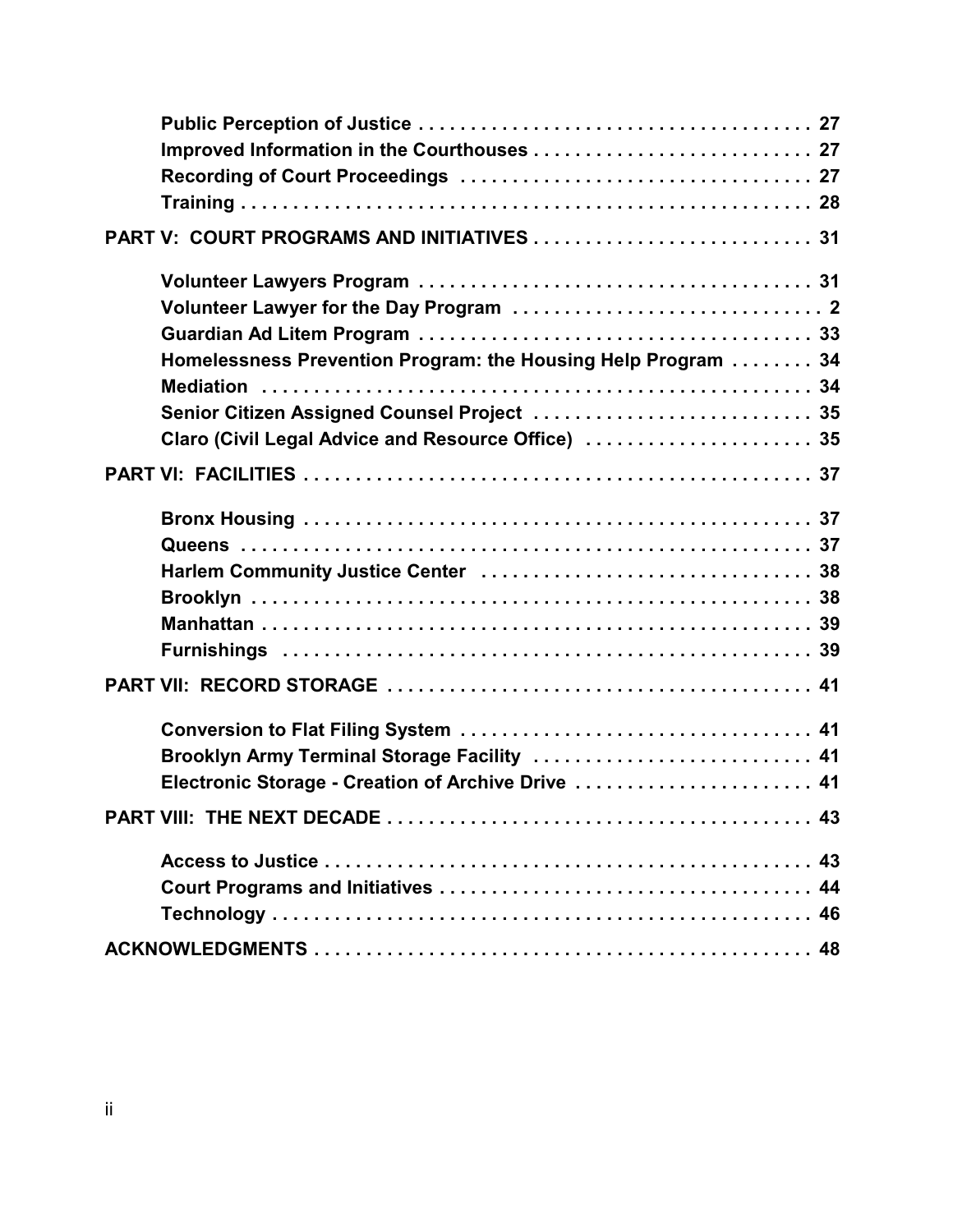| Homelessness Prevention Program: the Housing Help Program  34 |  |
|---------------------------------------------------------------|--|
|                                                               |  |
| Senior Citizen Assigned Counsel Project  35                   |  |
| Claro (Civil Legal Advice and Resource Office)  35            |  |
|                                                               |  |
|                                                               |  |
|                                                               |  |
|                                                               |  |
|                                                               |  |
|                                                               |  |
|                                                               |  |
|                                                               |  |
|                                                               |  |
| Brooklyn Army Terminal Storage Facility  41                   |  |
| Electronic Storage - Creation of Archive Drive  41            |  |
|                                                               |  |
|                                                               |  |
|                                                               |  |
|                                                               |  |
|                                                               |  |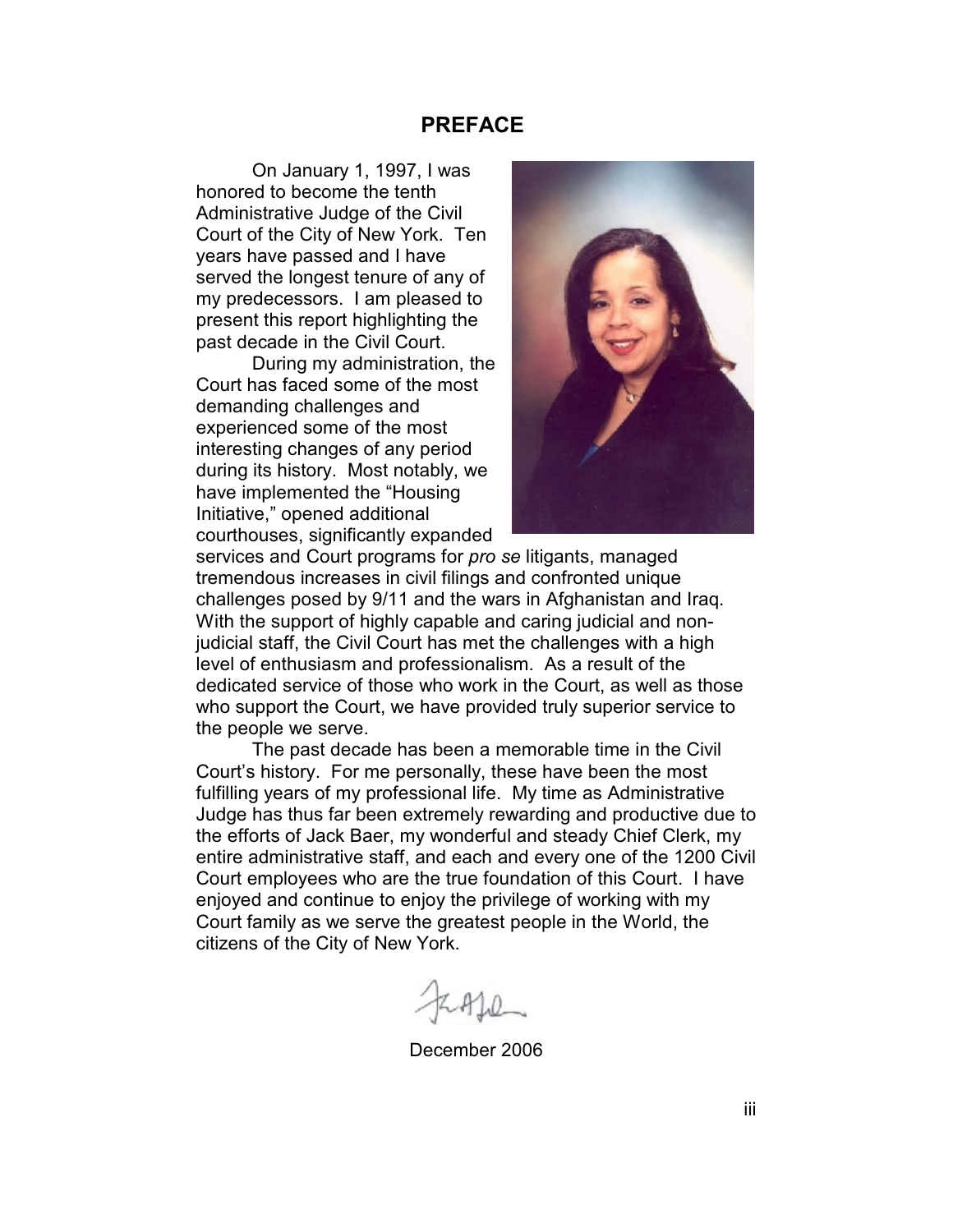#### **PREFACE**

On January 1, 1997, I was honored to become the tenth Administrative Judge of the Civil Court of the City of New York. Ten years have passed and I have served the longest tenure of any of my predecessors. I am pleased to present this report highlighting the past decade in the Civil Court.

During my administration, the Court has faced some of the most demanding challenges and experienced some of the most interesting changes of any period during its history. Most notably, we have implemented the "Housing Initiative," opened additional courthouses, significantly expanded



services and Court programs for *pro se* litigants, managed tremendous increases in civil filings and confronted unique challenges posed by 9/11 and the wars in Afghanistan and Iraq. With the support of highly capable and caring judicial and nonjudicial staff, the Civil Court has met the challenges with a high level of enthusiasm and professionalism. As a result of the dedicated service of those who work in the Court, as well as those who support the Court, we have provided truly superior service to the people we serve.

The past decade has been a memorable time in the Civil Court's history. For me personally, these have been the most fulfilling years of my professional life. My time as Administrative Judge has thus far been extremely rewarding and productive due to the efforts of Jack Baer, my wonderful and steady Chief Clerk, my entire administrative staff, and each and every one of the 1200 Civil Court employees who are the true foundation of this Court. I have enjoyed and continue to enjoy the privilege of working with my Court family as we serve the greatest people in the World, the citizens of the City of New York.

December 2006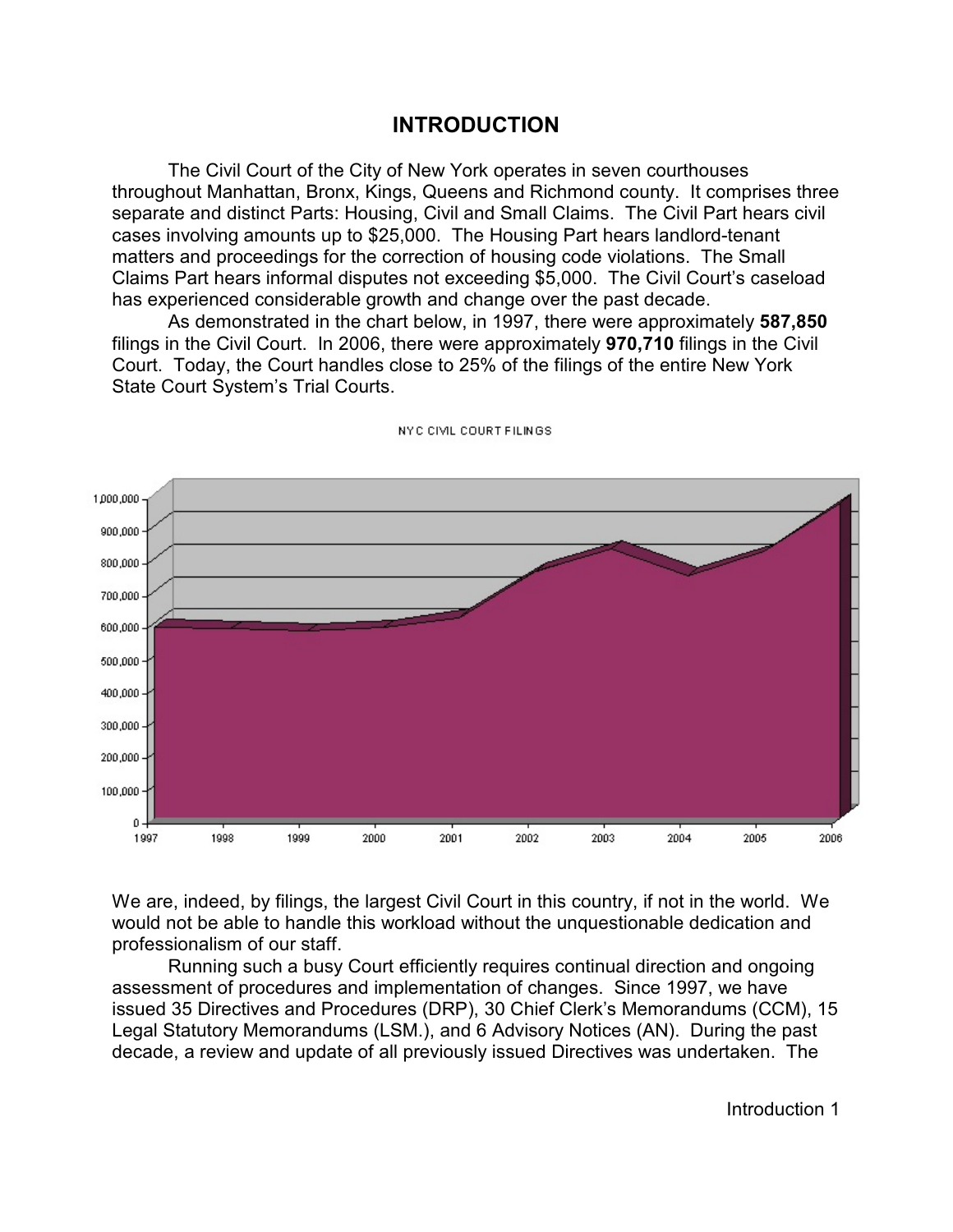## **INTRODUCTION**

The Civil Court of the City of New York operates in seven courthouses throughout Manhattan, Bronx, Kings, Queens and Richmond county. It comprises three separate and distinct Parts: Housing, Civil and Small Claims. The Civil Part hears civil cases involving amounts up to \$25,000. The Housing Part hears landlord-tenant matters and proceedings for the correction of housing code violations. The Small Claims Part hears informal disputes not exceeding \$5,000. The Civil Court's caseload has experienced considerable growth and change over the past decade.

As demonstrated in the chart below, in 1997, there were approximately **587,850** filings in the Civil Court. In 2006, there were approximately **970,710** filings in the Civil Court. Today, the Court handles close to 25% of the filings of the entire New York State Court System's Trial Courts.



NYC CIVIL COURT FILINGS

We are, indeed, by filings, the largest Civil Court in this country, if not in the world. We would not be able to handle this workload without the unquestionable dedication and professionalism of our staff.

Running such a busy Court efficiently requires continual direction and ongoing assessment of procedures and implementation of changes. Since 1997, we have issued 35 Directives and Procedures (DRP), 30 Chief Clerk's Memorandums (CCM), 15 Legal Statutory Memorandums (LSM.), and 6 Advisory Notices (AN). During the past decade, a review and update of all previously issued Directives was undertaken. The

Introduction 1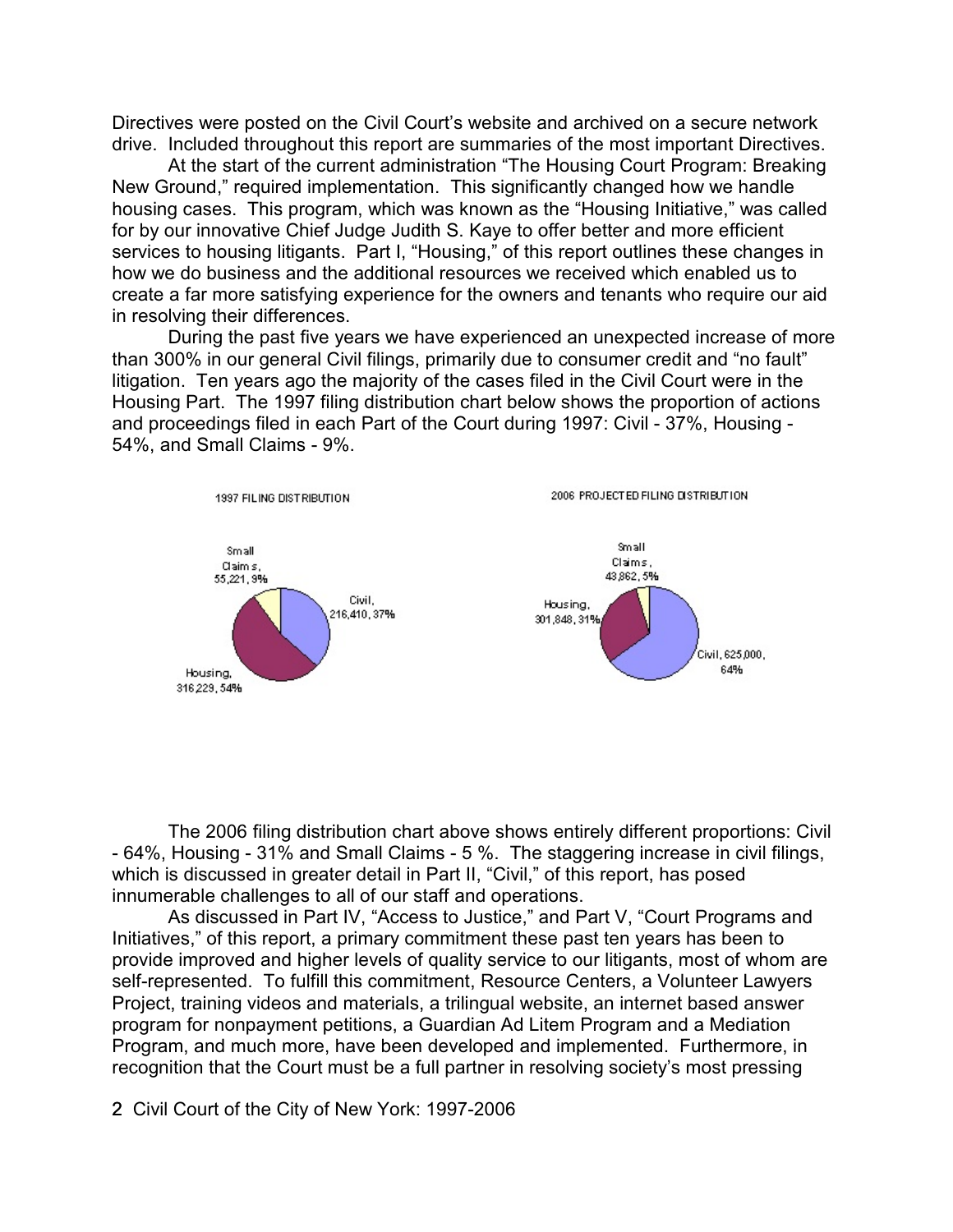Directives were posted on the Civil Court's website and archived on a secure network drive. Included throughout this report are summaries of the most important Directives.

At the start of the current administration "The Housing Court Program: Breaking New Ground," required implementation. This significantly changed how we handle housing cases. This program, which was known as the "Housing Initiative," was called for by our innovative Chief Judge Judith S. Kaye to offer better and more efficient services to housing litigants. Part I, "Housing," of this report outlines these changes in how we do business and the additional resources we received which enabled us to create a far more satisfying experience for the owners and tenants who require our aid in resolving their differences.

During the past five years we have experienced an unexpected increase of more than 300% in our general Civil filings, primarily due to consumer credit and "no fault" litigation. Ten years ago the majority of the cases filed in the Civil Court were in the Housing Part. The 1997 filing distribution chart below shows the proportion of actions and proceedings filed in each Part of the Court during 1997: Civil - 37%, Housing - 54%, and Small Claims - 9%.



The 2006 filing distribution chart above shows entirely different proportions: Civil - 64%, Housing - 31% and Small Claims - 5 %. The staggering increase in civil filings, which is discussed in greater detail in Part II, "Civil," of this report, has posed innumerable challenges to all of our staff and operations.

As discussed in Part IV, "Access to Justice," and Part V, "Court Programs and Initiatives," of this report, a primary commitment these past ten years has been to provide improved and higher levels of quality service to our litigants, most of whom are self-represented. To fulfill this commitment, Resource Centers, a Volunteer Lawyers Project, training videos and materials, a trilingual website, an internet based answer program for nonpayment petitions, a Guardian Ad Litem Program and a Mediation Program, and much more, have been developed and implemented. Furthermore, in recognition that the Court must be a full partner in resolving society's most pressing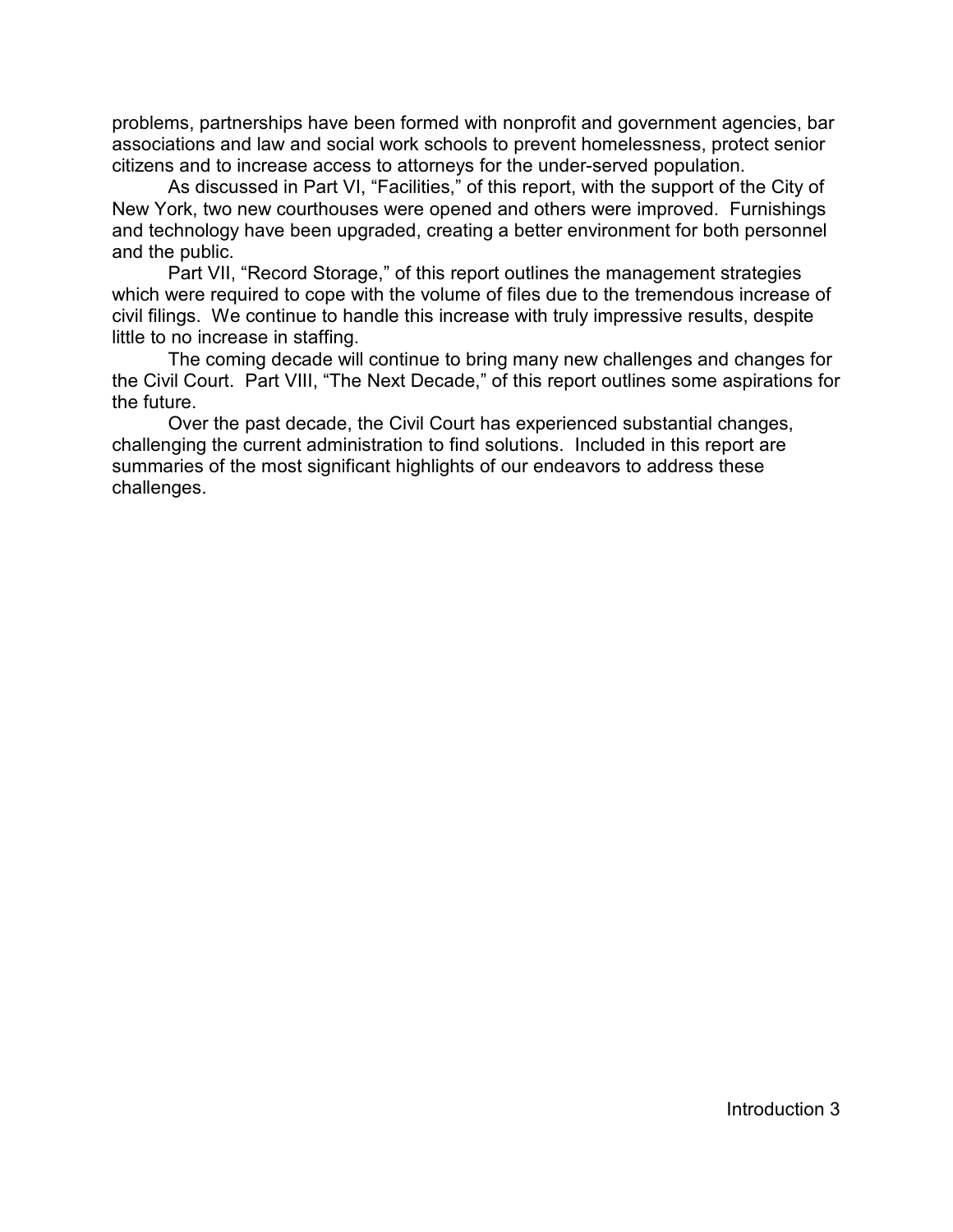problems, partnerships have been formed with nonprofit and government agencies, bar associations and law and social work schools to prevent homelessness, protect senior citizens and to increase access to attorneys for the under-served population.

As discussed in Part VI, "Facilities," of this report, with the support of the City of New York, two new courthouses were opened and others were improved. Furnishings and technology have been upgraded, creating a better environment for both personnel and the public.

Part VII, "Record Storage," of this report outlines the management strategies which were required to cope with the volume of files due to the tremendous increase of civil filings. We continue to handle this increase with truly impressive results, despite little to no increase in staffing.

The coming decade will continue to bring many new challenges and changes for the Civil Court. Part VIII, "The Next Decade," of this report outlines some aspirations for the future.

Over the past decade, the Civil Court has experienced substantial changes, challenging the current administration to find solutions. Included in this report are summaries of the most significant highlights of our endeavors to address these challenges.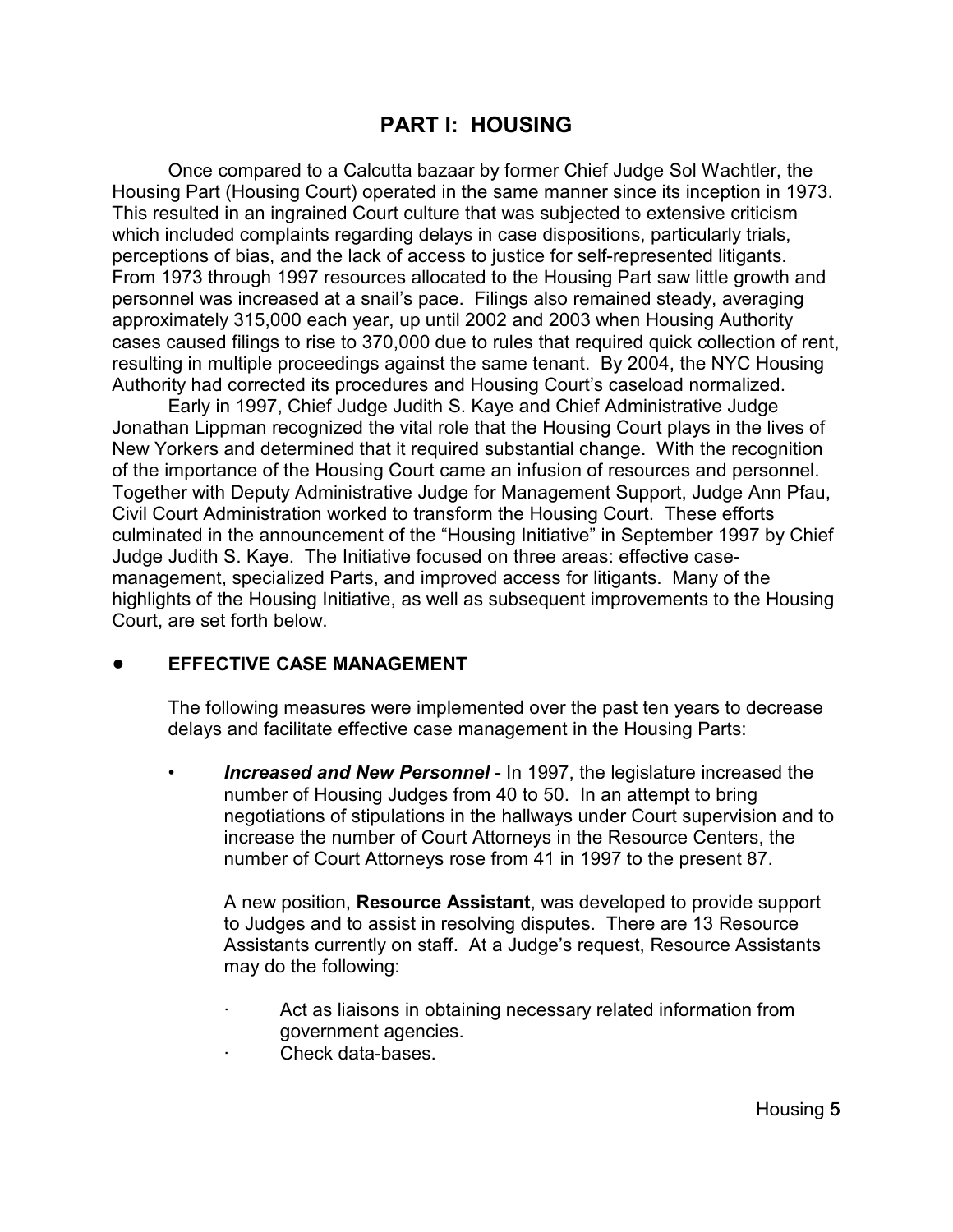# **PART I: HOUSING**

Once compared to a Calcutta bazaar by former Chief Judge Sol Wachtler, the Housing Part (Housing Court) operated in the same manner since its inception in 1973. This resulted in an ingrained Court culture that was subjected to extensive criticism which included complaints regarding delays in case dispositions, particularly trials, perceptions of bias, and the lack of access to justice for self-represented litigants. From 1973 through 1997 resources allocated to the Housing Part saw little growth and personnel was increased at a snail's pace. Filings also remained steady, averaging approximately 315,000 each year, up until 2002 and 2003 when Housing Authority cases caused filings to rise to 370,000 due to rules that required quick collection of rent, resulting in multiple proceedings against the same tenant. By 2004, the NYC Housing Authority had corrected its procedures and Housing Court's caseload normalized.

Early in 1997, Chief Judge Judith S. Kaye and Chief Administrative Judge Jonathan Lippman recognized the vital role that the Housing Court plays in the lives of New Yorkers and determined that it required substantial change. With the recognition of the importance of the Housing Court came an infusion of resources and personnel. Together with Deputy Administrative Judge for Management Support, Judge Ann Pfau, Civil Court Administration worked to transform the Housing Court. These efforts culminated in the announcement of the "Housing Initiative" in September 1997 by Chief Judge Judith S. Kaye. The Initiative focused on three areas: effective casemanagement, specialized Parts, and improved access for litigants. Many of the highlights of the Housing Initiative, as well as subsequent improvements to the Housing Court, are set forth below.

#### ! **EFFECTIVE CASE MANAGEMENT**

The following measures were implemented over the past ten years to decrease delays and facilitate effective case management in the Housing Parts:

• *Increased and New Personnel* - In 1997, the legislature increased the number of Housing Judges from 40 to 50. In an attempt to bring negotiations of stipulations in the hallways under Court supervision and to increase the number of Court Attorneys in the Resource Centers, the number of Court Attorneys rose from 41 in 1997 to the present 87.

A new position, **Resource Assistant**, was developed to provide support to Judges and to assist in resolving disputes. There are 13 Resource Assistants currently on staff. At a Judge's request, Resource Assistants may do the following:

- Act as liaisons in obtaining necessary related information from government agencies.
- · Check data-bases.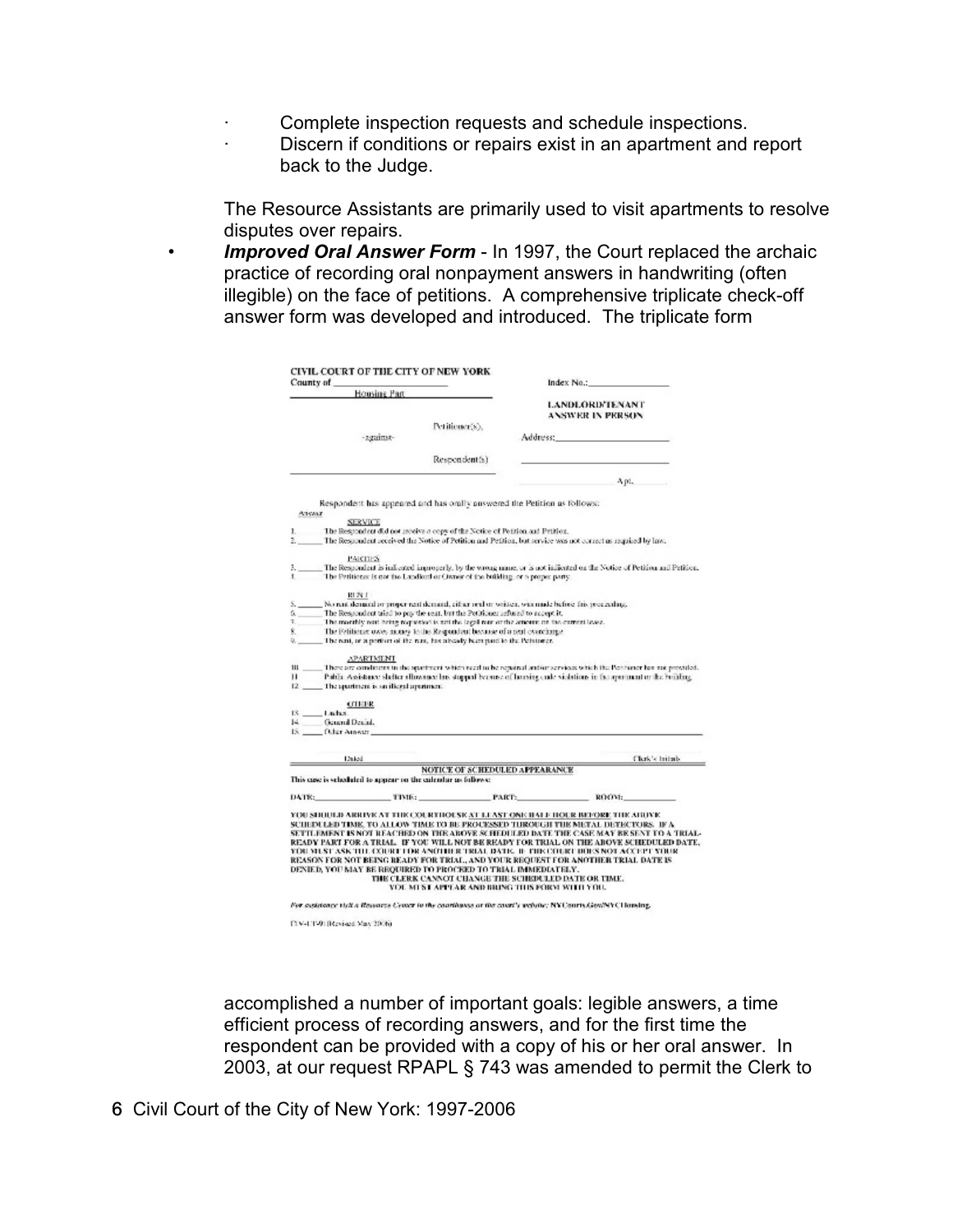- Complete inspection requests and schedule inspections.
- · Discern if conditions or repairs exist in an apartment and report back to the Judge.

The Resource Assistants are primarily used to visit apartments to resolve disputes over repairs.

• *Improved Oral Answer Form* - In 1997, the Court replaced the archaic practice of recording oral nonpayment answers in handwriting (often illegible) on the face of petitions. A comprehensive triplicate check-off answer form was developed and introduced. The triplicate form

| County of<br>Housing Part |                                                                                                                                                                                                                                                  |                                                      |  | Index $Na.$ :                                                                                                                                                                                                                  |  |  |  |
|---------------------------|--------------------------------------------------------------------------------------------------------------------------------------------------------------------------------------------------------------------------------------------------|------------------------------------------------------|--|--------------------------------------------------------------------------------------------------------------------------------------------------------------------------------------------------------------------------------|--|--|--|
|                           |                                                                                                                                                                                                                                                  |                                                      |  | <b>LANDLORD/TENANT</b>                                                                                                                                                                                                         |  |  |  |
|                           |                                                                                                                                                                                                                                                  |                                                      |  | <b>ANSWER IN PERSON</b>                                                                                                                                                                                                        |  |  |  |
|                           |                                                                                                                                                                                                                                                  | Petitioner(s),                                       |  |                                                                                                                                                                                                                                |  |  |  |
|                           | -against-                                                                                                                                                                                                                                        |                                                      |  | Address: Analysis and the control of the control of the control of the control of the control of the control of the control of the control of the control of the control of the control of the control of the control of the c |  |  |  |
|                           |                                                                                                                                                                                                                                                  | Respondent(s)                                        |  |                                                                                                                                                                                                                                |  |  |  |
|                           |                                                                                                                                                                                                                                                  |                                                      |  | Apt.                                                                                                                                                                                                                           |  |  |  |
|                           | Respondent has appeared and has orally answered the Petition as follows:                                                                                                                                                                         |                                                      |  |                                                                                                                                                                                                                                |  |  |  |
| <b>ATISANT</b>            |                                                                                                                                                                                                                                                  |                                                      |  |                                                                                                                                                                                                                                |  |  |  |
|                           | <b>SERVICE</b>                                                                                                                                                                                                                                   |                                                      |  |                                                                                                                                                                                                                                |  |  |  |
| ı.                        | The Respondent did not receive a copy of the Notice of Petition and Petition.                                                                                                                                                                    |                                                      |  |                                                                                                                                                                                                                                |  |  |  |
|                           |                                                                                                                                                                                                                                                  |                                                      |  | The Respondent received the Notice of Petition and Petition, but service was not correct as required by law.                                                                                                                   |  |  |  |
|                           | <b>PARTIES</b>                                                                                                                                                                                                                                   |                                                      |  |                                                                                                                                                                                                                                |  |  |  |
|                           | The Petitioner is not the Landkuth or Owner of the building, or a proper party.                                                                                                                                                                  |                                                      |  | The Respondent is indicated improperly, by the wrong name, or is not indicated on the Notice of Petition and Petition                                                                                                          |  |  |  |
|                           | REN.E.                                                                                                                                                                                                                                           |                                                      |  |                                                                                                                                                                                                                                |  |  |  |
|                           | No rent demand or proper rent demand, either real or written, was made before this proceeding,                                                                                                                                                   |                                                      |  |                                                                                                                                                                                                                                |  |  |  |
| ú.,                       | The Respondent aried to pay the rent, but the Petitioner refused to accept it.                                                                                                                                                                   |                                                      |  |                                                                                                                                                                                                                                |  |  |  |
| $\tau$ .<br>Ŕ.            | The monthly rent being requested is not the legal rear cortez amount on the corrent levez.<br>The Felitioner owes money to the Respondent because of a next overcharge.                                                                          |                                                      |  |                                                                                                                                                                                                                                |  |  |  |
| 9.                        | The rent, or a performed the rent, has already been parel to the Petrioner.                                                                                                                                                                      |                                                      |  |                                                                                                                                                                                                                                |  |  |  |
|                           |                                                                                                                                                                                                                                                  |                                                      |  |                                                                                                                                                                                                                                |  |  |  |
| $\mathbf{m}$              | <b>APARTMENT</b>                                                                                                                                                                                                                                 |                                                      |  |                                                                                                                                                                                                                                |  |  |  |
|                           | There are conditions to the spartment which receive he repoined and artistrices which the Petitioner has not provided<br>Public Assistance slidker allowance has stopped because of housing cude violations in the appropriated or the building. |                                                      |  |                                                                                                                                                                                                                                |  |  |  |
| $12 -$                    | The apartment is an illegal apartment.                                                                                                                                                                                                           |                                                      |  |                                                                                                                                                                                                                                |  |  |  |
|                           | <b>COLOR</b>                                                                                                                                                                                                                                     |                                                      |  |                                                                                                                                                                                                                                |  |  |  |
| 13.14445.                 |                                                                                                                                                                                                                                                  |                                                      |  |                                                                                                                                                                                                                                |  |  |  |
| $14 -$                    | General Denial,                                                                                                                                                                                                                                  |                                                      |  |                                                                                                                                                                                                                                |  |  |  |
|                           | 18. Other Amover                                                                                                                                                                                                                                 |                                                      |  |                                                                                                                                                                                                                                |  |  |  |
|                           | Dated                                                                                                                                                                                                                                            |                                                      |  | Clerk's britads.                                                                                                                                                                                                               |  |  |  |
|                           |                                                                                                                                                                                                                                                  | NOTICE OF SCHEDULED APPEARANCE                       |  |                                                                                                                                                                                                                                |  |  |  |
|                           | This case is scheduled to appear on the calendar as follows:                                                                                                                                                                                     |                                                      |  |                                                                                                                                                                                                                                |  |  |  |
|                           | DATE: TIME:                                                                                                                                                                                                                                      | <b>PARTS</b>                                         |  | ROOM:                                                                                                                                                                                                                          |  |  |  |
|                           |                                                                                                                                                                                                                                                  |                                                      |  |                                                                                                                                                                                                                                |  |  |  |
|                           |                                                                                                                                                                                                                                                  |                                                      |  | YOU SHOULD ARRIVE AT THE COURTHOUSE AT LEAST ONE ILLE HOUR INDORE THE ABOVE                                                                                                                                                    |  |  |  |
|                           |                                                                                                                                                                                                                                                  |                                                      |  | SCHEDULED TIME, TO ALLOW TIME IT BE PROCESSED THROUGH THE METAL DETECTORS. IF A                                                                                                                                                |  |  |  |
|                           |                                                                                                                                                                                                                                                  |                                                      |  | SETTLEMENT IS NOT REACHED ON THE ABOVE SCHEDULED DATE THE CASE MAY BE SENT TO A TRIAL                                                                                                                                          |  |  |  |
|                           |                                                                                                                                                                                                                                                  |                                                      |  | READY PART FOR A TRIAL. IF YOU WILL NOT BE READY FOR TRIAL ON THE ABOVE SCHEDULED DATE<br>YOU MUST ASK THE COURT FOR ANOTHER TRIAL DATE. IF THE COURT DUES NOT ACCEPT YOUR                                                     |  |  |  |
|                           |                                                                                                                                                                                                                                                  |                                                      |  | REASON FOR NOT BEING READY FOR TRIAL, AND YOUR REQUEST FOR ANOTHER TRIAL DATE IS                                                                                                                                               |  |  |  |
|                           | DENIED, YOU MAY BE REQUIRED TO PROCEED TO TRIAL IMMEDIATELY.                                                                                                                                                                                     |                                                      |  |                                                                                                                                                                                                                                |  |  |  |
|                           |                                                                                                                                                                                                                                                  | THE CLERK CANNOT CHANGE THE SCHEDULED DATE OR TIME.  |  |                                                                                                                                                                                                                                |  |  |  |
|                           |                                                                                                                                                                                                                                                  | <b>VOL MUST APPEAR AND BRING THIS FORM WITH YOU.</b> |  |                                                                                                                                                                                                                                |  |  |  |
|                           | For assistance tipli a Resource Center in the courtinesse or the count's website: NYCourty GowNYC Uloming.                                                                                                                                       |                                                      |  |                                                                                                                                                                                                                                |  |  |  |
|                           | CDV-1/17-91 BReviousl Mary 2006).                                                                                                                                                                                                                |                                                      |  |                                                                                                                                                                                                                                |  |  |  |
|                           |                                                                                                                                                                                                                                                  |                                                      |  |                                                                                                                                                                                                                                |  |  |  |

accomplished a number of important goals: legible answers, a time efficient process of recording answers, and for the first time the respondent can be provided with a copy of his or her oral answer. In 2003, at our request RPAPL § 743 was amended to permit the Clerk to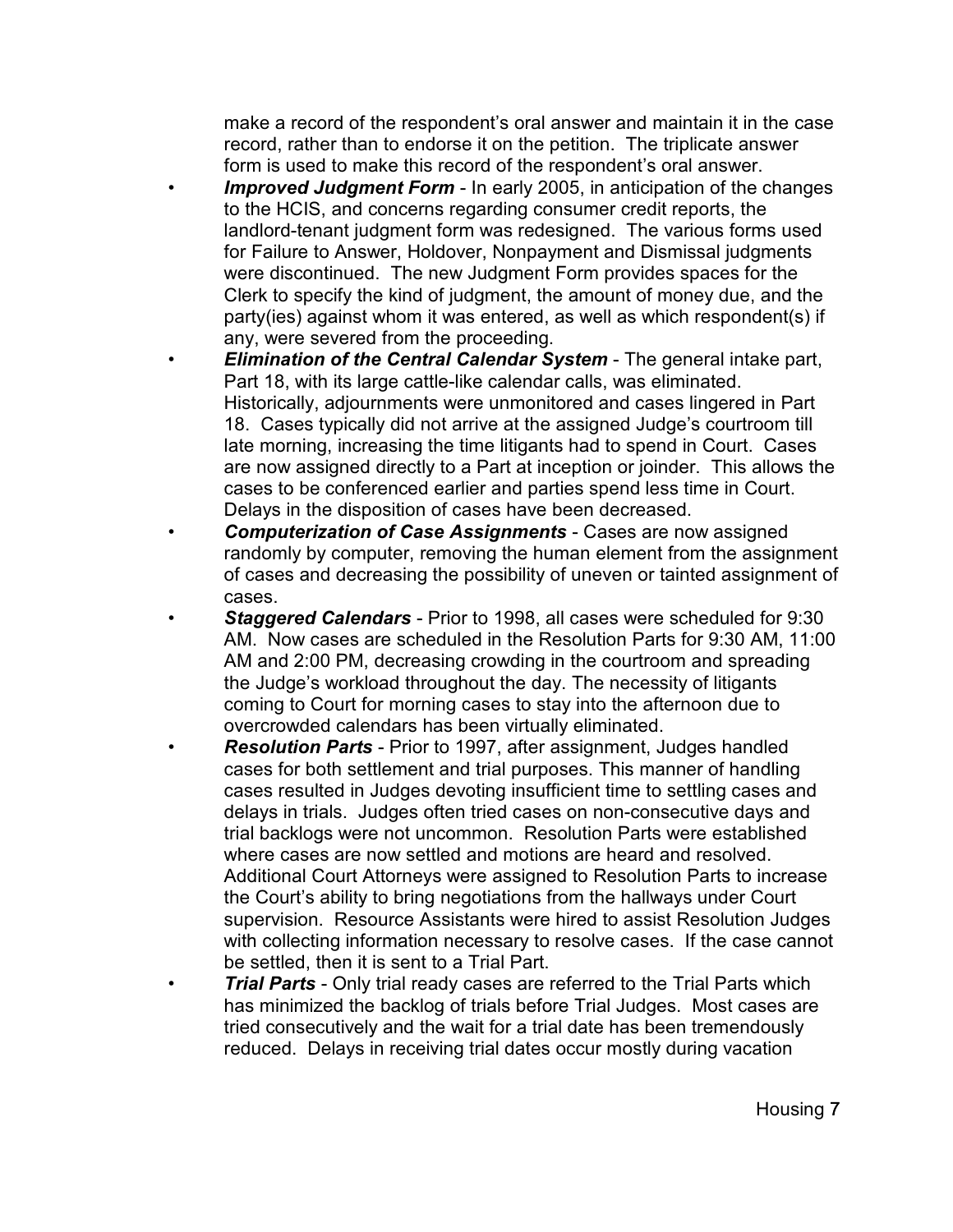make a record of the respondent's oral answer and maintain it in the case record, rather than to endorse it on the petition. The triplicate answer form is used to make this record of the respondent's oral answer.

- **Improved Judgment Form** In early 2005, in anticipation of the changes to the HCIS, and concerns regarding consumer credit reports, the landlord-tenant judgment form was redesigned. The various forms used for Failure to Answer, Holdover, Nonpayment and Dismissal judgments were discontinued. The new Judgment Form provides spaces for the Clerk to specify the kind of judgment, the amount of money due, and the party(ies) against whom it was entered, as well as which respondent(s) if any, were severed from the proceeding.
- *Elimination of the Central Calendar System*  The general intake part, Part 18, with its large cattle-like calendar calls, was eliminated. Historically, adjournments were unmonitored and cases lingered in Part 18. Cases typically did not arrive at the assigned Judge's courtroom till late morning, increasing the time litigants had to spend in Court. Cases are now assigned directly to a Part at inception or joinder. This allows the cases to be conferenced earlier and parties spend less time in Court. Delays in the disposition of cases have been decreased.
- *Computerization of Case Assignments* Cases are now assigned randomly by computer, removing the human element from the assignment of cases and decreasing the possibility of uneven or tainted assignment of cases.
- *Staggered Calendars* Prior to 1998, all cases were scheduled for 9:30 AM. Now cases are scheduled in the Resolution Parts for 9:30 AM, 11:00 AM and 2:00 PM, decreasing crowding in the courtroom and spreading the Judge's workload throughout the day. The necessity of litigants coming to Court for morning cases to stay into the afternoon due to overcrowded calendars has been virtually eliminated.
- *Resolution Parts*  Prior to 1997, after assignment, Judges handled cases for both settlement and trial purposes. This manner of handling cases resulted in Judges devoting insufficient time to settling cases and delays in trials. Judges often tried cases on non-consecutive days and trial backlogs were not uncommon. Resolution Parts were established where cases are now settled and motions are heard and resolved. Additional Court Attorneys were assigned to Resolution Parts to increase the Court's ability to bring negotiations from the hallways under Court supervision. Resource Assistants were hired to assist Resolution Judges with collecting information necessary to resolve cases. If the case cannot be settled, then it is sent to a Trial Part.
- **Trial Parts** Only trial ready cases are referred to the Trial Parts which has minimized the backlog of trials before Trial Judges. Most cases are tried consecutively and the wait for a trial date has been tremendously reduced. Delays in receiving trial dates occur mostly during vacation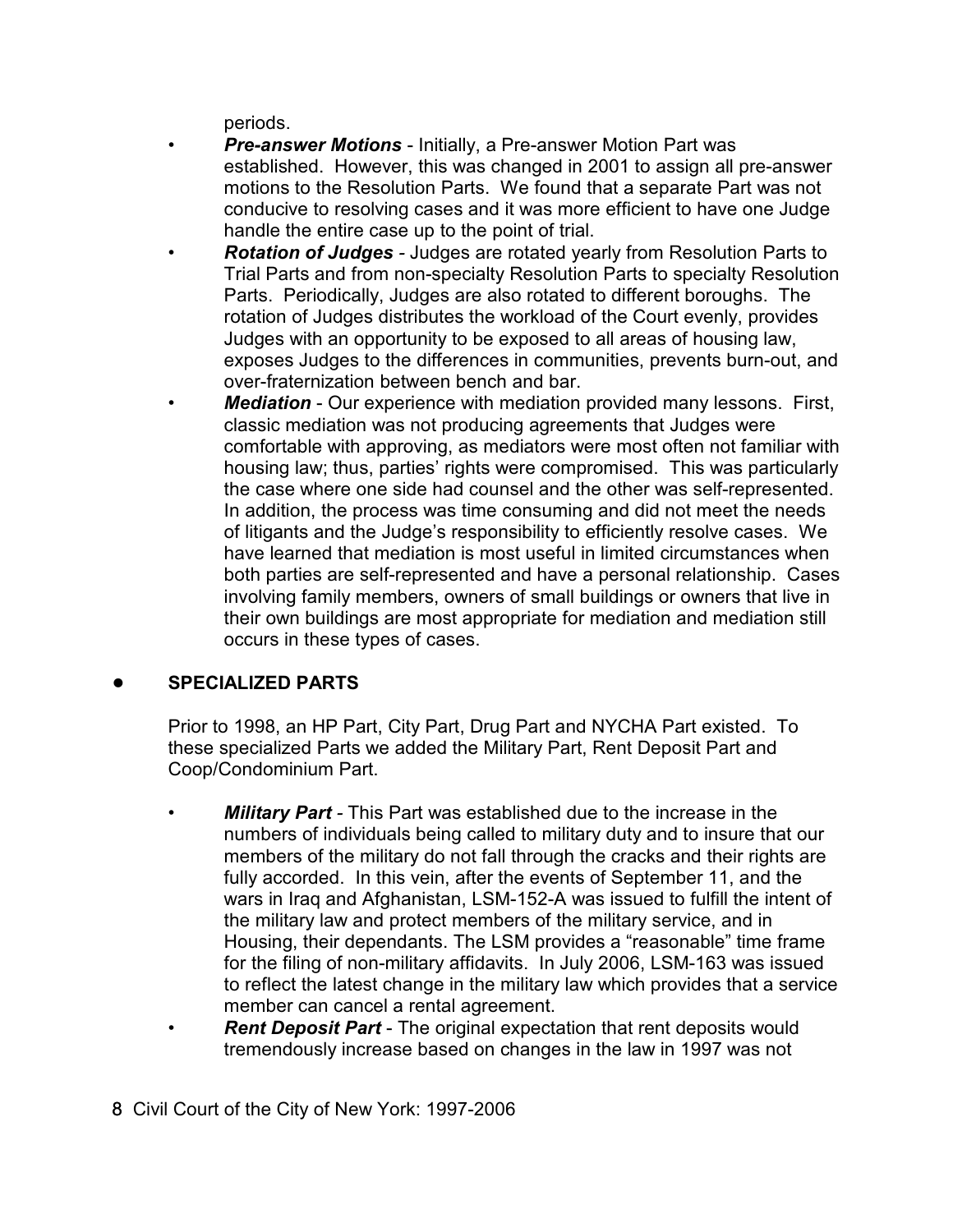periods.

- *Pre-answer Motions* Initially, a Pre-answer Motion Part was established. However, this was changed in 2001 to assign all pre-answer motions to the Resolution Parts. We found that a separate Part was not conducive to resolving cases and it was more efficient to have one Judge handle the entire case up to the point of trial.
- *Rotation of Judges -* Judges are rotated yearly from Resolution Parts to Trial Parts and from non-specialty Resolution Parts to specialty Resolution Parts. Periodically, Judges are also rotated to different boroughs. The rotation of Judges distributes the workload of the Court evenly, provides Judges with an opportunity to be exposed to all areas of housing law, exposes Judges to the differences in communities, prevents burn-out, and over-fraternization between bench and bar.
- **Mediation** Our experience with mediation provided many lessons. First, classic mediation was not producing agreements that Judges were comfortable with approving, as mediators were most often not familiar with housing law; thus, parties' rights were compromised. This was particularly the case where one side had counsel and the other was self-represented. In addition, the process was time consuming and did not meet the needs of litigants and the Judge's responsibility to efficiently resolve cases. We have learned that mediation is most useful in limited circumstances when both parties are self-represented and have a personal relationship. Cases involving family members, owners of small buildings or owners that live in their own buildings are most appropriate for mediation and mediation still occurs in these types of cases.

## ! **SPECIALIZED PARTS**

Prior to 1998, an HP Part, City Part, Drug Part and NYCHA Part existed. To these specialized Parts we added the Military Part, Rent Deposit Part and Coop/Condominium Part.

- *Military Part* This Part was established due to the increase in the numbers of individuals being called to military duty and to insure that our members of the military do not fall through the cracks and their rights are fully accorded. In this vein, after the events of September 11, and the wars in Iraq and Afghanistan, LSM-152-A was issued to fulfill the intent of the military law and protect members of the military service, and in Housing, their dependants. The LSM provides a "reasonable" time frame for the filing of non-military affidavits. In July 2006, LSM-163 was issued to reflect the latest change in the military law which provides that a service member can cancel a rental agreement.
- *Rent Deposit Part*  The original expectation that rent deposits would tremendously increase based on changes in the law in 1997 was not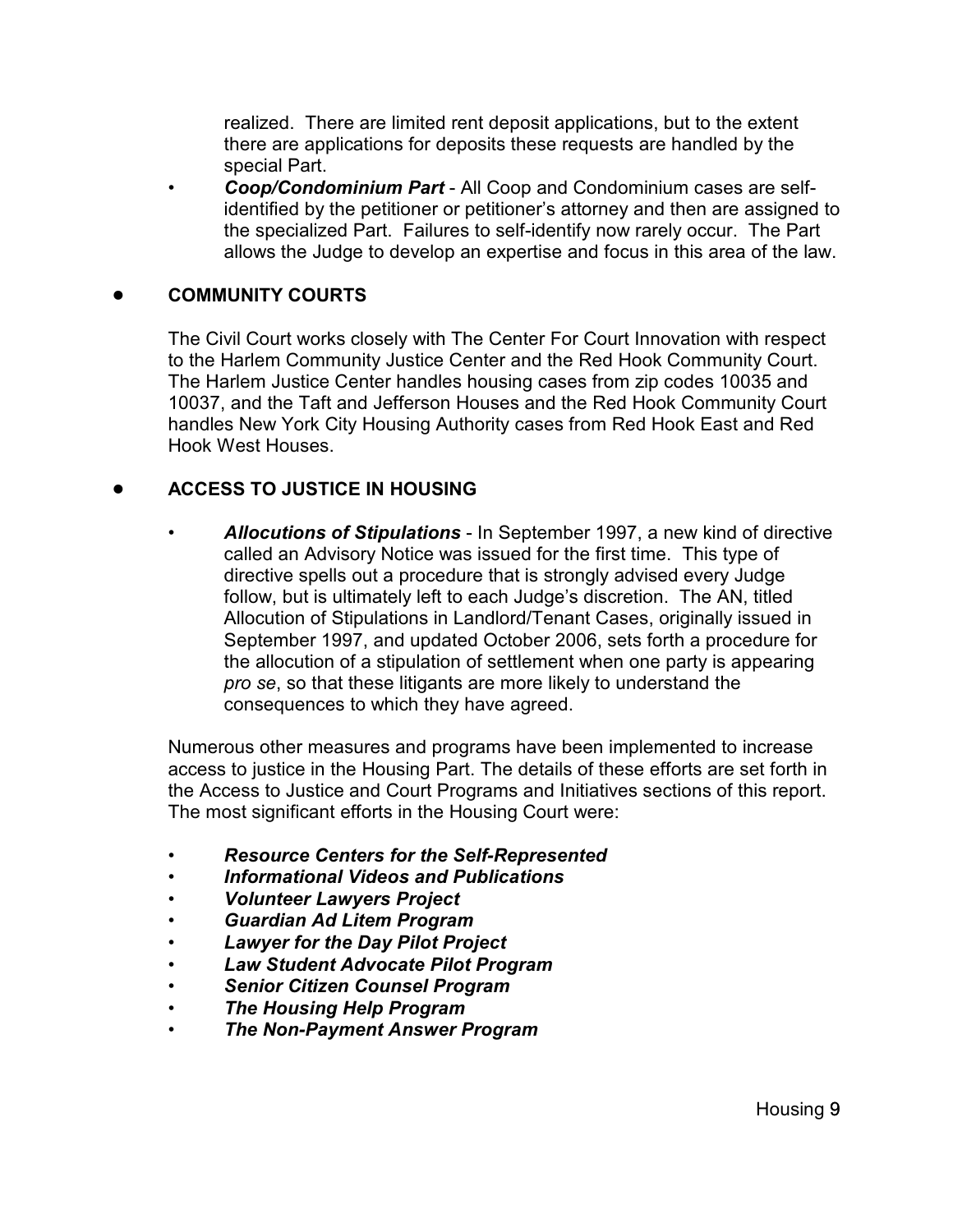realized. There are limited rent deposit applications, but to the extent there are applications for deposits these requests are handled by the special Part.

• *Coop/Condominium Part* - All Coop and Condominium cases are selfidentified by the petitioner or petitioner's attorney and then are assigned to the specialized Part. Failures to self-identify now rarely occur. The Part allows the Judge to develop an expertise and focus in this area of the law.

## ! **COMMUNITY COURTS**

The Civil Court works closely with The Center For Court Innovation with respect to the Harlem Community Justice Center and the Red Hook Community Court. The Harlem Justice Center handles housing cases from zip codes 10035 and 10037, and the Taft and Jefferson Houses and the Red Hook Community Court handles New York City Housing Authority cases from Red Hook East and Red Hook West Houses.

## ! **ACCESS TO JUSTICE IN HOUSING**

• *Allocutions of Stipulations* - In September 1997, a new kind of directive called an Advisory Notice was issued for the first time. This type of directive spells out a procedure that is strongly advised every Judge follow, but is ultimately left to each Judge's discretion. The AN, titled Allocution of Stipulations in Landlord/Tenant Cases, originally issued in September 1997, and updated October 2006, sets forth a procedure for the allocution of a stipulation of settlement when one party is appearing *pro se*, so that these litigants are more likely to understand the consequences to which they have agreed.

Numerous other measures and programs have been implemented to increase access to justice in the Housing Part. The details of these efforts are set forth in the Access to Justice and Court Programs and Initiatives sections of this report. The most significant efforts in the Housing Court were:

- *Resource Centers for the Self-Represented*
- *Informational Videos and Publications*
- *Volunteer Lawyers Project*
- *Guardian Ad Litem Program*
- *Lawyer for the Day Pilot Project*
- *Law Student Advocate Pilot Program*
- *Senior Citizen Counsel Program*
- *The Housing Help Program*
- *The Non-Payment Answer Program*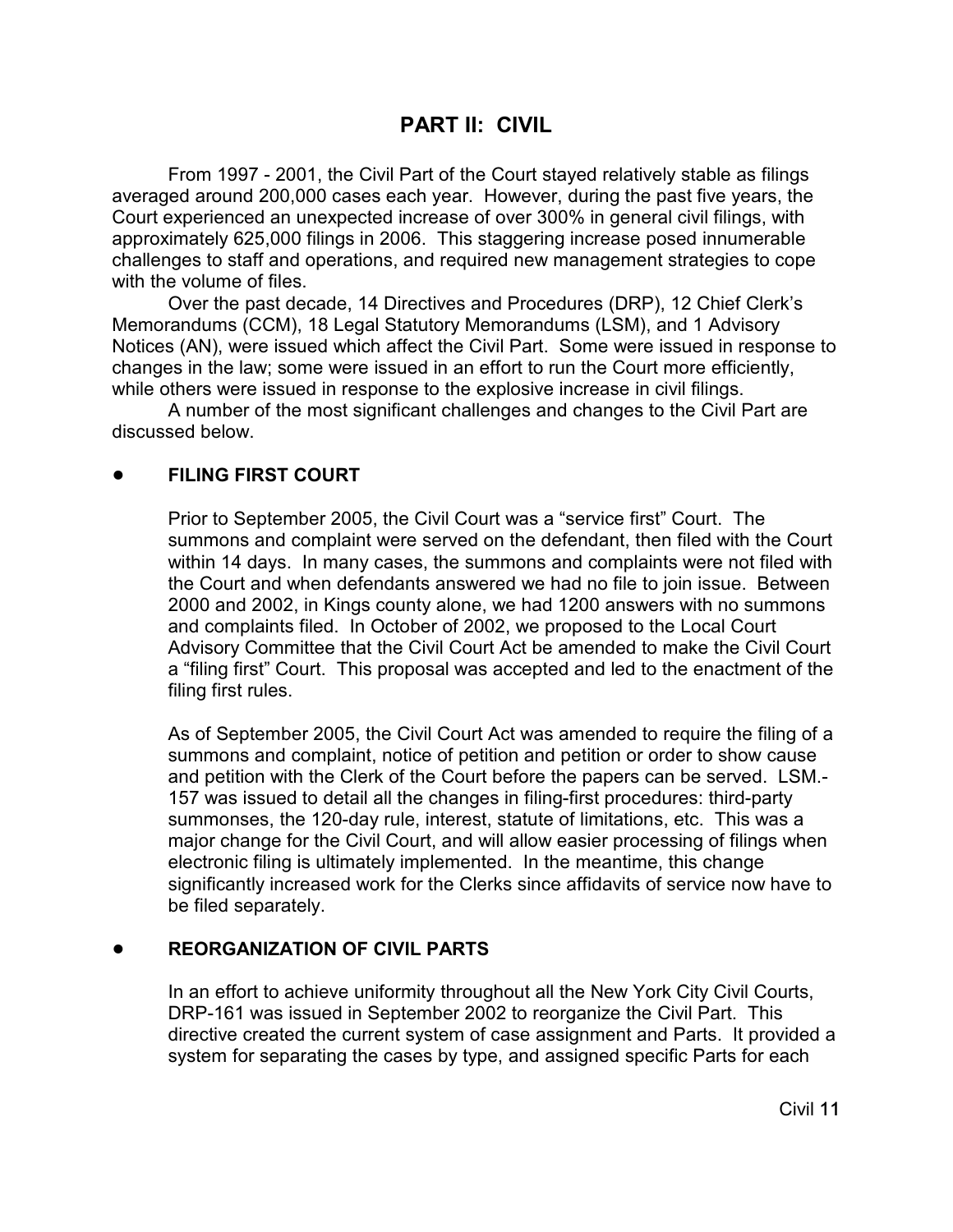## **PART II: CIVIL**

From 1997 - 2001, the Civil Part of the Court stayed relatively stable as filings averaged around 200,000 cases each year. However, during the past five years, the Court experienced an unexpected increase of over 300% in general civil filings, with approximately 625,000 filings in 2006. This staggering increase posed innumerable challenges to staff and operations, and required new management strategies to cope with the volume of files.

Over the past decade, 14 Directives and Procedures (DRP), 12 Chief Clerk's Memorandums (CCM), 18 Legal Statutory Memorandums (LSM), and 1 Advisory Notices (AN), were issued which affect the Civil Part. Some were issued in response to changes in the law; some were issued in an effort to run the Court more efficiently, while others were issued in response to the explosive increase in civil filings.

A number of the most significant challenges and changes to the Civil Part are discussed below.

## ! **FILING FIRST COURT**

Prior to September 2005, the Civil Court was a "service first" Court. The summons and complaint were served on the defendant, then filed with the Court within 14 days. In many cases, the summons and complaints were not filed with the Court and when defendants answered we had no file to join issue. Between 2000 and 2002, in Kings county alone, we had 1200 answers with no summons and complaints filed. In October of 2002, we proposed to the Local Court Advisory Committee that the Civil Court Act be amended to make the Civil Court a "filing first" Court. This proposal was accepted and led to the enactment of the filing first rules.

As of September 2005, the Civil Court Act was amended to require the filing of a summons and complaint, notice of petition and petition or order to show cause and petition with the Clerk of the Court before the papers can be served. LSM.- 157 was issued to detail all the changes in filing-first procedures: third-party summonses, the 120-day rule, interest, statute of limitations, etc. This was a major change for the Civil Court, and will allow easier processing of filings when electronic filing is ultimately implemented. In the meantime, this change significantly increased work for the Clerks since affidavits of service now have to be filed separately.

#### ! **REORGANIZATION OF CIVIL PARTS**

In an effort to achieve uniformity throughout all the New York City Civil Courts, DRP-161 was issued in September 2002 to reorganize the Civil Part. This directive created the current system of case assignment and Parts. It provided a system for separating the cases by type, and assigned specific Parts for each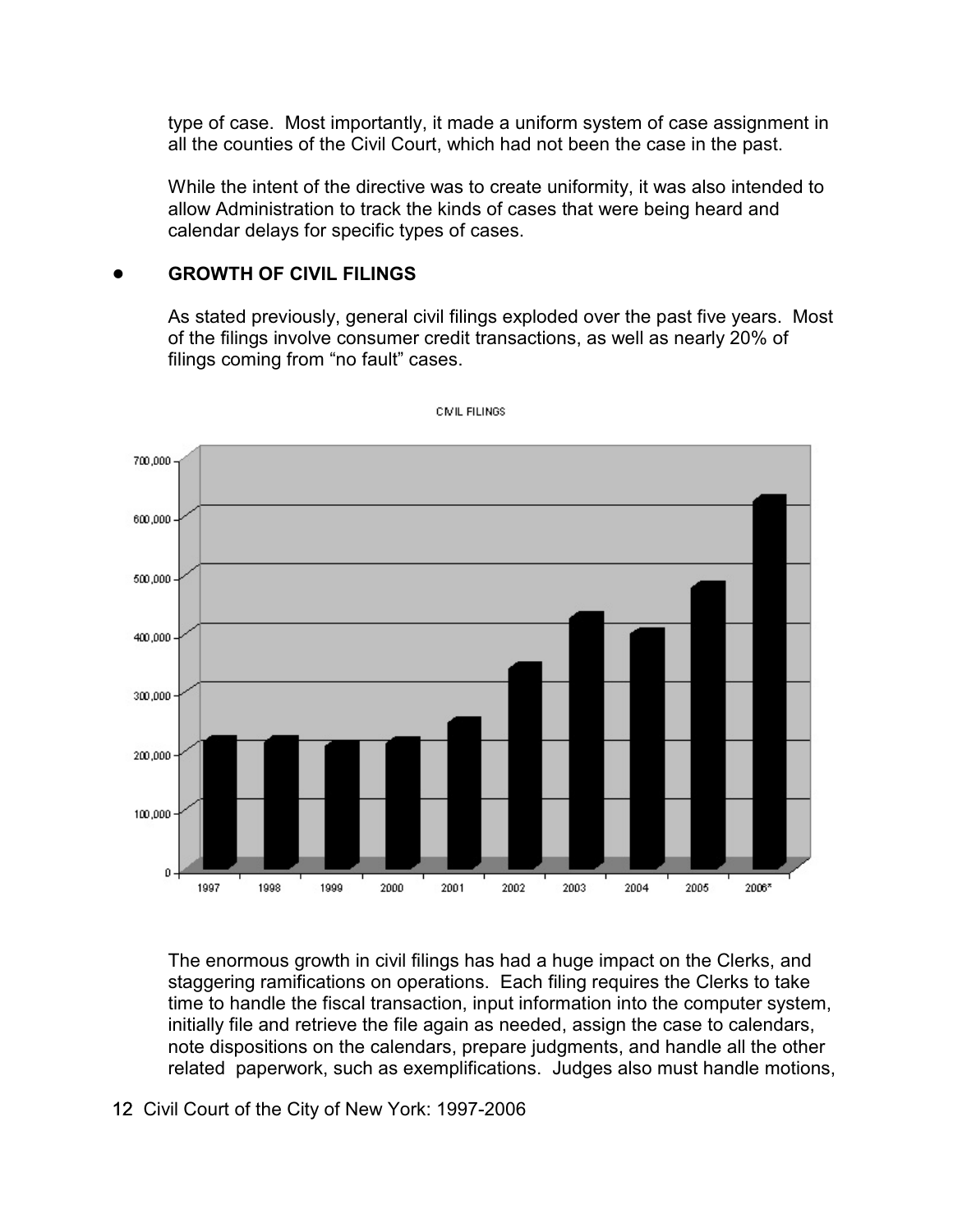type of case. Most importantly, it made a uniform system of case assignment in all the counties of the Civil Court, which had not been the case in the past.

While the intent of the directive was to create uniformity, it was also intended to allow Administration to track the kinds of cases that were being heard and calendar delays for specific types of cases.

#### ! **GROWTH OF CIVIL FILINGS**

As stated previously, general civil filings exploded over the past five years. Most of the filings involve consumer credit transactions, as well as nearly 20% of filings coming from "no fault" cases.



**CIVIL FILINGS** 

The enormous growth in civil filings has had a huge impact on the Clerks, and staggering ramifications on operations. Each filing requires the Clerks to take time to handle the fiscal transaction, input information into the computer system, initially file and retrieve the file again as needed, assign the case to calendars, note dispositions on the calendars, prepare judgments, and handle all the other related paperwork, such as exemplifications. Judges also must handle motions,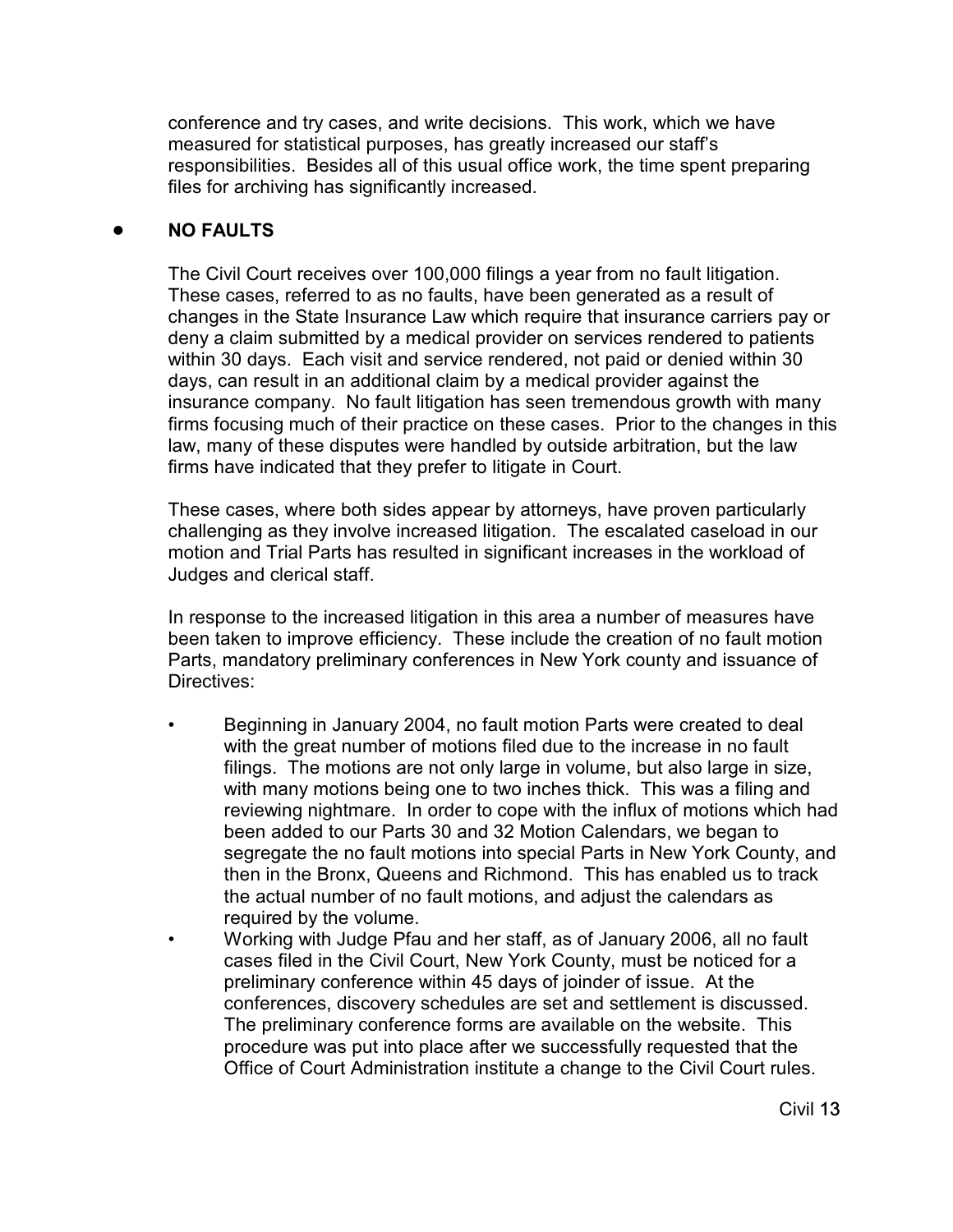conference and try cases, and write decisions. This work, which we have measured for statistical purposes, has greatly increased our staff's responsibilities. Besides all of this usual office work, the time spent preparing files for archiving has significantly increased.

## ! **NO FAULTS**

The Civil Court receives over 100,000 filings a year from no fault litigation. These cases, referred to as no faults, have been generated as a result of changes in the State Insurance Law which require that insurance carriers pay or deny a claim submitted by a medical provider on services rendered to patients within 30 days. Each visit and service rendered, not paid or denied within 30 days, can result in an additional claim by a medical provider against the insurance company. No fault litigation has seen tremendous growth with many firms focusing much of their practice on these cases. Prior to the changes in this law, many of these disputes were handled by outside arbitration, but the law firms have indicated that they prefer to litigate in Court.

These cases, where both sides appear by attorneys, have proven particularly challenging as they involve increased litigation. The escalated caseload in our motion and Trial Parts has resulted in significant increases in the workload of Judges and clerical staff.

In response to the increased litigation in this area a number of measures have been taken to improve efficiency. These include the creation of no fault motion Parts, mandatory preliminary conferences in New York county and issuance of Directives:

- Beginning in January 2004, no fault motion Parts were created to deal with the great number of motions filed due to the increase in no fault filings. The motions are not only large in volume, but also large in size, with many motions being one to two inches thick. This was a filing and reviewing nightmare. In order to cope with the influx of motions which had been added to our Parts 30 and 32 Motion Calendars, we began to segregate the no fault motions into special Parts in New York County, and then in the Bronx, Queens and Richmond. This has enabled us to track the actual number of no fault motions, and adjust the calendars as required by the volume.
- Working with Judge Pfau and her staff, as of January 2006, all no fault cases filed in the Civil Court, New York County, must be noticed for a preliminary conference within 45 days of joinder of issue. At the conferences, discovery schedules are set and settlement is discussed. The preliminary conference forms are available on the website. This procedure was put into place after we successfully requested that the Office of Court Administration institute a change to the Civil Court rules.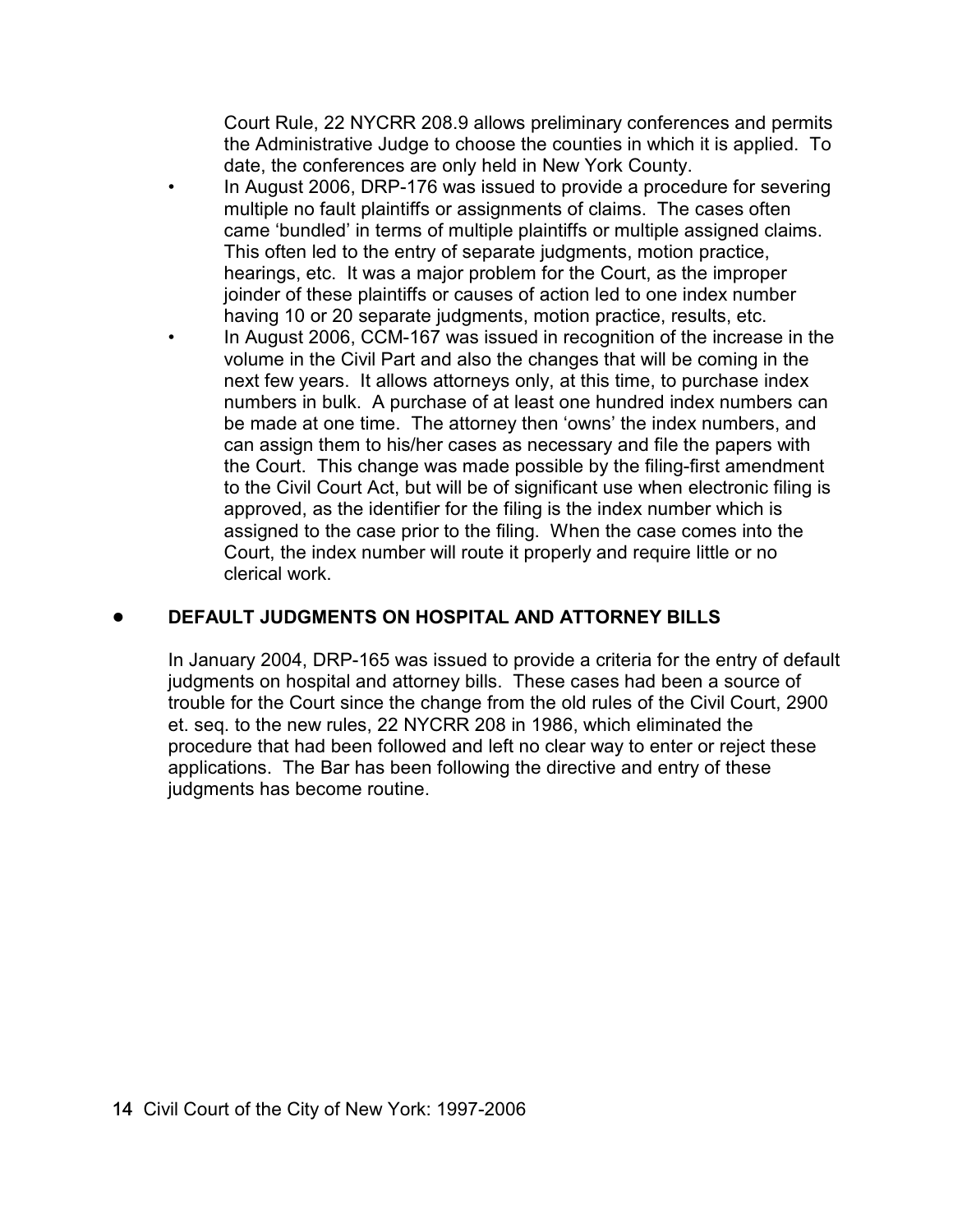Court Rule, 22 NYCRR 208.9 allows preliminary conferences and permits the Administrative Judge to choose the counties in which it is applied. To date, the conferences are only held in New York County.

- In August 2006, DRP-176 was issued to provide a procedure for severing multiple no fault plaintiffs or assignments of claims. The cases often came 'bundled' in terms of multiple plaintiffs or multiple assigned claims. This often led to the entry of separate judgments, motion practice, hearings, etc. It was a major problem for the Court, as the improper joinder of these plaintiffs or causes of action led to one index number having 10 or 20 separate judgments, motion practice, results, etc.
- In August 2006, CCM-167 was issued in recognition of the increase in the volume in the Civil Part and also the changes that will be coming in the next few years. It allows attorneys only, at this time, to purchase index numbers in bulk. A purchase of at least one hundred index numbers can be made at one time. The attorney then 'owns' the index numbers, and can assign them to his/her cases as necessary and file the papers with the Court. This change was made possible by the filing-first amendment to the Civil Court Act, but will be of significant use when electronic filing is approved, as the identifier for the filing is the index number which is assigned to the case prior to the filing. When the case comes into the Court, the index number will route it properly and require little or no clerical work.

## ! **DEFAULT JUDGMENTS ON HOSPITAL AND ATTORNEY BILLS**

In January 2004, DRP-165 was issued to provide a criteria for the entry of default judgments on hospital and attorney bills. These cases had been a source of trouble for the Court since the change from the old rules of the Civil Court, 2900 et. seq. to the new rules, 22 NYCRR 208 in 1986, which eliminated the procedure that had been followed and left no clear way to enter or reject these applications. The Bar has been following the directive and entry of these judgments has become routine.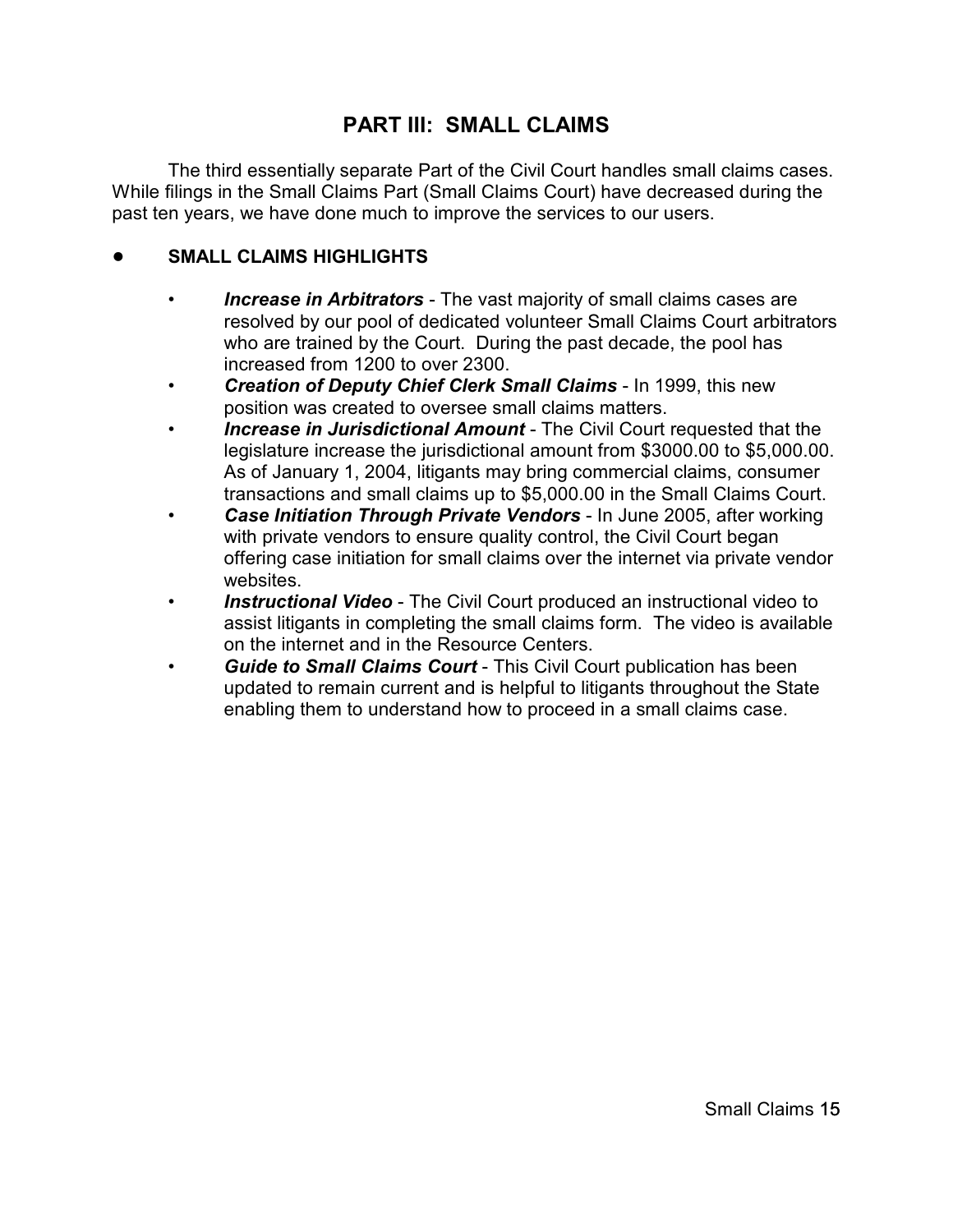# **PART III: SMALL CLAIMS**

The third essentially separate Part of the Civil Court handles small claims cases. While filings in the Small Claims Part (Small Claims Court) have decreased during the past ten years, we have done much to improve the services to our users.

## ! **SMALL CLAIMS HIGHLIGHTS**

- *Increase in Arbitrators* The vast majority of small claims cases are resolved by our pool of dedicated volunteer Small Claims Court arbitrators who are trained by the Court. During the past decade, the pool has increased from 1200 to over 2300.
- *Creation of Deputy Chief Clerk Small Claims* In 1999, this new position was created to oversee small claims matters.
- *Increase in Jurisdictional Amount* The Civil Court requested that the legislature increase the jurisdictional amount from \$3000.00 to \$5,000.00. As of January 1, 2004, litigants may bring commercial claims, consumer transactions and small claims up to \$5,000.00 in the Small Claims Court.
- *Case Initiation Through Private Vendors* In June 2005, after working with private vendors to ensure quality control, the Civil Court began offering case initiation for small claims over the internet via private vendor websites.
- *Instructional Video* The Civil Court produced an instructional video to assist litigants in completing the small claims form. The video is available on the internet and in the Resource Centers.
- *Guide to Small Claims Court* This Civil Court publication has been updated to remain current and is helpful to litigants throughout the State enabling them to understand how to proceed in a small claims case.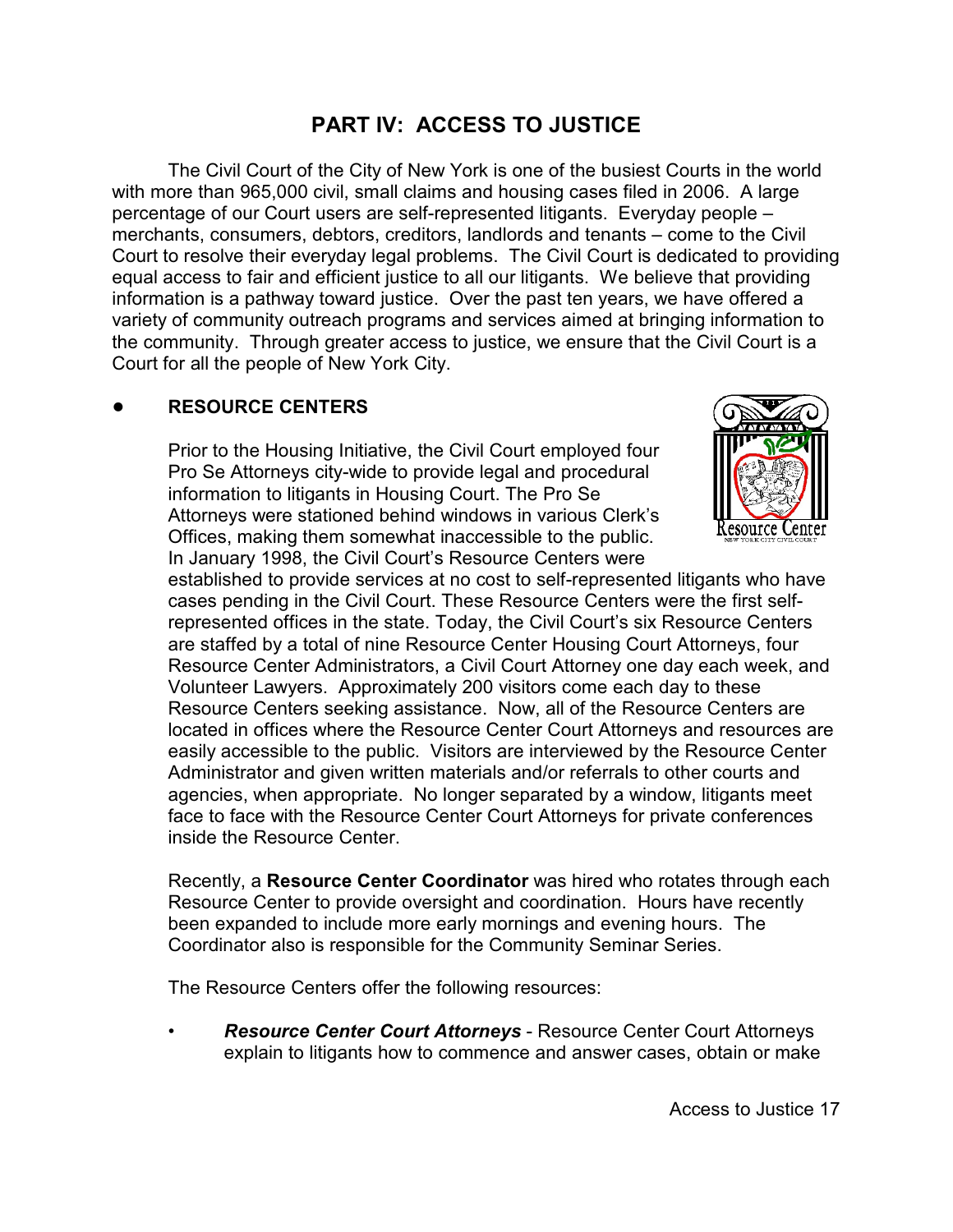# **PART IV: ACCESS TO JUSTICE**

The Civil Court of the City of New York is one of the busiest Courts in the world with more than 965,000 civil, small claims and housing cases filed in 2006. A large percentage of our Court users are self-represented litigants. Everyday people – merchants, consumers, debtors, creditors, landlords and tenants – come to the Civil Court to resolve their everyday legal problems. The Civil Court is dedicated to providing equal access to fair and efficient justice to all our litigants. We believe that providing information is a pathway toward justice. Over the past ten years, we have offered a variety of community outreach programs and services aimed at bringing information to the community. Through greater access to justice, we ensure that the Civil Court is a Court for all the people of New York City.

## ! **RESOURCE CENTERS**

Prior to the Housing Initiative, the Civil Court employed four Pro Se Attorneys city-wide to provide legal and procedural information to litigants in Housing Court. The Pro Se Attorneys were stationed behind windows in various Clerk's Offices, making them somewhat inaccessible to the public. In January 1998, the Civil Court's Resource Centers were



established to provide services at no cost to self-represented litigants who have cases pending in the Civil Court. These Resource Centers were the first selfrepresented offices in the state. Today, the Civil Court's six Resource Centers are staffed by a total of nine Resource Center Housing Court Attorneys, four Resource Center Administrators, a Civil Court Attorney one day each week, and Volunteer Lawyers. Approximately 200 visitors come each day to these Resource Centers seeking assistance. Now, all of the Resource Centers are located in offices where the Resource Center Court Attorneys and resources are easily accessible to the public. Visitors are interviewed by the Resource Center Administrator and given written materials and/or referrals to other courts and agencies, when appropriate. No longer separated by a window, litigants meet face to face with the Resource Center Court Attorneys for private conferences inside the Resource Center.

Recently, a **Resource Center Coordinator** was hired who rotates through each Resource Center to provide oversight and coordination. Hours have recently been expanded to include more early mornings and evening hours. The Coordinator also is responsible for the Community Seminar Series.

The Resource Centers offer the following resources:

• *Resource Center Court Attorneys* - Resource Center Court Attorneys explain to litigants how to commence and answer cases, obtain or make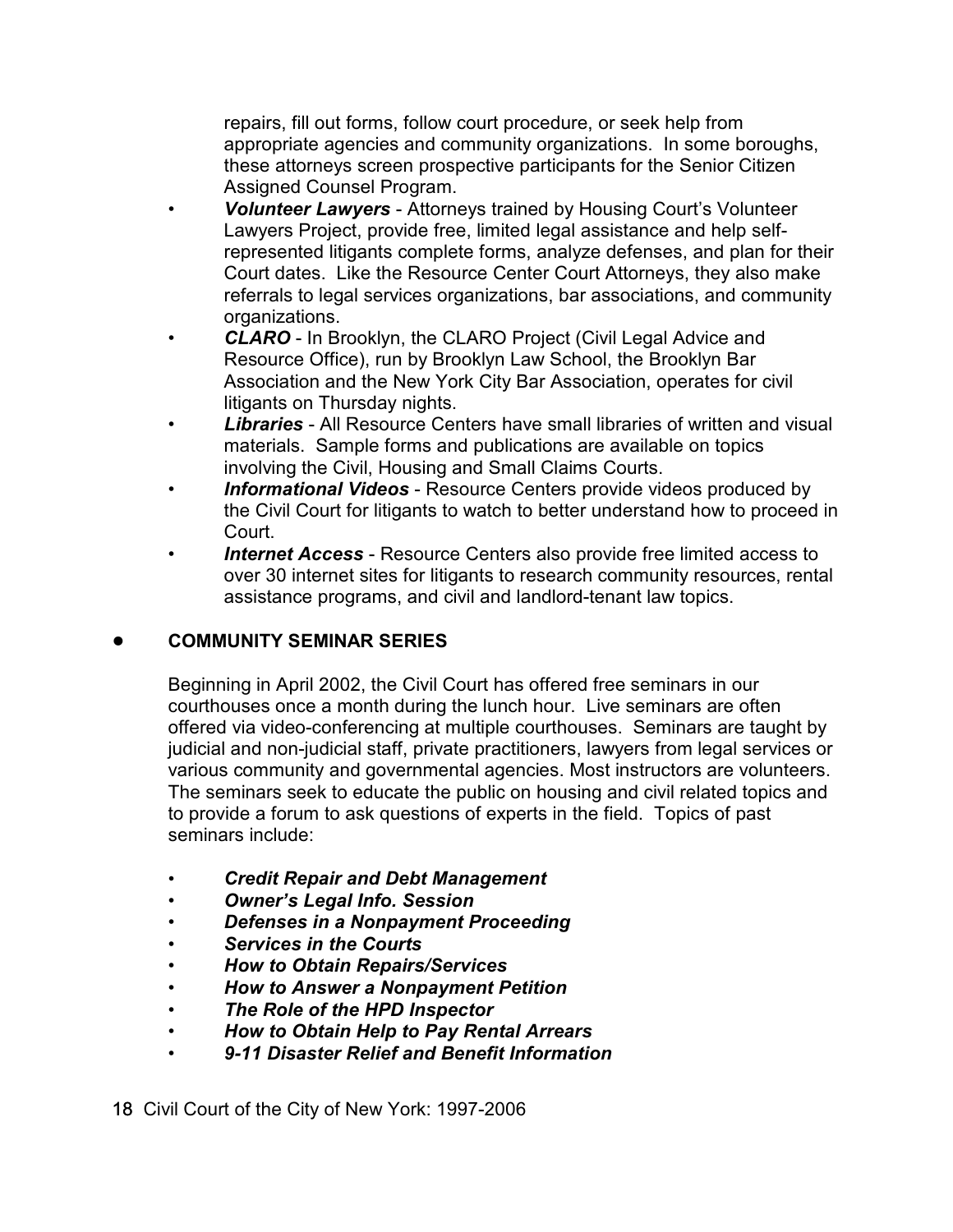repairs, fill out forms, follow court procedure, or seek help from appropriate agencies and community organizations. In some boroughs, these attorneys screen prospective participants for the Senior Citizen Assigned Counsel Program.

- *Volunteer Lawyers* Attorneys trained by Housing Court's Volunteer Lawyers Project, provide free, limited legal assistance and help selfrepresented litigants complete forms, analyze defenses, and plan for their Court dates. Like the Resource Center Court Attorneys, they also make referrals to legal services organizations, bar associations, and community organizations.
- *CLARO* In Brooklyn, the CLARO Project (Civil Legal Advice and Resource Office), run by Brooklyn Law School, the Brooklyn Bar Association and the New York City Bar Association, operates for civil litigants on Thursday nights.
- *Libraries* All Resource Centers have small libraries of written and visual materials. Sample forms and publications are available on topics involving the Civil, Housing and Small Claims Courts.
- *Informational Videos* Resource Centers provide videos produced by the Civil Court for litigants to watch to better understand how to proceed in Court.
- *Internet Access* Resource Centers also provide free limited access to over 30 internet sites for litigants to research community resources, rental assistance programs, and civil and landlord-tenant law topics.

## ! **COMMUNITY SEMINAR SERIES**

Beginning in April 2002, the Civil Court has offered free seminars in our courthouses once a month during the lunch hour. Live seminars are often offered via video-conferencing at multiple courthouses. Seminars are taught by judicial and non-judicial staff, private practitioners, lawyers from legal services or various community and governmental agencies. Most instructors are volunteers. The seminars seek to educate the public on housing and civil related topics and to provide a forum to ask questions of experts in the field. Topics of past seminars include:

- *Credit Repair and Debt Management*
- *Owner's Legal Info. Session*
- *Defenses in a Nonpayment Proceeding*
- *Services in the Courts*
- *How to Obtain Repairs/Services*
- *How to Answer a Nonpayment Petition*
- *The Role of the HPD Inspector*
- *How to Obtain Help to Pay Rental Arrears*
- *9-11 Disaster Relief and Benefit Information*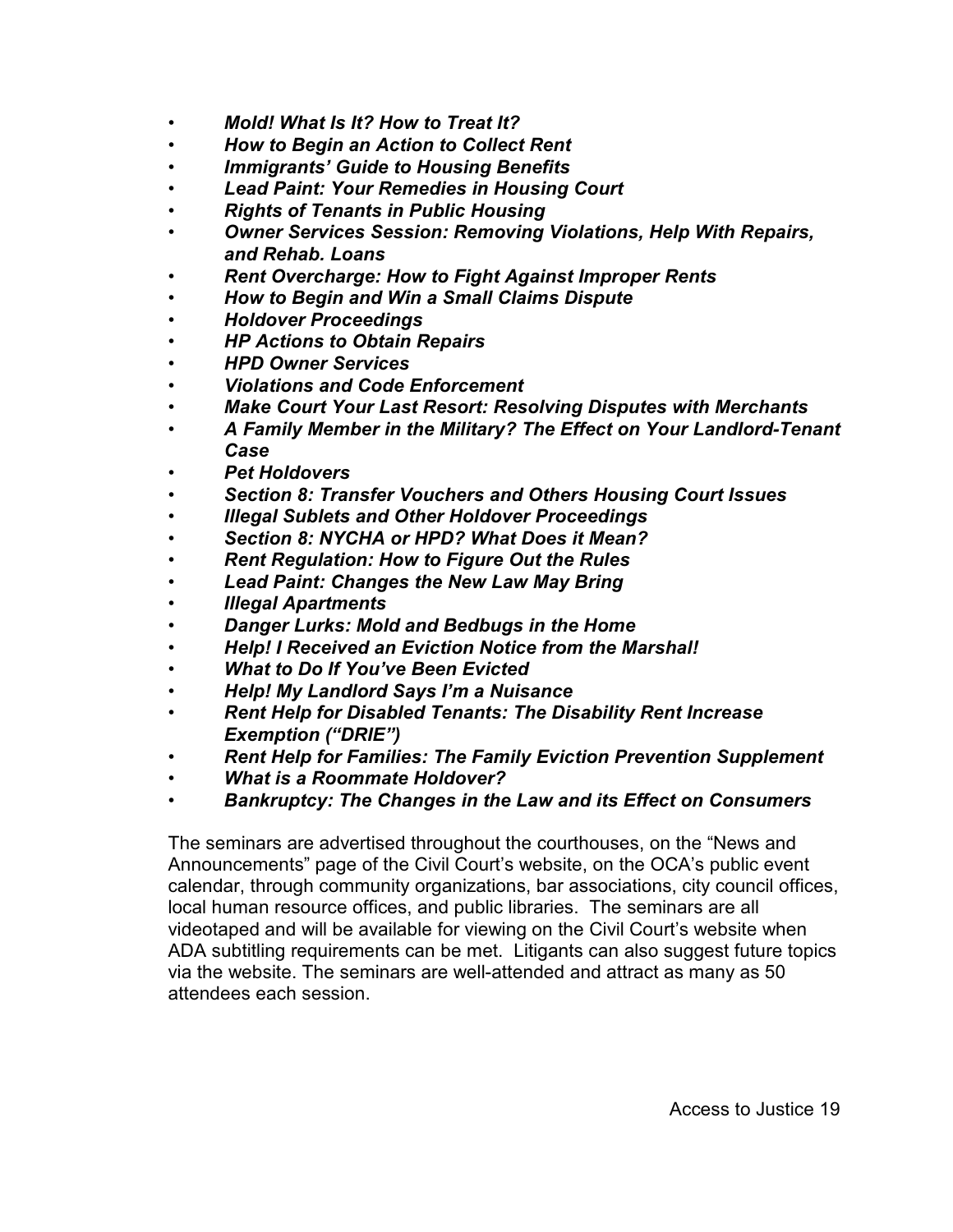- *Mold! What Is It? How to Treat It?*
- *How to Begin an Action to Collect Rent*
- *Immigrants' Guide to Housing Benefits*
- *Lead Paint: Your Remedies in Housing Court*
- *Rights of Tenants in Public Housing*
- *Owner Services Session: Removing Violations, Help With Repairs, and Rehab. Loans*
- *Rent Overcharge: How to Fight Against Improper Rents*
- *How to Begin and Win a Small Claims Dispute*
- *Holdover Proceedings*
- *HP Actions to Obtain Repairs*
- *HPD Owner Services*
- *Violations and Code Enforcement*
- *Make Court Your Last Resort: Resolving Disputes with Merchants*
- *A Family Member in the Military? The Effect on Your Landlord-Tenant Case*
- *Pet Holdovers*
- *Section 8: Transfer Vouchers and Others Housing Court Issues*
- *Illegal Sublets and Other Holdover Proceedings*
- *Section 8: NYCHA or HPD? What Does it Mean?*
- *Rent Regulation: How to Figure Out the Rules*
- *Lead Paint: Changes the New Law May Bring*
- *Illegal Apartments*
- *Danger Lurks: Mold and Bedbugs in the Home*
- *Help! I Received an Eviction Notice from the Marshal!*
- *What to Do If You've Been Evicted*
- *Help! My Landlord Says I'm a Nuisance*
- *Rent Help for Disabled Tenants: The Disability Rent Increase Exemption ("DRIE")*
- *Rent Help for Families: The Family Eviction Prevention Supplement*
- *What is a Roommate Holdover?*
- *Bankruptcy: The Changes in the Law and its Effect on Consumers*

The seminars are advertised throughout the courthouses, on the "News and Announcements" page of the Civil Court's website, on the OCA's public event calendar, through community organizations, bar associations, city council offices, local human resource offices, and public libraries. The seminars are all videotaped and will be available for viewing on the Civil Court's website when ADA subtitling requirements can be met. Litigants can also suggest future topics via the website. The seminars are well-attended and attract as many as 50 attendees each session.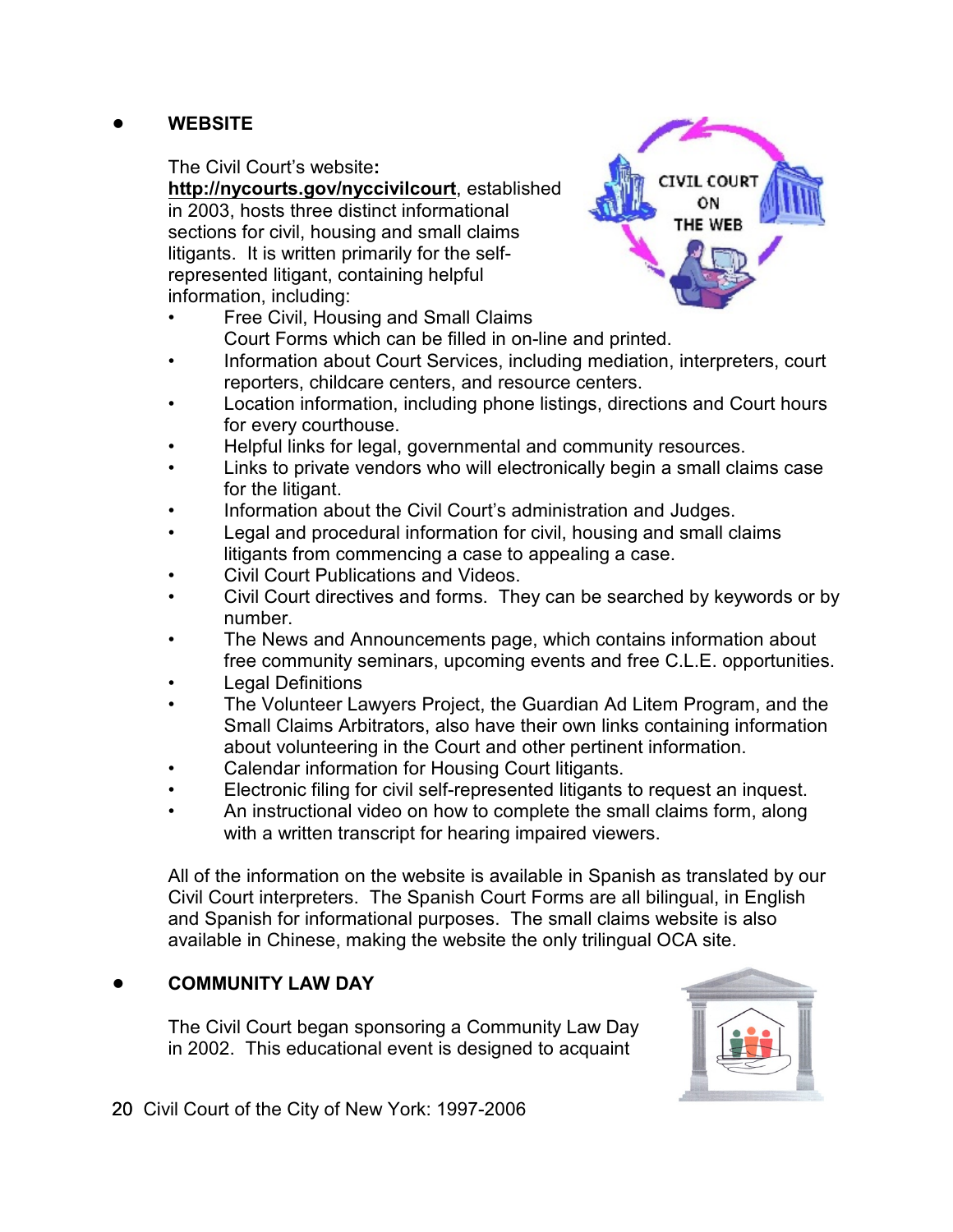## ! **WEBSITE**

#### The Civil Court's website**:**

**<http://nycourts.gov/nyccivilcourt>**, established in 2003, hosts three distinct informational sections for civil, housing and small claims litigants. It is written primarily for the selfrepresented litigant, containing helpful information, including:



- Information about Court Services, including mediation, interpreters, court reporters, childcare centers, and resource centers.
- Location information, including phone listings, directions and Court hours for every courthouse.
- Helpful links for legal, governmental and community resources.
- Links to private vendors who will electronically begin a small claims case for the litigant.
- Information about the Civil Court's administration and Judges.
- Legal and procedural information for civil, housing and small claims litigants from commencing a case to appealing a case.
- Civil Court Publications and Videos.
- Civil Court directives and forms. They can be searched by keywords or by number.
- The News and Announcements page, which contains information about free community seminars, upcoming events and free C.L.E. opportunities.
- Legal Definitions
- The Volunteer Lawyers Project, the Guardian Ad Litem Program, and the Small Claims Arbitrators, also have their own links containing information about volunteering in the Court and other pertinent information.
- Calendar information for Housing Court litigants.
- Electronic filing for civil self-represented litigants to request an inquest.
- An instructional video on how to complete the small claims form, along with a written transcript for hearing impaired viewers.

All of the information on the website is available in Spanish as translated by our Civil Court interpreters. The Spanish Court Forms are all bilingual, in English and Spanish for informational purposes. The small claims website is also available in Chinese, making the website the only trilingual OCA site.

## ! **COMMUNITY LAW DAY**

The Civil Court began sponsoring a Community Law Day in 2002. This educational event is designed to acquaint



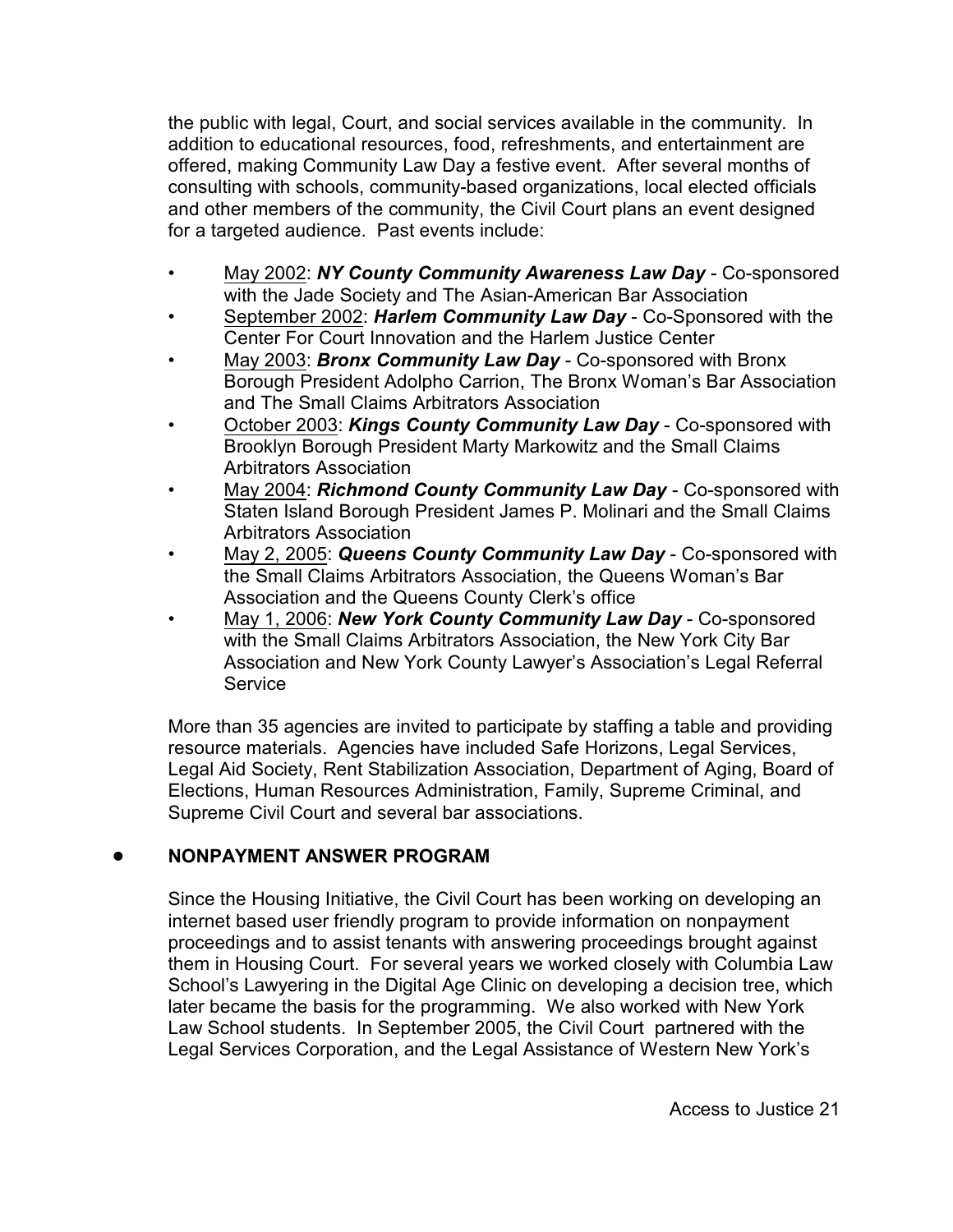the public with legal, Court, and social services available in the community. In addition to educational resources, food, refreshments, and entertainment are offered, making Community Law Day a festive event. After several months of consulting with schools, community-based organizations, local elected officials and other members of the community, the Civil Court plans an event designed for a targeted audience. Past events include:

- May 2002: *NY County Community Awareness Law Day* Co-sponsored with the Jade Society and The Asian-American Bar Association
- September 2002: *Harlem Community Law Day*  Co-Sponsored with the Center For Court Innovation and the Harlem Justice Center
- May 2003: *Bronx Community Law Day* Co-sponsored with Bronx Borough President Adolpho Carrion, The Bronx Woman's Bar Association and The Small Claims Arbitrators Association
- October 2003: *Kings County Community Law Day*  Co-sponsored with Brooklyn Borough President Marty Markowitz and the Small Claims Arbitrators Association
- May 2004: *Richmond County Community Law Day* Co-sponsored with Staten Island Borough President James P. Molinari and the Small Claims Arbitrators Association
- May 2, 2005: *Queens County Community Law Day*  Co-sponsored with the Small Claims Arbitrators Association, the Queens Woman's Bar Association and the Queens County Clerk's office
- May 1, 2006: *New York County Community Law Day* Co-sponsored with the Small Claims Arbitrators Association, the New York City Bar Association and New York County Lawyer's Association's Legal Referral **Service**

More than 35 agencies are invited to participate by staffing a table and providing resource materials. Agencies have included Safe Horizons, Legal Services, Legal Aid Society, Rent Stabilization Association, Department of Aging, Board of Elections, Human Resources Administration, Family, Supreme Criminal, and Supreme Civil Court and several bar associations.

## ! **NONPAYMENT ANSWER PROGRAM**

Since the Housing Initiative, the Civil Court has been working on developing an internet based user friendly program to provide information on nonpayment proceedings and to assist tenants with answering proceedings brought against them in Housing Court. For several years we worked closely with Columbia Law School's Lawyering in the Digital Age Clinic on developing a decision tree, which later became the basis for the programming. We also worked with New York Law School students. In September 2005, the Civil Court partnered with the Legal Services Corporation, and the Legal Assistance of Western New York's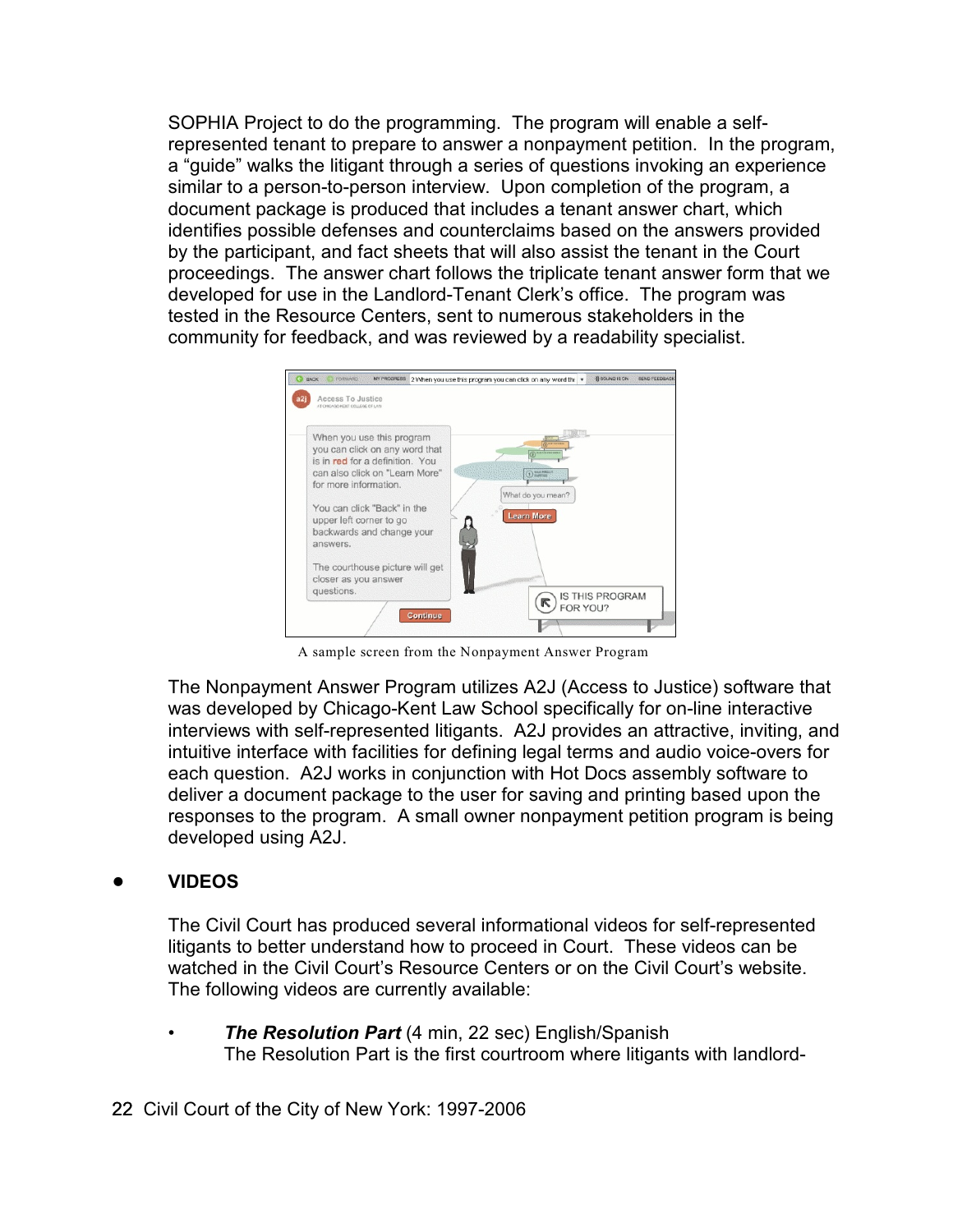SOPHIA Project to do the programming. The program will enable a selfrepresented tenant to prepare to answer a nonpayment petition. In the program, a "guide" walks the litigant through a series of questions invoking an experience similar to a person-to-person interview. Upon completion of the program, a document package is produced that includes a tenant answer chart, which identifies possible defenses and counterclaims based on the answers provided by the participant, and fact sheets that will also assist the tenant in the Court proceedings. The answer chart follows the triplicate tenant answer form that we developed for use in the Landlord-Tenant Clerk's office. The program was tested in the Resource Centers, sent to numerous stakeholders in the community for feedback, and was reviewed by a readability specialist.



A sample screen from the Nonpayment Answer Program

The Nonpayment Answer Program utilizes A2J (Access to Justice) software that was developed by Chicago-Kent Law School specifically for on-line interactive interviews with self-represented litigants. A2J provides an attractive, inviting, and intuitive interface with facilities for defining legal terms and audio voice-overs for each question. A2J works in conjunction with Hot Docs assembly software to deliver a document package to the user for saving and printing based upon the responses to the program. A small owner nonpayment petition program is being developed using A2J.

## ! **VIDEOS**

The Civil Court has produced several informational videos for self-represented litigants to better understand how to proceed in Court. These videos can be watched in the Civil Court's Resource Centers or on the Civil Court's website. The following videos are currently available:

• *The Resolution Part* (4 min, 22 sec) English/Spanish The Resolution Part is the first courtroom where litigants with landlord-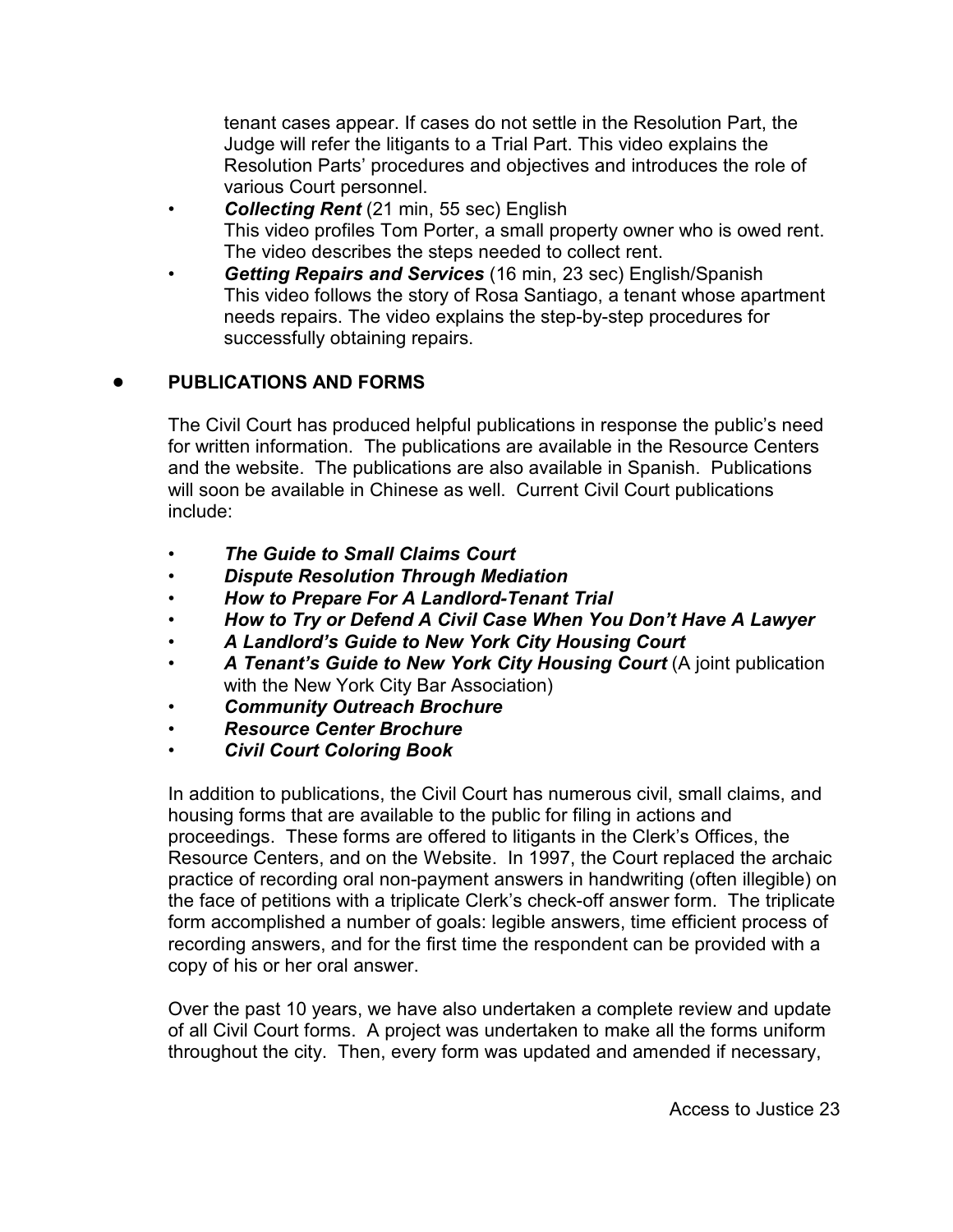tenant cases appear. If cases do not settle in the Resolution Part, the Judge will refer the litigants to a Trial Part. This video explains the Resolution Parts' procedures and objectives and introduces the role of various Court personnel.

- *Collecting Rent* (21 min, 55 sec) English This video profiles Tom Porter, a small property owner who is owed rent. The video describes the steps needed to collect rent.
- *Getting Repairs and Services* (16 min, 23 sec) English/Spanish This video follows the story of Rosa Santiago, a tenant whose apartment needs repairs. The video explains the step-by-step procedures for successfully obtaining repairs.

## ! **PUBLICATIONS AND FORMS**

The Civil Court has produced helpful publications in response the public's need for written information. The publications are available in the Resource Centers and the website. The publications are also available in Spanish. Publications will soon be available in Chinese as well. Current Civil Court publications include:

- *The Guide to Small Claims Court*
- *Dispute Resolution Through Mediation*
- *How to Prepare For A Landlord-Tenant Trial*
- *How to Try or Defend A Civil Case When You Don't Have A Lawyer*
- *A Landlord's Guide to New York City Housing Court*
- *A Tenant's Guide to New York City Housing Court* (A joint publication with the New York City Bar Association)
- *Community Outreach Brochure*
- *Resource Center Brochure*
- *Civil Court Coloring Book*

In addition to publications, the Civil Court has numerous civil, small claims, and housing forms that are available to the public for filing in actions and proceedings. These forms are offered to litigants in the Clerk's Offices, the Resource Centers, and on the Website. In 1997, the Court replaced the archaic practice of recording oral non-payment answers in handwriting (often illegible) on the face of petitions with a triplicate Clerk's check-off answer form. The triplicate form accomplished a number of goals: legible answers, time efficient process of recording answers, and for the first time the respondent can be provided with a copy of his or her oral answer.

Over the past 10 years, we have also undertaken a complete review and update of all Civil Court forms. A project was undertaken to make all the forms uniform throughout the city. Then, every form was updated and amended if necessary,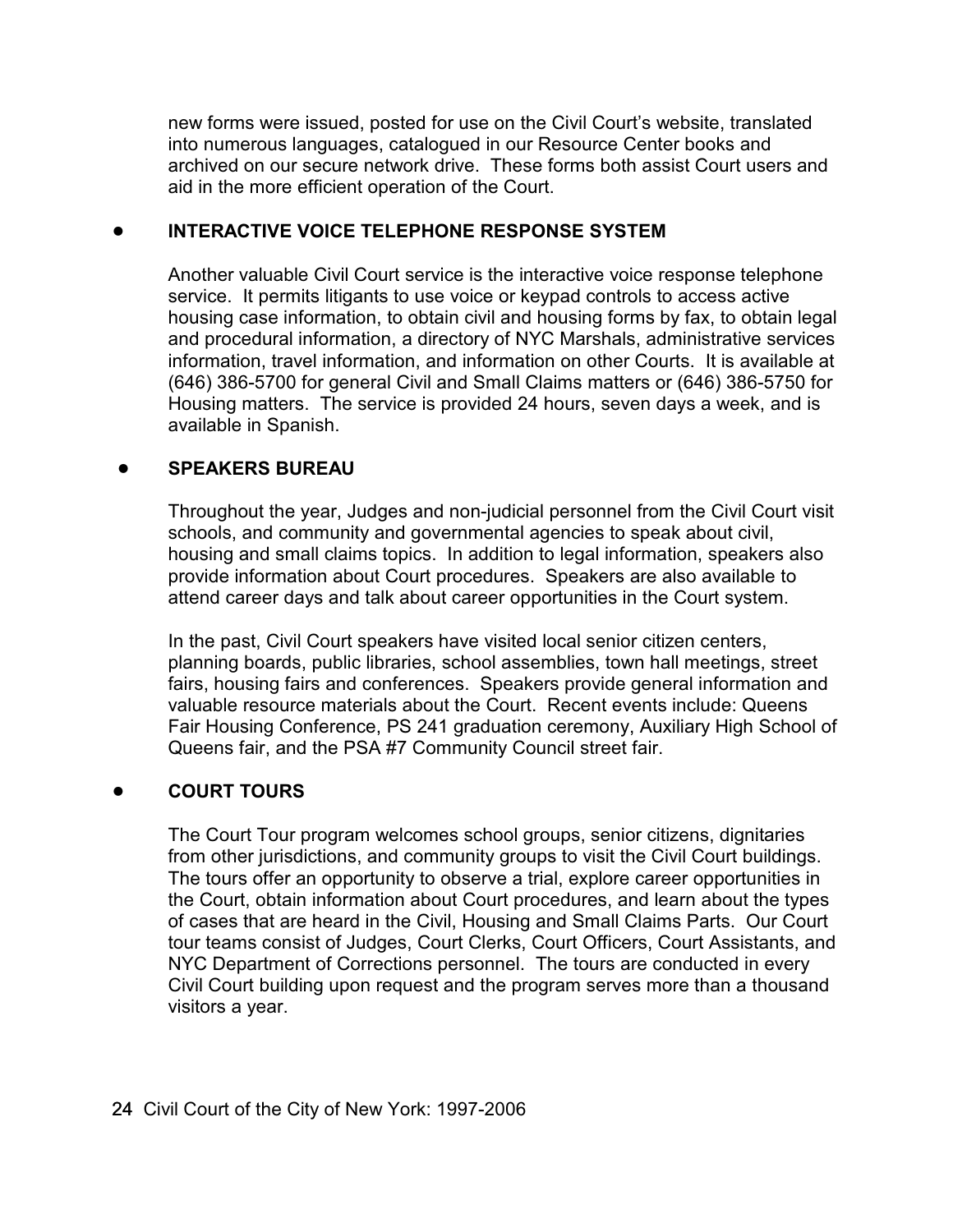new forms were issued, posted for use on the Civil Court's website, translated into numerous languages, catalogued in our Resource Center books and archived on our secure network drive. These forms both assist Court users and aid in the more efficient operation of the Court.

#### ! **INTERACTIVE VOICE TELEPHONE RESPONSE SYSTEM**

Another valuable Civil Court service is the interactive voice response telephone service. It permits litigants to use voice or keypad controls to access active housing case information, to obtain civil and housing forms by fax, to obtain legal and procedural information, a directory of NYC Marshals, administrative services information, travel information, and information on other Courts. It is available at (646) 386-5700 for general Civil and Small Claims matters or (646) 386-5750 for Housing matters. The service is provided 24 hours, seven days a week, and is available in Spanish.

## ! **SPEAKERS BUREAU**

Throughout the year, Judges and non-judicial personnel from the Civil Court visit schools, and community and governmental agencies to speak about civil, housing and small claims topics. In addition to legal information, speakers also provide information about Court procedures. Speakers are also available to attend career days and talk about career opportunities in the Court system.

In the past, Civil Court speakers have visited local senior citizen centers, planning boards, public libraries, school assemblies, town hall meetings, street fairs, housing fairs and conferences. Speakers provide general information and valuable resource materials about the Court. Recent events include: Queens Fair Housing Conference, PS 241 graduation ceremony, Auxiliary High School of Queens fair, and the PSA #7 Community Council street fair.

## ! **COURT TOURS**

The Court Tour program welcomes school groups, senior citizens, dignitaries from other jurisdictions, and community groups to visit the Civil Court buildings. The tours offer an opportunity to observe a trial, explore career opportunities in the Court, obtain information about Court procedures, and learn about the types of cases that are heard in the Civil, Housing and Small Claims Parts. Our Court tour teams consist of Judges, Court Clerks, Court Officers, Court Assistants, and NYC Department of Corrections personnel. The tours are conducted in every Civil Court building upon request and the program serves more than a thousand visitors a year.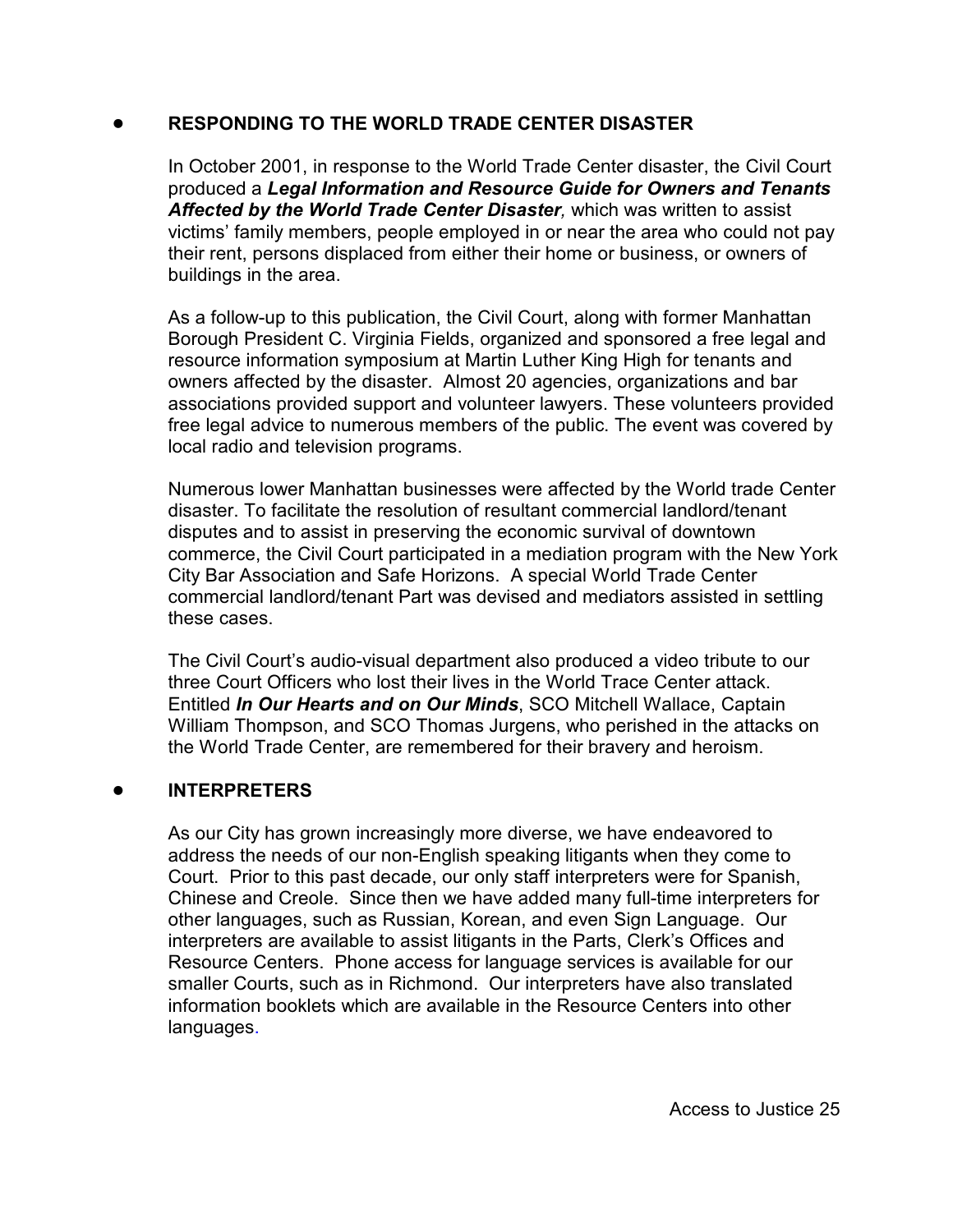## ! **RESPONDING TO THE WORLD TRADE CENTER DISASTER**

In October 2001, in response to the World Trade Center disaster, the Civil Court produced a *Legal Information and Resource Guide for Owners and Tenants Affected by the World Trade Center Disaster,* which was written to assist victims' family members, people employed in or near the area who could not pay their rent, persons displaced from either their home or business, or owners of buildings in the area.

As a follow-up to this publication, the Civil Court, along with former Manhattan Borough President C. Virginia Fields, organized and sponsored a free legal and resource information symposium at Martin Luther King High for tenants and owners affected by the disaster. Almost 20 agencies, organizations and bar associations provided support and volunteer lawyers. These volunteers provided free legal advice to numerous members of the public. The event was covered by local radio and television programs.

Numerous lower Manhattan businesses were affected by the World trade Center disaster. To facilitate the resolution of resultant commercial landlord/tenant disputes and to assist in preserving the economic survival of downtown commerce, the Civil Court participated in a mediation program with the New York City Bar Association and Safe Horizons. A special World Trade Center commercial landlord/tenant Part was devised and mediators assisted in settling these cases.

The Civil Court's audio-visual department also produced a video tribute to our three Court Officers who lost their lives in the World Trace Center attack. Entitled *In Our Hearts and on Our Minds*, SCO Mitchell Wallace, Captain William Thompson, and SCO Thomas Jurgens, who perished in the attacks on the World Trade Center, are remembered for their bravery and heroism.

#### ! **INTERPRETERS**

As our City has grown increasingly more diverse, we have endeavored to address the needs of our non-English speaking litigants when they come to Court. Prior to this past decade, our only staff interpreters were for Spanish, Chinese and Creole. Since then we have added many full-time interpreters for other languages, such as Russian, Korean, and even Sign Language. Our interpreters are available to assist litigants in the Parts, Clerk's Offices and Resource Centers. Phone access for language services is available for our smaller Courts, such as in Richmond. Our interpreters have also translated information booklets which are available in the Resource Centers into other languages.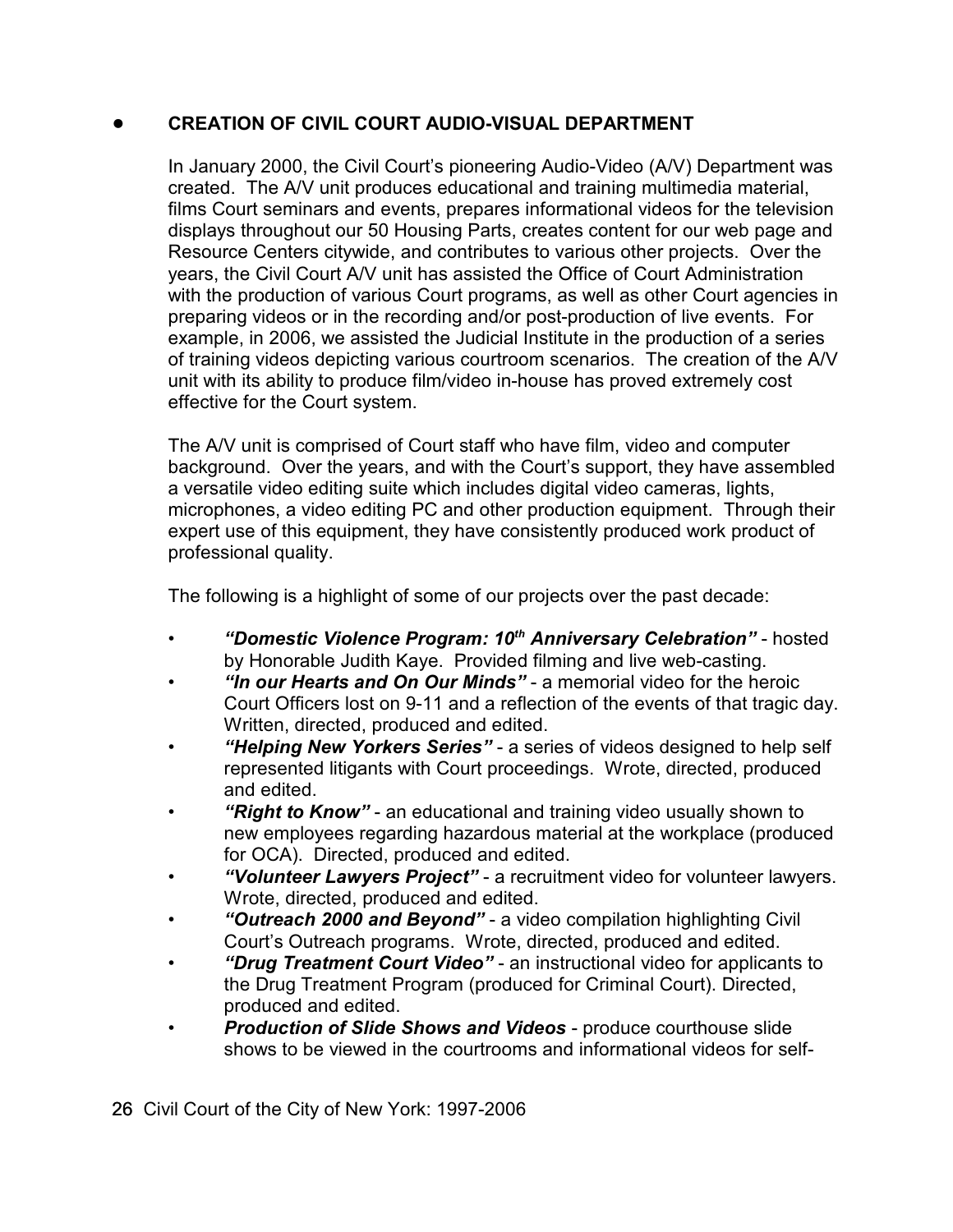## ! **CREATION OF CIVIL COURT AUDIO-VISUAL DEPARTMENT**

In January 2000, the Civil Court's pioneering Audio-Video (A/V) Department was created. The A/V unit produces educational and training multimedia material, films Court seminars and events, prepares informational videos for the television displays throughout our 50 Housing Parts, creates content for our web page and Resource Centers citywide, and contributes to various other projects. Over the years, the Civil Court A/V unit has assisted the Office of Court Administration with the production of various Court programs, as well as other Court agencies in preparing videos or in the recording and/or post-production of live events. For example, in 2006, we assisted the Judicial Institute in the production of a series of training videos depicting various courtroom scenarios. The creation of the A/V unit with its ability to produce film/video in-house has proved extremely cost effective for the Court system.

The A/V unit is comprised of Court staff who have film, video and computer background. Over the years, and with the Court's support, they have assembled a versatile video editing suite which includes digital video cameras, lights, microphones, a video editing PC and other production equipment. Through their expert use of this equipment, they have consistently produced work product of professional quality.

The following is a highlight of some of our projects over the past decade:

- *"Domestic Violence Program: 10<sup>th</sup> Anniversary Celebration"* **hosted** by Honorable Judith Kaye. Provided filming and live web-casting.
- *"In our Hearts and On Our Minds"*  a memorial video for the heroic Court Officers lost on 9-11 and a reflection of the events of that tragic day. Written, directed, produced and edited.
- *"Helping New Yorkers Series"*  a series of videos designed to help self represented litigants with Court proceedings. Wrote, directed, produced and edited.
- *"Right to Know"*  an educational and training video usually shown to new employees regarding hazardous material at the workplace (produced for OCA). Directed, produced and edited.
- *"Volunteer Lawyers Project"*  a recruitment video for volunteer lawyers. Wrote, directed, produced and edited.
- *"Outreach 2000 and Beyond"*  a video compilation highlighting Civil Court's Outreach programs. Wrote, directed, produced and edited.
- *"Drug Treatment Court Video"*  an instructional video for applicants to the Drug Treatment Program (produced for Criminal Court). Directed, produced and edited.
- *Production of Slide Shows and Videos* produce courthouse slide shows to be viewed in the courtrooms and informational videos for self-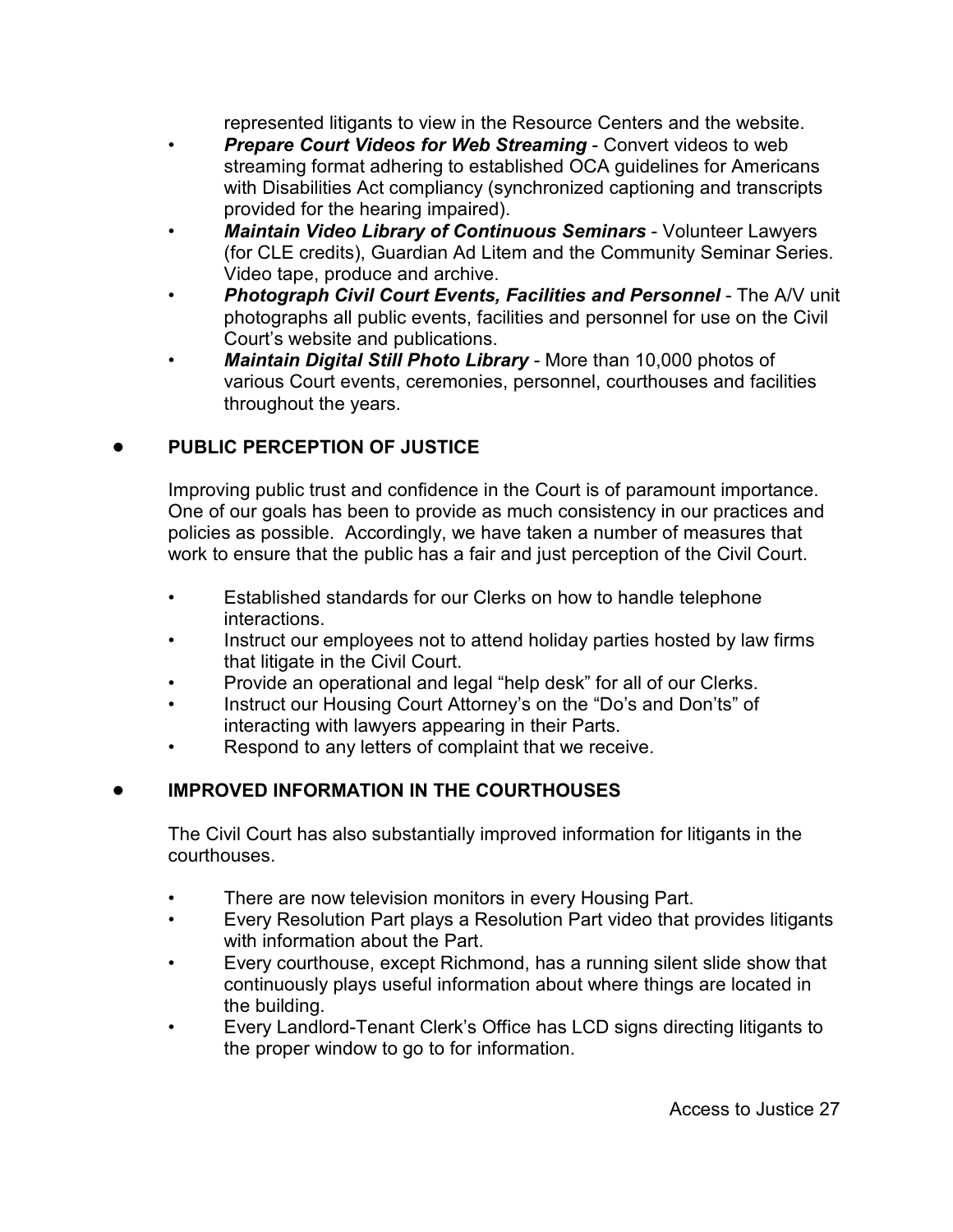represented litigants to view in the Resource Centers and the website.

- **Prepare Court Videos for Web Streaming Convert videos to web** streaming format adhering to established OCA guidelines for Americans with Disabilities Act compliancy (synchronized captioning and transcripts provided for the hearing impaired).
- *Maintain Video Library of Continuous Seminars*  Volunteer Lawyers (for CLE credits), Guardian Ad Litem and the Community Seminar Series. Video tape, produce and archive.
- *Photograph Civil Court Events, Facilities and Personnel* The A/V unit photographs all public events, facilities and personnel for use on the Civil Court's website and publications.
- *Maintain Digital Still Photo Library*  More than 10,000 photos of various Court events, ceremonies, personnel, courthouses and facilities throughout the years.

## ! **PUBLIC PERCEPTION OF JUSTICE**

Improving public trust and confidence in the Court is of paramount importance. One of our goals has been to provide as much consistency in our practices and policies as possible. Accordingly, we have taken a number of measures that work to ensure that the public has a fair and just perception of the Civil Court.

- Established standards for our Clerks on how to handle telephone interactions.
- Instruct our employees not to attend holiday parties hosted by law firms that litigate in the Civil Court.
- Provide an operational and legal "help desk" for all of our Clerks.
- Instruct our Housing Court Attorney's on the "Do's and Don'ts" of interacting with lawyers appearing in their Parts.
- Respond to any letters of complaint that we receive.

## ! **IMPROVED INFORMATION IN THE COURTHOUSES**

The Civil Court has also substantially improved information for litigants in the courthouses.

- There are now television monitors in every Housing Part.
- Every Resolution Part plays a Resolution Part video that provides litigants with information about the Part.
- Every courthouse, except Richmond, has a running silent slide show that continuously plays useful information about where things are located in the building.
- Every Landlord-Tenant Clerk's Office has LCD signs directing litigants to the proper window to go to for information.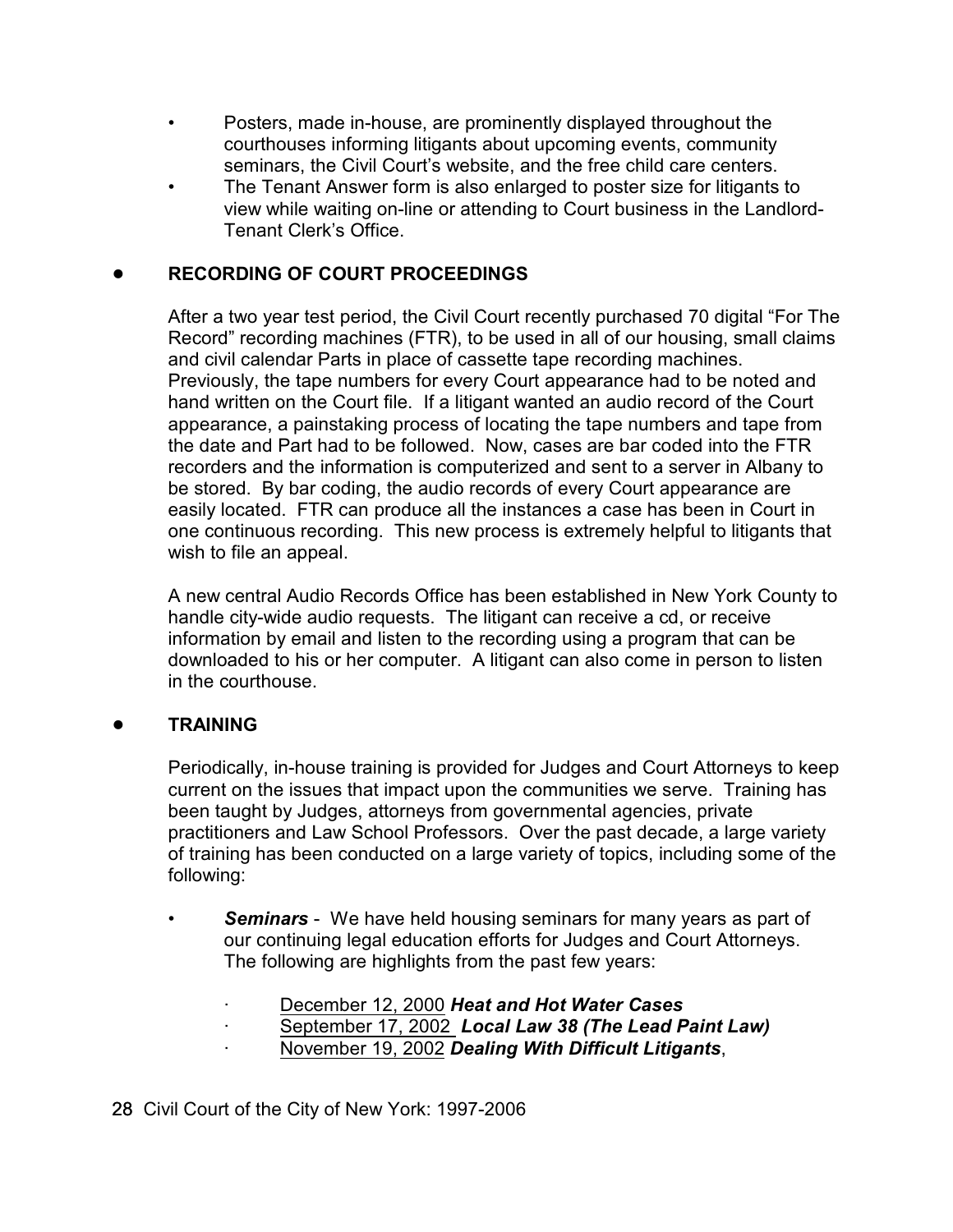- Posters, made in-house, are prominently displayed throughout the courthouses informing litigants about upcoming events, community seminars, the Civil Court's website, and the free child care centers.
- The Tenant Answer form is also enlarged to poster size for litigants to view while waiting on-line or attending to Court business in the Landlord-Tenant Clerk's Office.

## ! **RECORDING OF COURT PROCEEDINGS**

After a two year test period, the Civil Court recently purchased 70 digital "For The Record" recording machines (FTR), to be used in all of our housing, small claims and civil calendar Parts in place of cassette tape recording machines. Previously, the tape numbers for every Court appearance had to be noted and hand written on the Court file. If a litigant wanted an audio record of the Court appearance, a painstaking process of locating the tape numbers and tape from the date and Part had to be followed. Now, cases are bar coded into the FTR recorders and the information is computerized and sent to a server in Albany to be stored. By bar coding, the audio records of every Court appearance are easily located. FTR can produce all the instances a case has been in Court in one continuous recording. This new process is extremely helpful to litigants that wish to file an appeal.

A new central Audio Records Office has been established in New York County to handle city-wide audio requests. The litigant can receive a cd, or receive information by email and listen to the recording using a program that can be downloaded to his or her computer. A litigant can also come in person to listen in the courthouse.

## ! **TRAINING**

Periodically, in-house training is provided for Judges and Court Attorneys to keep current on the issues that impact upon the communities we serve. Training has been taught by Judges, attorneys from governmental agencies, private practitioners and Law School Professors. Over the past decade, a large variety of training has been conducted on a large variety of topics, including some of the following:

- *Seminars* We have held housing seminars for many years as part of our continuing legal education efforts for Judges and Court Attorneys. The following are highlights from the past few years:
	- · December 12, 2000 *Heat and Hot Water Cases*
	- · September 17, 2002 *Local Law 38 (The Lead Paint Law)*
	- · November 19, 2002 *Dealing With Difficult Litigants*,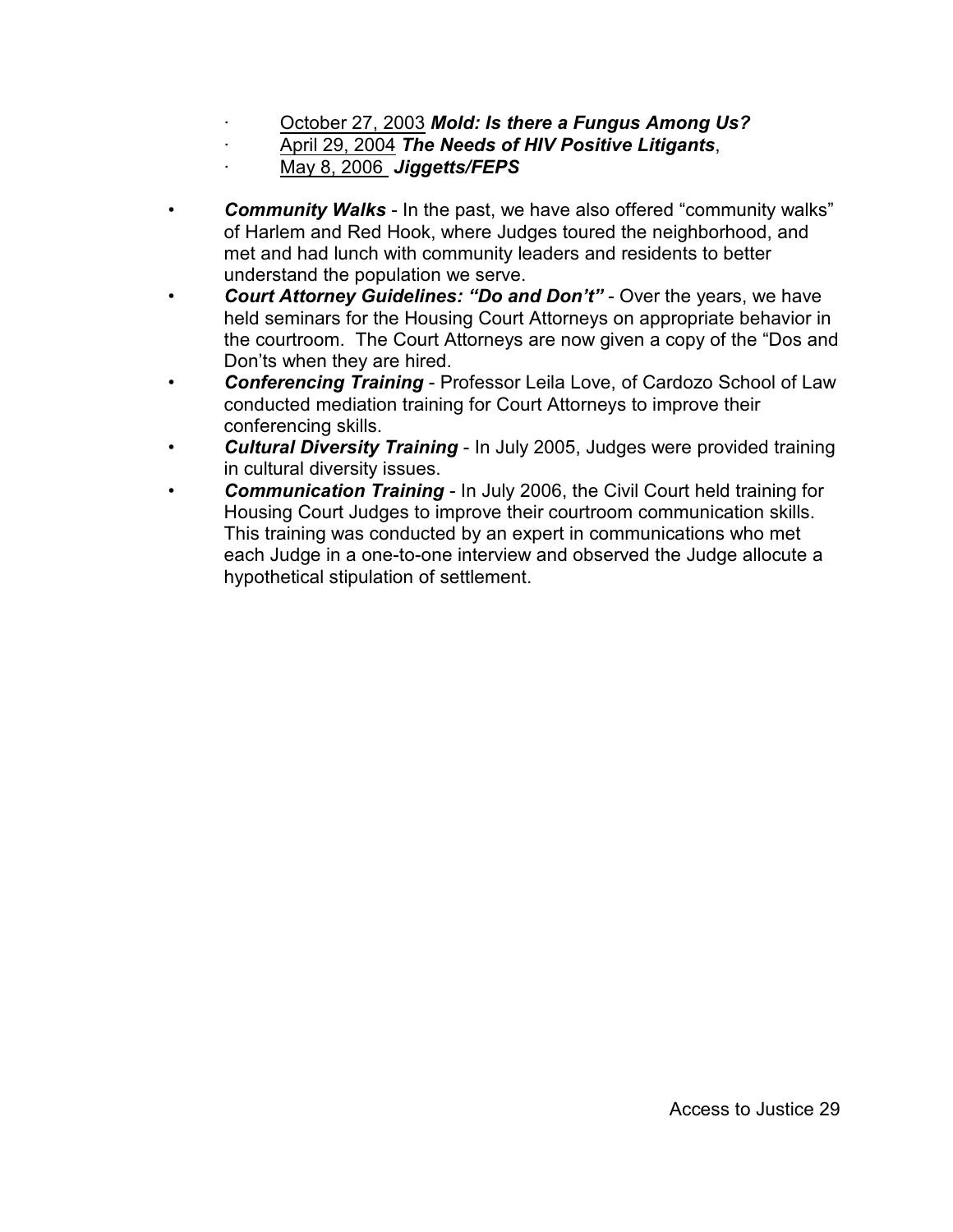- · October 27, 2003 *Mold: Is there a Fungus Among Us?*
- · April 29, 2004 *The Needs of HIV Positive Litigants*,
- · May 8, 2006 *Jiggetts/FEPS*
- *Community Walks* In the past, we have also offered "community walks" of Harlem and Red Hook, where Judges toured the neighborhood, and met and had lunch with community leaders and residents to better understand the population we serve.
- *Court Attorney Guidelines: "Do and Don't"* Over the years, we have held seminars for the Housing Court Attorneys on appropriate behavior in the courtroom. The Court Attorneys are now given a copy of the "Dos and Don'ts when they are hired.
- *Conferencing Training* Professor Leila Love, of Cardozo School of Law conducted mediation training for Court Attorneys to improve their conferencing skills.
- *Cultural Diversity Training* In July 2005, Judges were provided training in cultural diversity issues.
- *Communication Training* In July 2006, the Civil Court held training for Housing Court Judges to improve their courtroom communication skills. This training was conducted by an expert in communications who met each Judge in a one-to-one interview and observed the Judge allocute a hypothetical stipulation of settlement.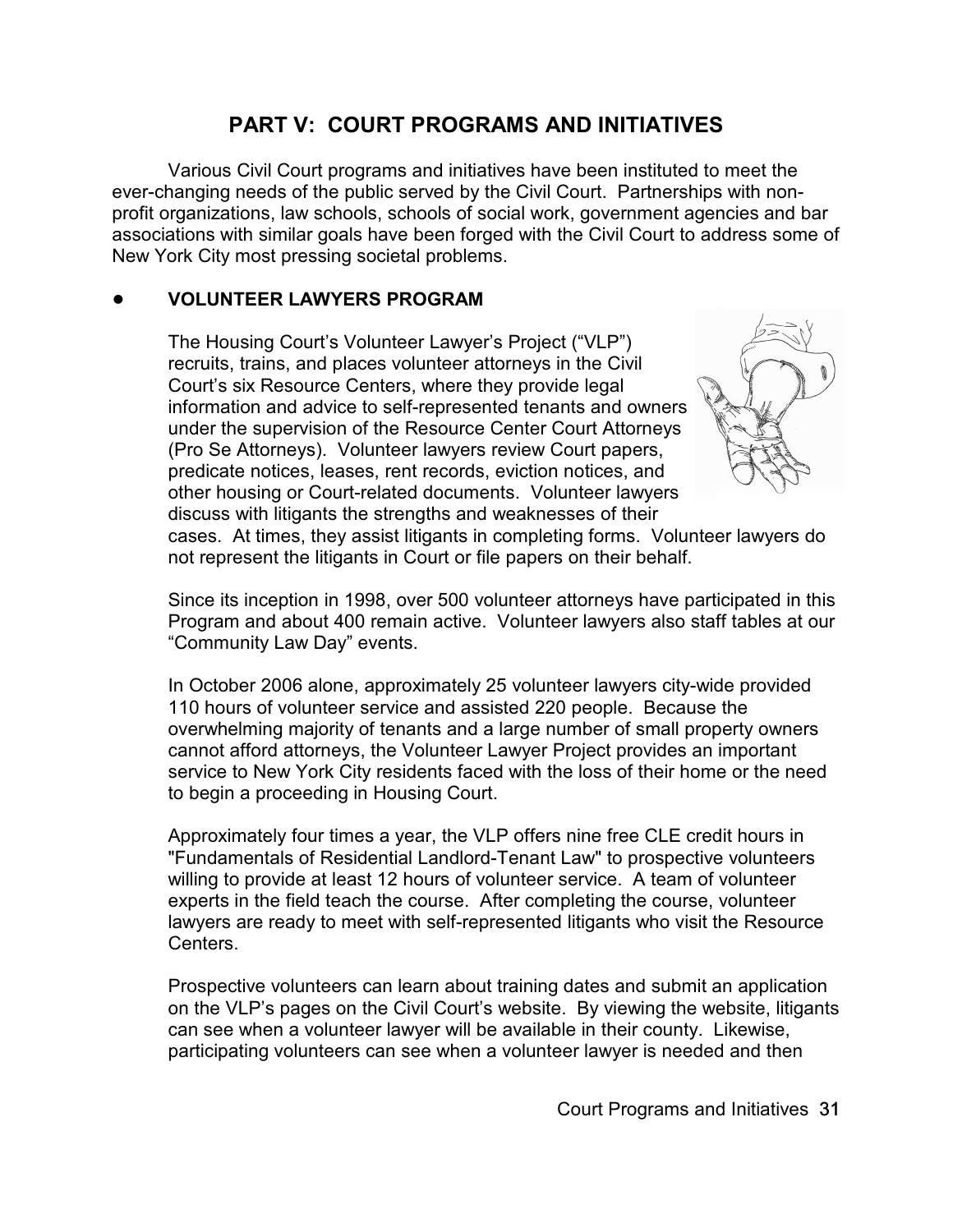# **PART V: COURT PROGRAMS AND INITIATIVES**

Various Civil Court programs and initiatives have been instituted to meet the ever-changing needs of the public served by the Civil Court. Partnerships with nonprofit organizations, law schools, schools of social work, government agencies and bar associations with similar goals have been forged with the Civil Court to address some of New York City most pressing societal problems.

## ! **VOLUNTEER LAWYERS PROGRAM**

The Housing Court's Volunteer Lawyer's Project ("VLP") recruits, trains, and places volunteer attorneys in the Civil Court's six Resource Centers, where they provide legal information and advice to self-represented tenants and owners under the supervision of the Resource Center Court Attorneys (Pro Se Attorneys). Volunteer lawyers review Court papers, predicate notices, leases, rent records, eviction notices, and other housing or Court-related documents. Volunteer lawyers discuss with litigants the strengths and weaknesses of their



cases. At times, they assist litigants in completing forms. Volunteer lawyers do not represent the litigants in Court or file papers on their behalf.

Since its inception in 1998, over 500 volunteer attorneys have participated in this Program and about 400 remain active. Volunteer lawyers also staff tables at our "Community Law Day" events.

In October 2006 alone, approximately 25 volunteer lawyers city-wide provided 110 hours of volunteer service and assisted 220 people. Because the overwhelming majority of tenants and a large number of small property owners cannot afford attorneys, the Volunteer Lawyer Project provides an important service to New York City residents faced with the loss of their home or the need to begin a proceeding in Housing Court.

Approximately four times a year, the VLP offers nine free CLE credit hours in "Fundamentals of Residential Landlord-Tenant Law" to prospective volunteers willing to provide at least 12 hours of volunteer service. A team of volunteer experts in the field teach the course. After completing the course, volunteer lawyers are ready to meet with self-represented litigants who visit the Resource Centers.

Prospective volunteers can learn about training dates and submit an application on the VLP's pages on the Civil Court's website. By viewing the website, litigants can see when a volunteer lawyer will be available in their county. Likewise, participating volunteers can see when a volunteer lawyer is needed and then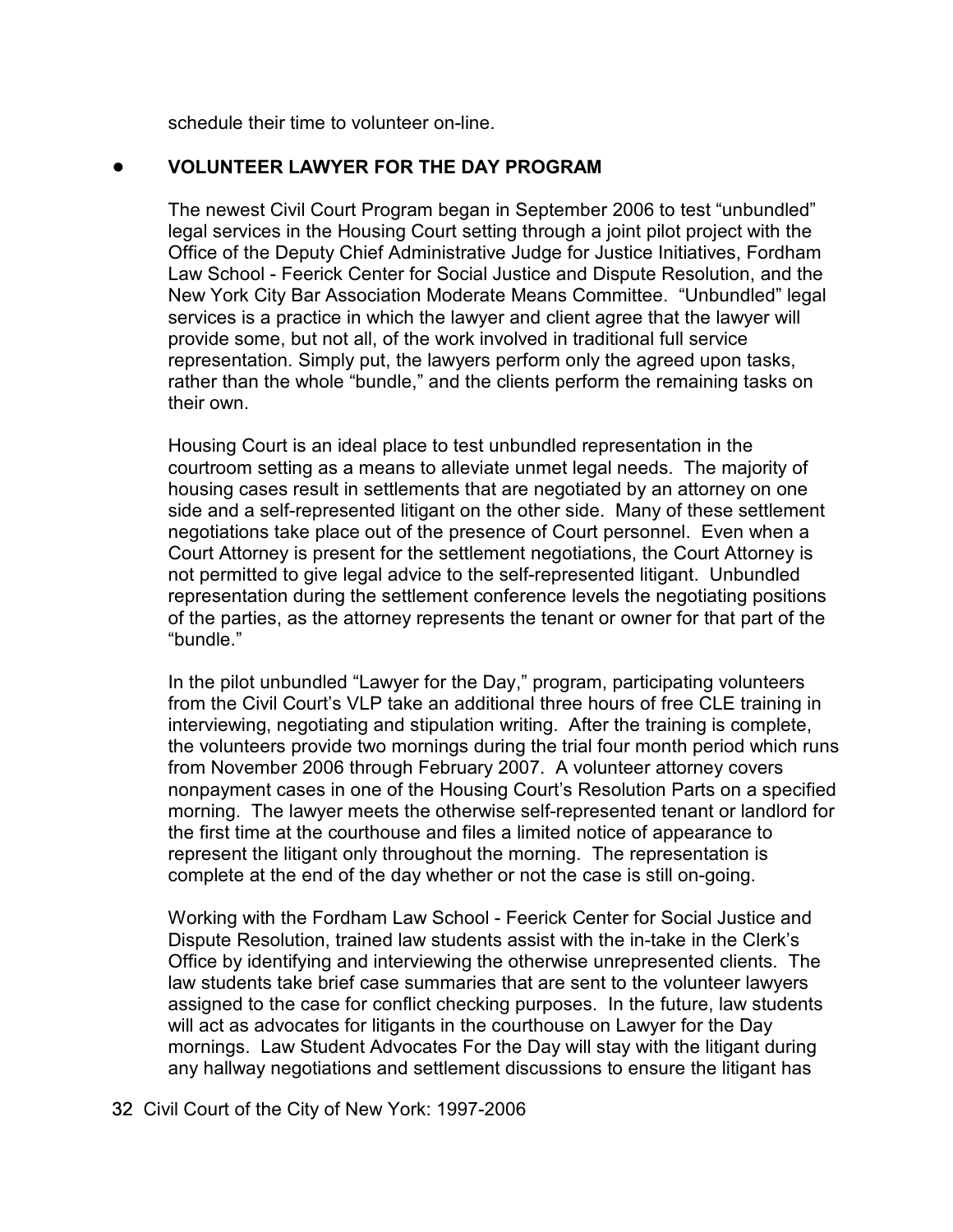schedule their time to volunteer on-line.

## ! **VOLUNTEER LAWYER FOR THE DAY PROGRAM**

The newest Civil Court Program began in September 2006 to test "unbundled" legal services in the Housing Court setting through a joint pilot project with the Office of the Deputy Chief Administrative Judge for Justice Initiatives, Fordham Law School - Feerick Center for Social Justice and Dispute Resolution, and the New York City Bar Association Moderate Means Committee. "Unbundled" legal services is a practice in which the lawyer and client agree that the lawyer will provide some, but not all, of the work involved in traditional full service representation. Simply put, the lawyers perform only the agreed upon tasks, rather than the whole "bundle," and the clients perform the remaining tasks on their own.

Housing Court is an ideal place to test unbundled representation in the courtroom setting as a means to alleviate unmet legal needs. The majority of housing cases result in settlements that are negotiated by an attorney on one side and a self-represented litigant on the other side. Many of these settlement negotiations take place out of the presence of Court personnel. Even when a Court Attorney is present for the settlement negotiations, the Court Attorney is not permitted to give legal advice to the self-represented litigant. Unbundled representation during the settlement conference levels the negotiating positions of the parties, as the attorney represents the tenant or owner for that part of the "bundle."

In the pilot unbundled "Lawyer for the Day," program, participating volunteers from the Civil Court's VLP take an additional three hours of free CLE training in interviewing, negotiating and stipulation writing. After the training is complete, the volunteers provide two mornings during the trial four month period which runs from November 2006 through February 2007. A volunteer attorney covers nonpayment cases in one of the Housing Court's Resolution Parts on a specified morning. The lawyer meets the otherwise self-represented tenant or landlord for the first time at the courthouse and files a limited notice of appearance to represent the litigant only throughout the morning. The representation is complete at the end of the day whether or not the case is still on-going.

Working with the Fordham Law School - Feerick Center for Social Justice and Dispute Resolution, trained law students assist with the in-take in the Clerk's Office by identifying and interviewing the otherwise unrepresented clients. The law students take brief case summaries that are sent to the volunteer lawyers assigned to the case for conflict checking purposes. In the future, law students will act as advocates for litigants in the courthouse on Lawyer for the Day mornings. Law Student Advocates For the Day will stay with the litigant during any hallway negotiations and settlement discussions to ensure the litigant has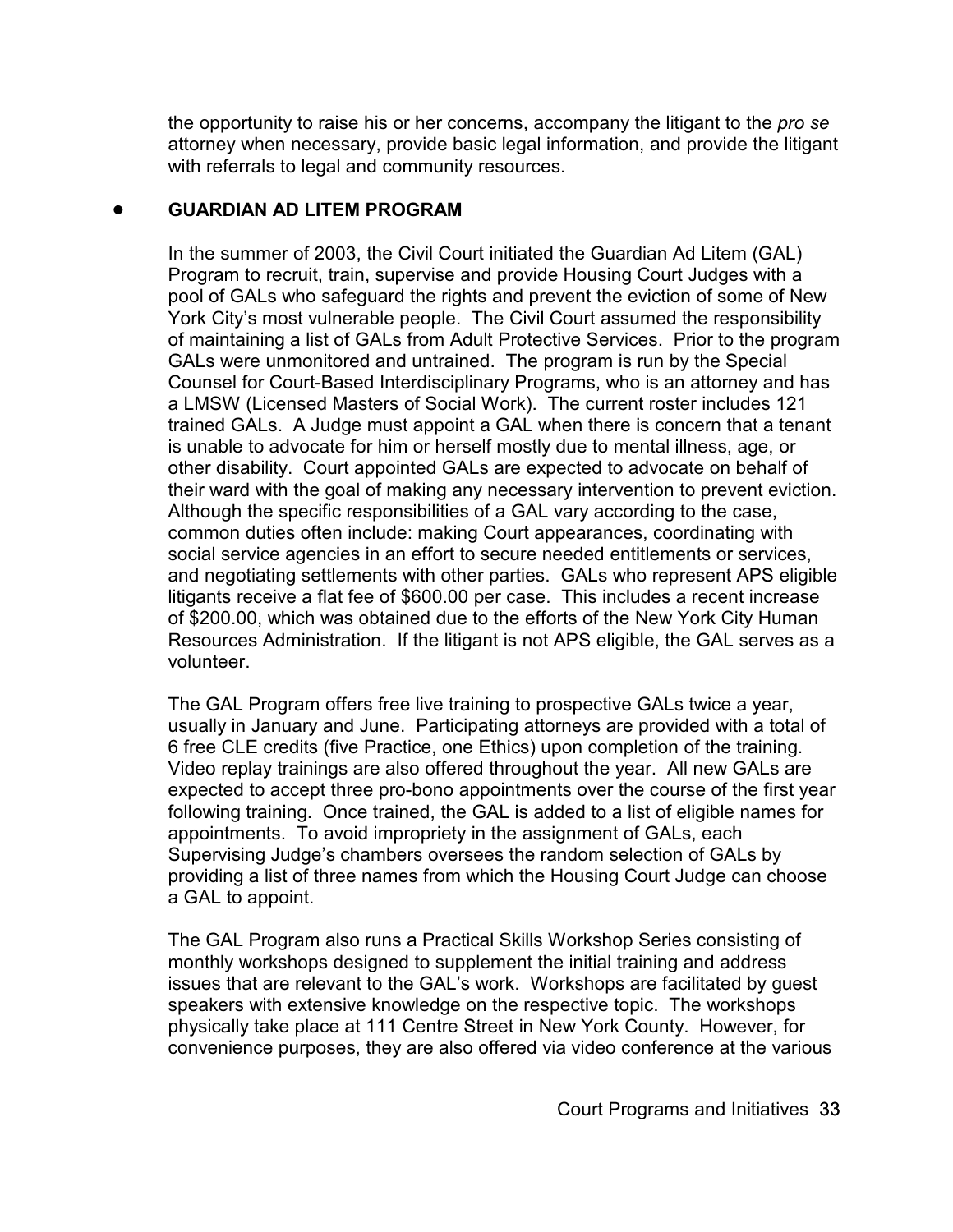the opportunity to raise his or her concerns, accompany the litigant to the *pro se* attorney when necessary, provide basic legal information, and provide the litigant with referrals to legal and community resources.

## ! **GUARDIAN AD LITEM PROGRAM**

In the summer of 2003, the Civil Court initiated the Guardian Ad Litem (GAL) Program to recruit, train, supervise and provide Housing Court Judges with a pool of GALs who safeguard the rights and prevent the eviction of some of New York City's most vulnerable people. The Civil Court assumed the responsibility of maintaining a list of GALs from Adult Protective Services. Prior to the program GALs were unmonitored and untrained. The program is run by the Special Counsel for Court-Based Interdisciplinary Programs, who is an attorney and has a LMSW (Licensed Masters of Social Work). The current roster includes 121 trained GALs. A Judge must appoint a GAL when there is concern that a tenant is unable to advocate for him or herself mostly due to mental illness, age, or other disability. Court appointed GALs are expected to advocate on behalf of their ward with the goal of making any necessary intervention to prevent eviction. Although the specific responsibilities of a GAL vary according to the case, common duties often include: making Court appearances, coordinating with social service agencies in an effort to secure needed entitlements or services, and negotiating settlements with other parties. GALs who represent APS eligible litigants receive a flat fee of \$600.00 per case. This includes a recent increase of \$200.00, which was obtained due to the efforts of the New York City Human Resources Administration. If the litigant is not APS eligible, the GAL serves as a volunteer.

The GAL Program offers free live training to prospective GALs twice a year, usually in January and June. Participating attorneys are provided with a total of 6 free CLE credits (five Practice, one Ethics) upon completion of the training. Video replay trainings are also offered throughout the year. All new GALs are expected to accept three pro-bono appointments over the course of the first year following training. Once trained, the GAL is added to a list of eligible names for appointments. To avoid impropriety in the assignment of GALs, each Supervising Judge's chambers oversees the random selection of GALs by providing a list of three names from which the Housing Court Judge can choose a GAL to appoint.

The GAL Program also runs a Practical Skills Workshop Series consisting of monthly workshops designed to supplement the initial training and address issues that are relevant to the GAL's work. Workshops are facilitated by guest speakers with extensive knowledge on the respective topic. The workshops physically take place at 111 Centre Street in New York County. However, for convenience purposes, they are also offered via video conference at the various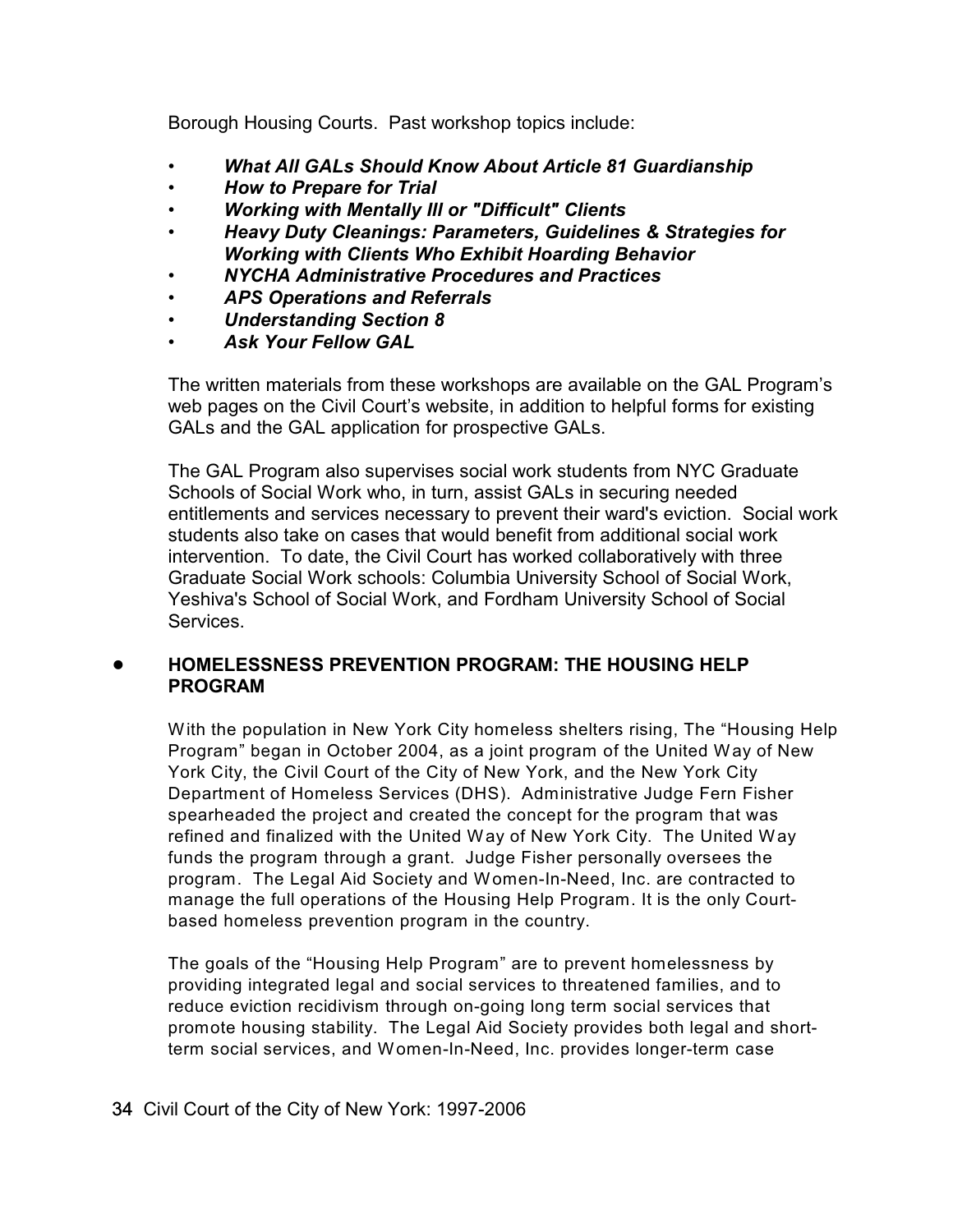Borough Housing Courts. Past workshop topics include:

- *What All GALs Should Know About Article 81 Guardianship*
- *• How to Prepare for Trial*
- *• Working with Mentally Ill or "Difficult" Clients*
- *• Heavy Duty Cleanings: Parameters, Guidelines & Strategies for Working with Clients Who Exhibit Hoarding Behavior*
- *• NYCHA Administrative Procedures and Practices*
- *• APS Operations and Referrals*
- *• Understanding Section 8*
- *Ask Your Fellow GAL*

The written materials from these workshops are available on the GAL Program's web pages on the Civil Court's website, in addition to helpful forms for existing GALs and the GAL application for prospective GALs.

The GAL Program also supervises social work students from NYC Graduate Schools of Social Work who, in turn, assist GALs in securing needed entitlements and services necessary to prevent their ward's eviction. Social work students also take on cases that would benefit from additional social work intervention. To date, the Civil Court has worked collaboratively with three Graduate Social Work schools: Columbia University School of Social Work, Yeshiva's School of Social Work, and Fordham University School of Social Services.

## ! **HOMELESSNESS PREVENTION PROGRAM: THE HOUSING HELP PROGRAM**

With the population in New York City homeless shelters rising, The "Housing Help Program" began in October 2004, as a joint program of the United Way of New York City, the Civil Court of the City of New York, and the New York City Department of Homeless Services (DHS). Administrative Judge Fern Fisher spearheaded the project and created the concept for the program that was refined and finalized with the United Way of New York City. The United Way funds the program through a grant. Judge Fisher personally oversees the program. The Legal Aid Society and Women-In-Need, Inc. are contracted to manage the full operations of the Housing Help Program. It is the only Courtbased homeless prevention program in the country.

The goals of the "Housing Help Program" are to prevent homelessness by providing integrated legal and social services to threatened families, and to reduce eviction recidivism through on-going long term social services that promote housing stability. The Legal Aid Society provides both legal and shortterm social services, and Women-In-Need, Inc. provides longer-term case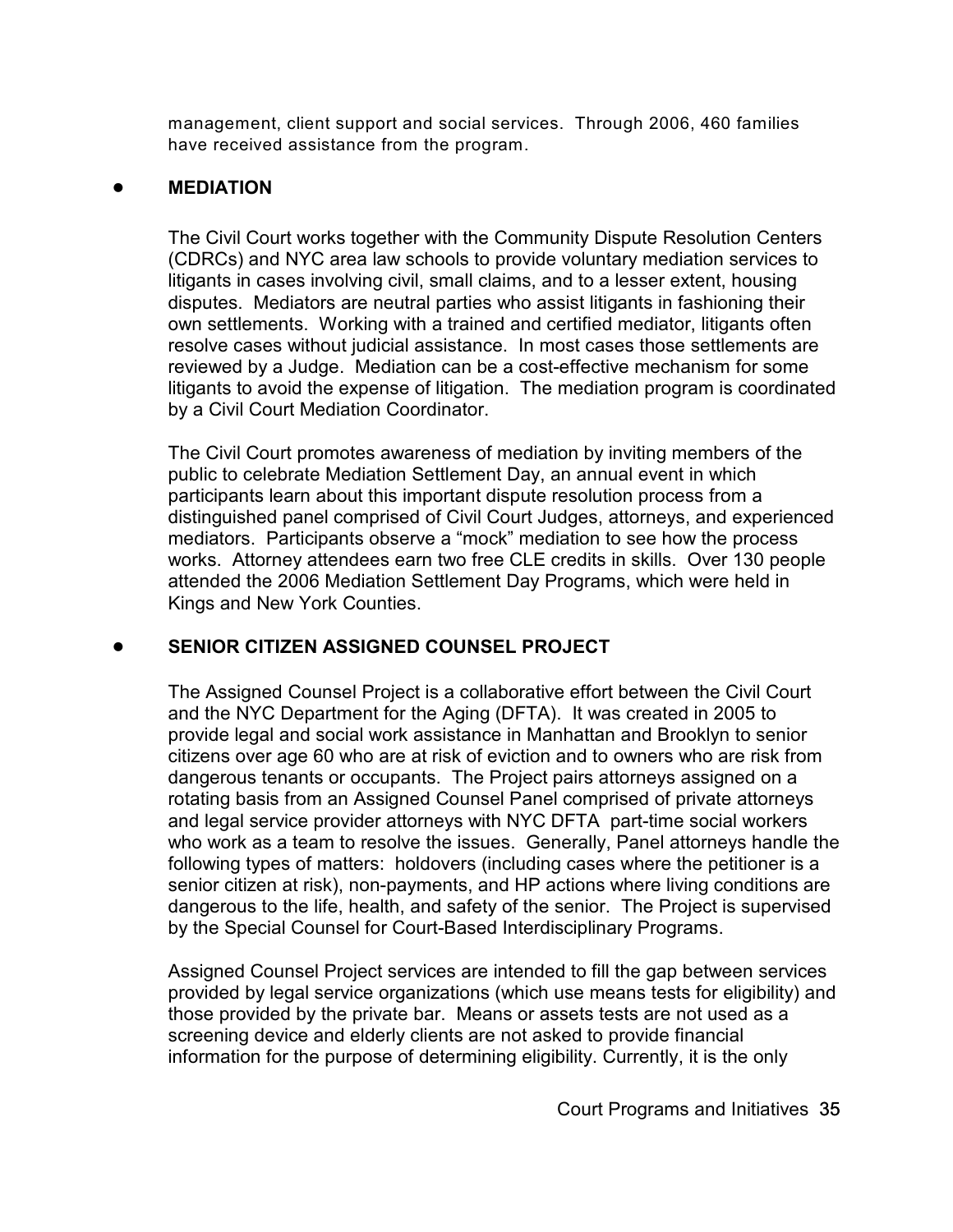management, client support and social services. Through 2006, 460 families have received assistance from the program.

## ! **MEDIATION**

The Civil Court works together with the Community Dispute Resolution Centers (CDRCs) and NYC area law schools to provide voluntary mediation services to litigants in cases involving civil, small claims, and to a lesser extent, housing disputes. Mediators are neutral parties who assist litigants in fashioning their own settlements. Working with a trained and certified mediator, litigants often resolve cases without judicial assistance. In most cases those settlements are reviewed by a Judge. Mediation can be a cost-effective mechanism for some litigants to avoid the expense of litigation. The mediation program is coordinated by a Civil Court Mediation Coordinator.

The Civil Court promotes awareness of mediation by inviting members of the public to celebrate Mediation Settlement Day, an annual event in which participants learn about this important dispute resolution process from a distinguished panel comprised of Civil Court Judges, attorneys, and experienced mediators. Participants observe a "mock" mediation to see how the process works. Attorney attendees earn two free CLE credits in skills. Over 130 people attended the 2006 Mediation Settlement Day Programs, which were held in Kings and New York Counties.

## ! **SENIOR CITIZEN ASSIGNED COUNSEL PROJECT**

The Assigned Counsel Project is a collaborative effort between the Civil Court and the NYC Department for the Aging (DFTA). It was created in 2005 to provide legal and social work assistance in Manhattan and Brooklyn to senior citizens over age 60 who are at risk of eviction and to owners who are risk from dangerous tenants or occupants. The Project pairs attorneys assigned on a rotating basis from an Assigned Counsel Panel comprised of private attorneys and legal service provider attorneys with NYC DFTA part-time social workers who work as a team to resolve the issues. Generally, Panel attorneys handle the following types of matters: holdovers (including cases where the petitioner is a senior citizen at risk), non-payments, and HP actions where living conditions are dangerous to the life, health, and safety of the senior. The Project is supervised by the Special Counsel for Court-Based Interdisciplinary Programs.

Assigned Counsel Project services are intended to fill the gap between services provided by legal service organizations (which use means tests for eligibility) and those provided by the private bar. Means or assets tests are not used as a screening device and elderly clients are not asked to provide financial information for the purpose of determining eligibility. Currently, it is the only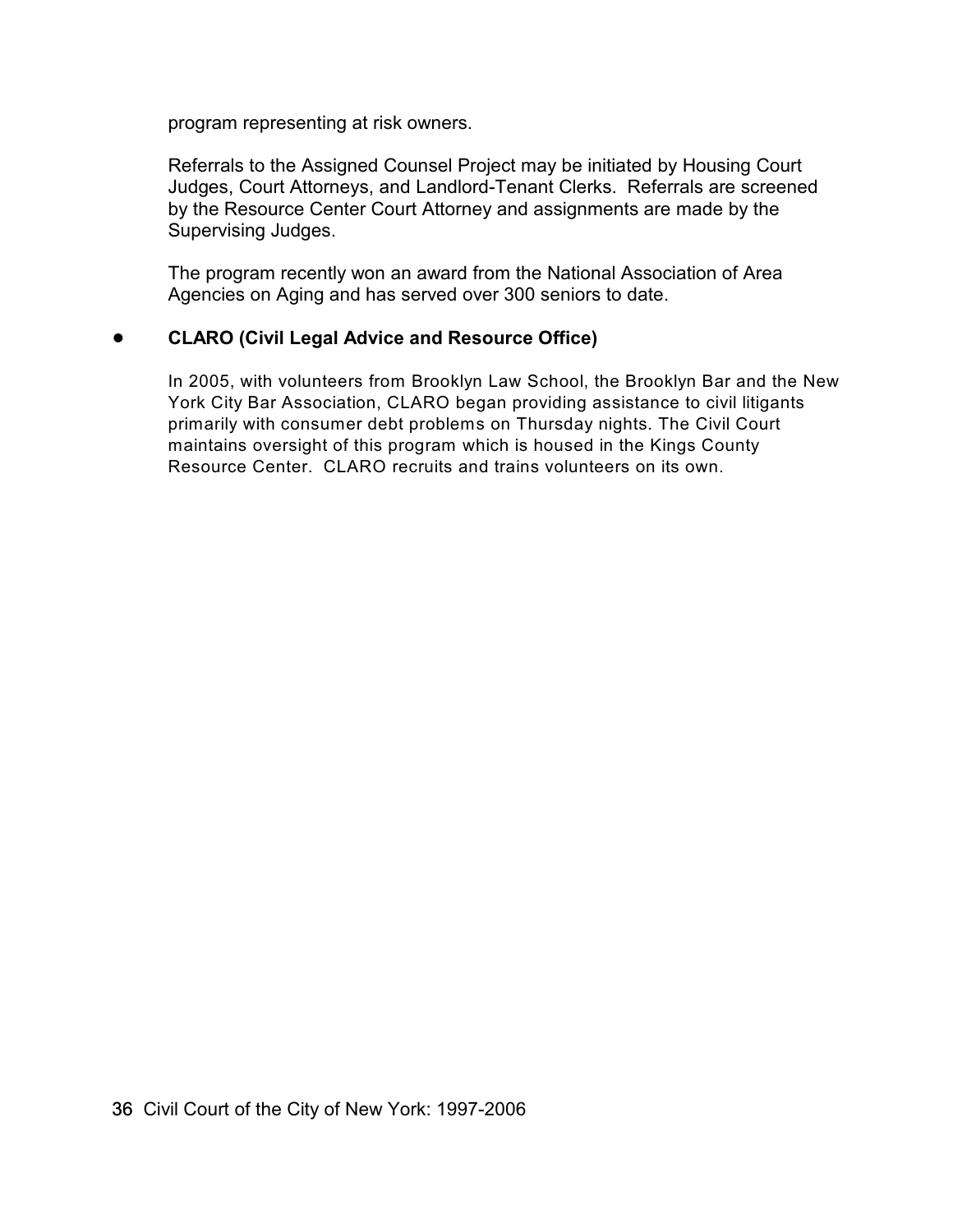program representing at risk owners.

Referrals to the Assigned Counsel Project may be initiated by Housing Court Judges, Court Attorneys, and Landlord-Tenant Clerks. Referrals are screened by the Resource Center Court Attorney and assignments are made by the Supervising Judges.

The program recently won an award from the National Association of Area Agencies on Aging and has served over 300 seniors to date.

#### ! **CLARO (Civil Legal Advice and Resource Office)**

In 2005, with volunteers from Brooklyn Law School, the Brooklyn Bar and the New York City Bar Association, CLARO began providing assistance to civil litigants primarily with consumer debt problems on Thursday nights. The Civil Court maintains oversight of this program which is housed in the Kings County Resource Center. CLARO recruits and trains volunteers on its own.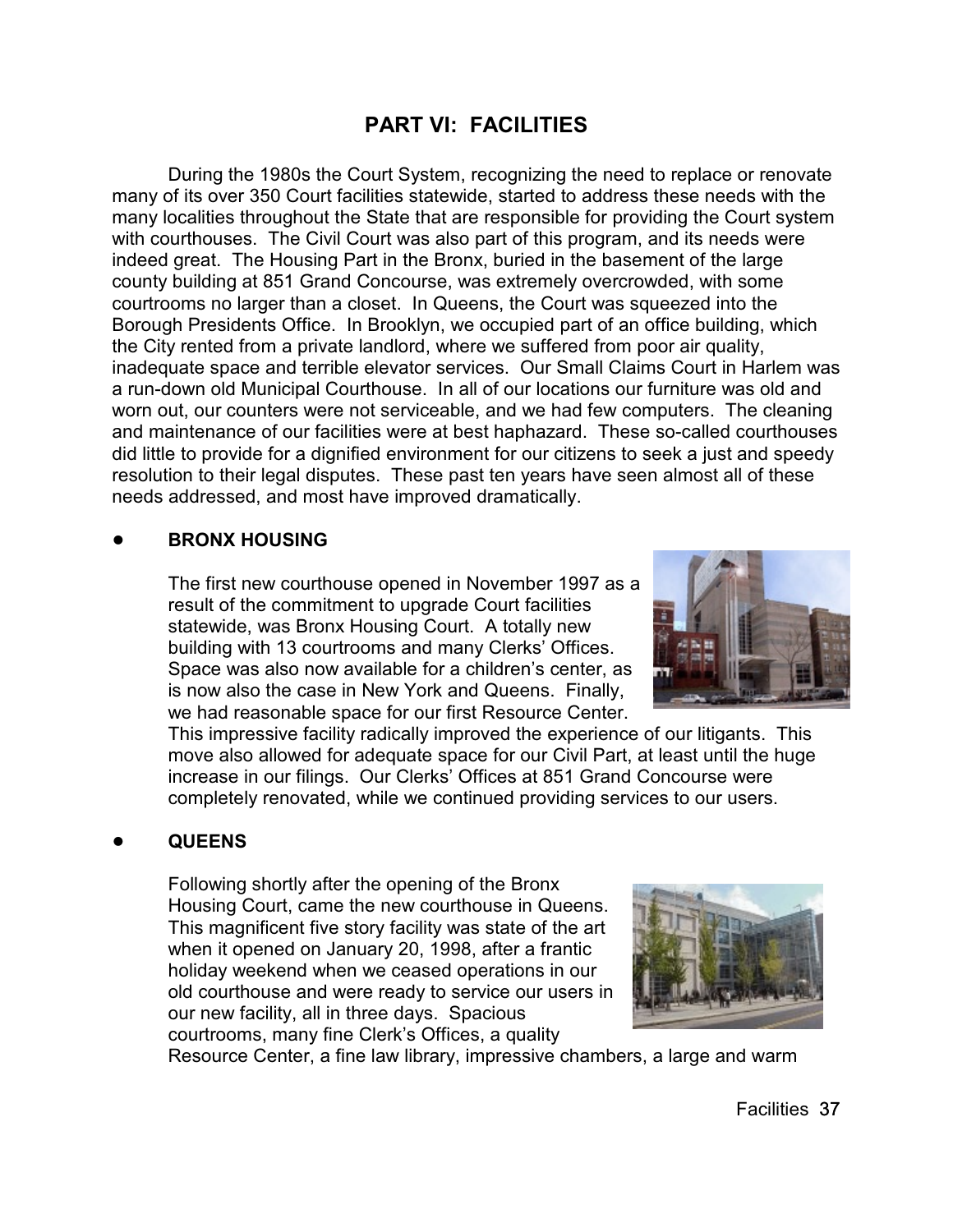# **PART VI: FACILITIES**

During the 1980s the Court System, recognizing the need to replace or renovate many of its over 350 Court facilities statewide, started to address these needs with the many localities throughout the State that are responsible for providing the Court system with courthouses. The Civil Court was also part of this program, and its needs were indeed great. The Housing Part in the Bronx, buried in the basement of the large county building at 851 Grand Concourse, was extremely overcrowded, with some courtrooms no larger than a closet. In Queens, the Court was squeezed into the Borough Presidents Office. In Brooklyn, we occupied part of an office building, which the City rented from a private landlord, where we suffered from poor air quality, inadequate space and terrible elevator services. Our Small Claims Court in Harlem was a run-down old Municipal Courthouse. In all of our locations our furniture was old and worn out, our counters were not serviceable, and we had few computers. The cleaning and maintenance of our facilities were at best haphazard. These so-called courthouses did little to provide for a dignified environment for our citizens to seek a just and speedy resolution to their legal disputes. These past ten years have seen almost all of these needs addressed, and most have improved dramatically.

#### ! **BRONX HOUSING**

The first new courthouse opened in November 1997 as a result of the commitment to upgrade Court facilities statewide, was Bronx Housing Court. A totally new building with 13 courtrooms and many Clerks' Offices. Space was also now available for a children's center, as is now also the case in New York and Queens. Finally, we had reasonable space for our first Resource Center.



This impressive facility radically improved the experience of our litigants. This move also allowed for adequate space for our Civil Part, at least until the huge increase in our filings. Our Clerks' Offices at 851 Grand Concourse were completely renovated, while we continued providing services to our users.

#### ! **QUEENS**

Following shortly after the opening of the Bronx Housing Court, came the new courthouse in Queens. This magnificent five story facility was state of the art when it opened on January 20, 1998, after a frantic holiday weekend when we ceased operations in our old courthouse and were ready to service our users in our new facility, all in three days. Spacious courtrooms, many fine Clerk's Offices, a quality



Resource Center, a fine law library, impressive chambers, a large and warm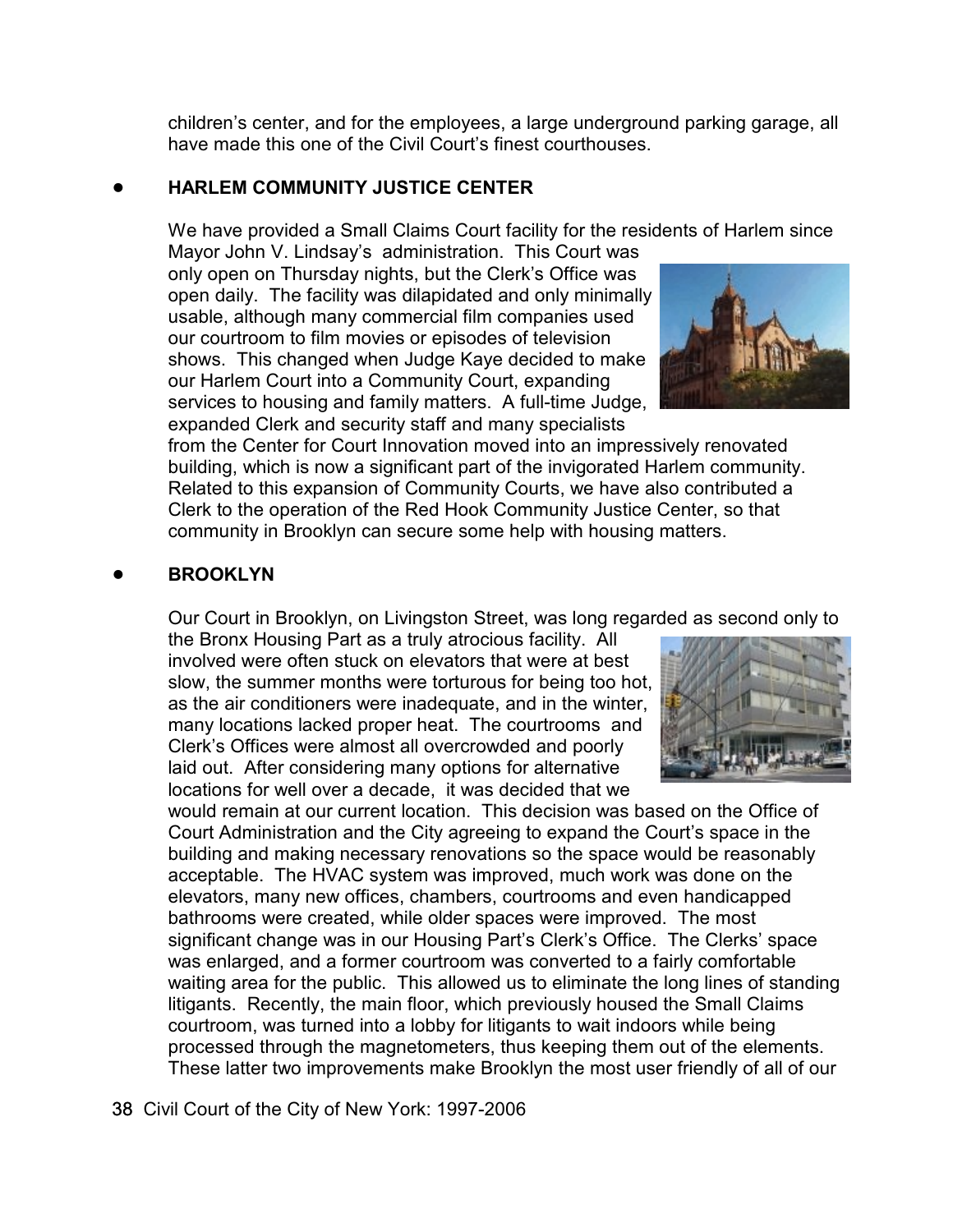children's center, and for the employees, a large underground parking garage, all have made this one of the Civil Court's finest courthouses.

#### ! **HARLEM COMMUNITY JUSTICE CENTER**

We have provided a Small Claims Court facility for the residents of Harlem since

Mayor John V. Lindsay's administration. This Court was only open on Thursday nights, but the Clerk's Office was open daily. The facility was dilapidated and only minimally usable, although many commercial film companies used our courtroom to film movies or episodes of television shows. This changed when Judge Kaye decided to make our Harlem Court into a Community Court, expanding services to housing and family matters. A full-time Judge, expanded Clerk and security staff and many specialists

from the Center for Court Innovation moved into an impressively renovated building, which is now a significant part of the invigorated Harlem community. Related to this expansion of Community Courts, we have also contributed a Clerk to the operation of the Red Hook Community Justice Center, so that community in Brooklyn can secure some help with housing matters.

#### ! **BROOKLYN**

Our Court in Brooklyn, on Livingston Street, was long regarded as second only to

the Bronx Housing Part as a truly atrocious facility. All involved were often stuck on elevators that were at best slow, the summer months were torturous for being too hot, as the air conditioners were inadequate, and in the winter, many locations lacked proper heat. The courtrooms and Clerk's Offices were almost all overcrowded and poorly laid out. After considering many options for alternative locations for well over a decade, it was decided that we

would remain at our current location. This decision was based on the Office of Court Administration and the City agreeing to expand the Court's space in the building and making necessary renovations so the space would be reasonably acceptable. The HVAC system was improved, much work was done on the elevators, many new offices, chambers, courtrooms and even handicapped bathrooms were created, while older spaces were improved. The most significant change was in our Housing Part's Clerk's Office. The Clerks' space was enlarged, and a former courtroom was converted to a fairly comfortable waiting area for the public. This allowed us to eliminate the long lines of standing litigants. Recently, the main floor, which previously housed the Small Claims courtroom, was turned into a lobby for litigants to wait indoors while being processed through the magnetometers, thus keeping them out of the elements. These latter two improvements make Brooklyn the most user friendly of all of our



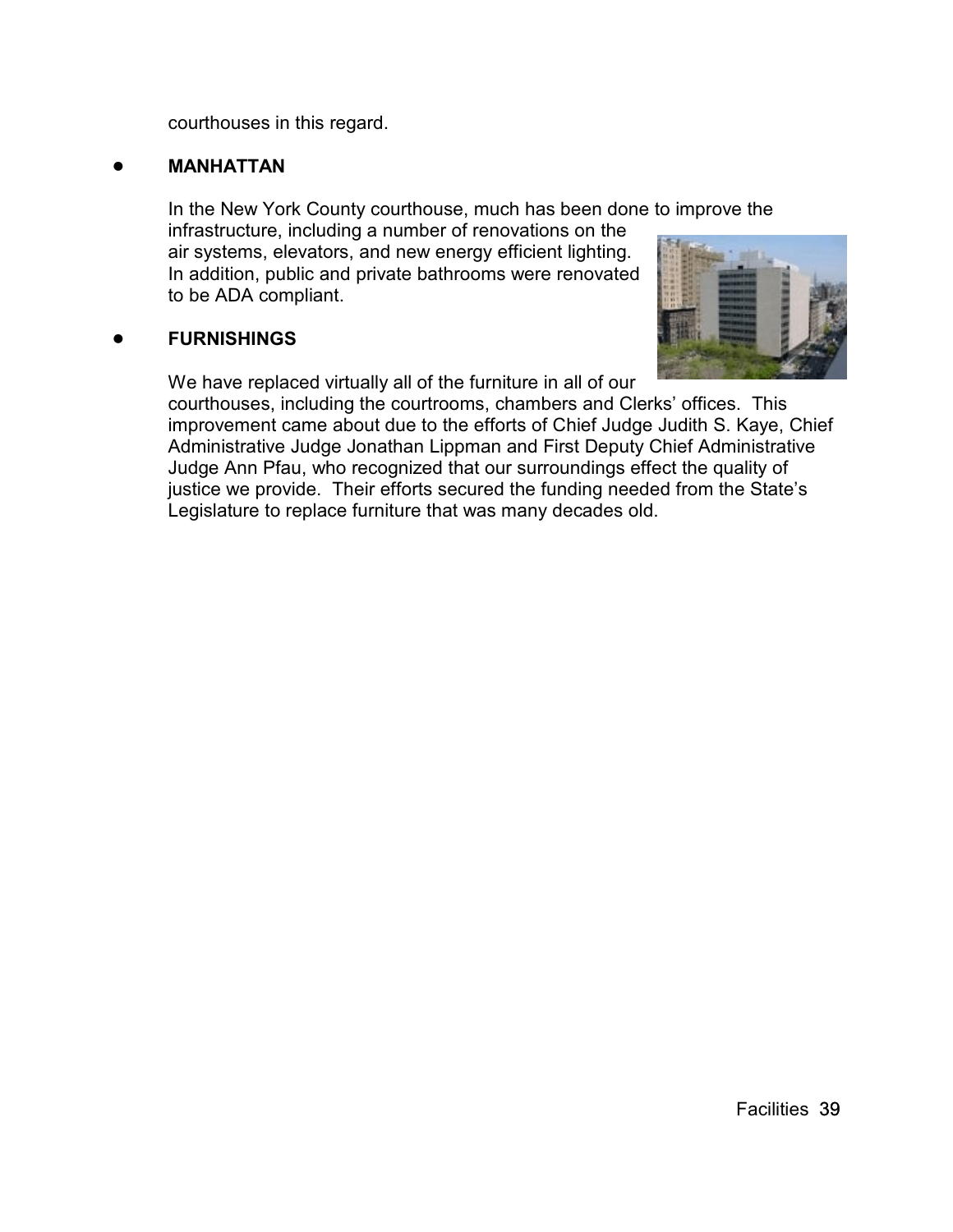courthouses in this regard.

#### ! **MANHATTAN**

In the New York County courthouse, much has been done to improve the

infrastructure, including a number of renovations on the air systems, elevators, and new energy efficient lighting. In addition, public and private bathrooms were renovated to be ADA compliant.

## ! **FURNISHINGS**

We have replaced virtually all of the furniture in all of our



courthouses, including the courtrooms, chambers and Clerks' offices. This improvement came about due to the efforts of Chief Judge Judith S. Kaye, Chief Administrative Judge Jonathan Lippman and First Deputy Chief Administrative Judge Ann Pfau, who recognized that our surroundings effect the quality of justice we provide. Their efforts secured the funding needed from the State's Legislature to replace furniture that was many decades old.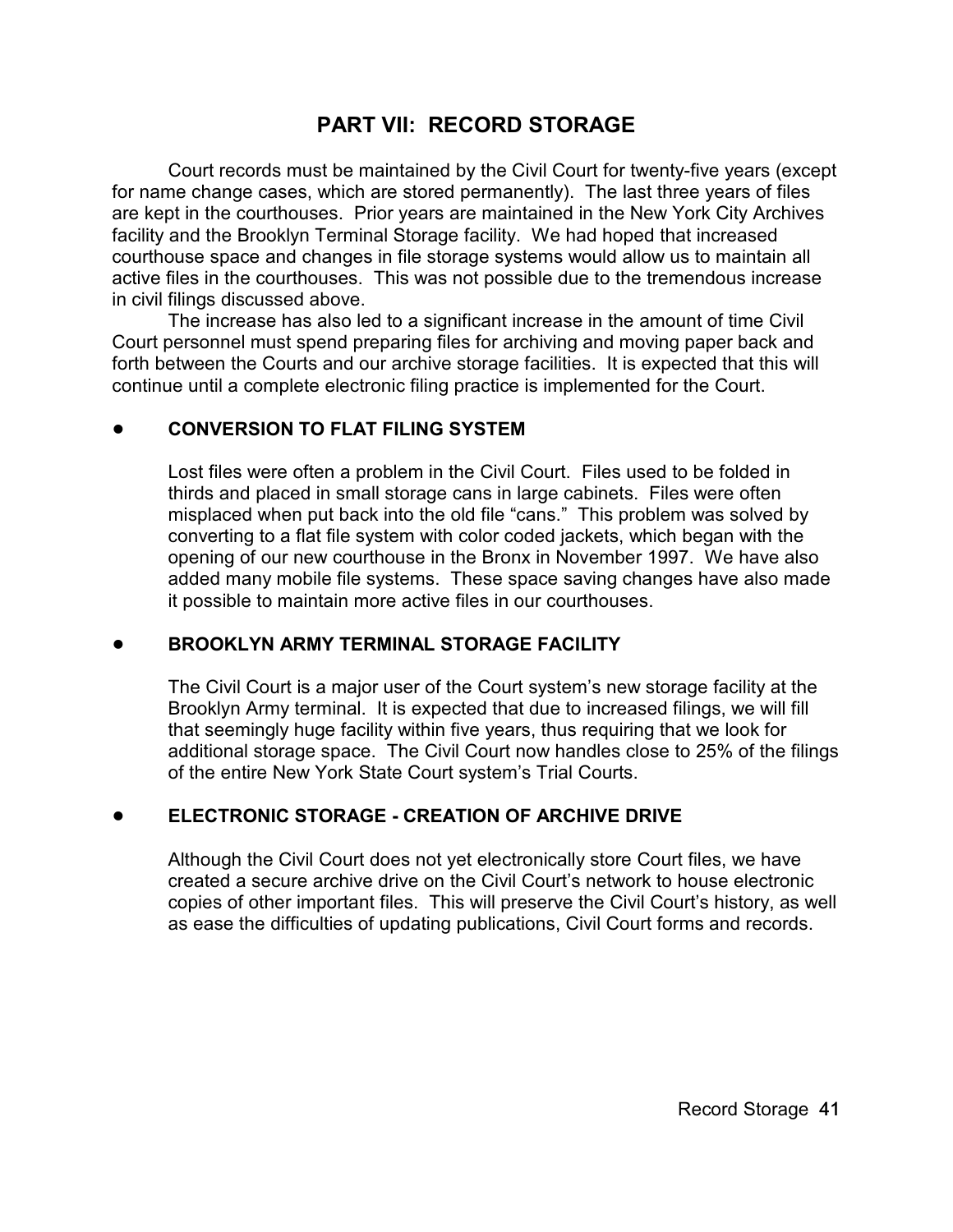# **PART VII: RECORD STORAGE**

Court records must be maintained by the Civil Court for twenty-five years (except for name change cases, which are stored permanently). The last three years of files are kept in the courthouses. Prior years are maintained in the New York City Archives facility and the Brooklyn Terminal Storage facility. We had hoped that increased courthouse space and changes in file storage systems would allow us to maintain all active files in the courthouses. This was not possible due to the tremendous increase in civil filings discussed above.

The increase has also led to a significant increase in the amount of time Civil Court personnel must spend preparing files for archiving and moving paper back and forth between the Courts and our archive storage facilities. It is expected that this will continue until a complete electronic filing practice is implemented for the Court.

## ! **CONVERSION TO FLAT FILING SYSTEM**

Lost files were often a problem in the Civil Court. Files used to be folded in thirds and placed in small storage cans in large cabinets. Files were often misplaced when put back into the old file "cans." This problem was solved by converting to a flat file system with color coded jackets, which began with the opening of our new courthouse in the Bronx in November 1997. We have also added many mobile file systems. These space saving changes have also made it possible to maintain more active files in our courthouses.

#### ! **BROOKLYN ARMY TERMINAL STORAGE FACILITY**

The Civil Court is a major user of the Court system's new storage facility at the Brooklyn Army terminal. It is expected that due to increased filings, we will fill that seemingly huge facility within five years, thus requiring that we look for additional storage space. The Civil Court now handles close to 25% of the filings of the entire New York State Court system's Trial Courts.

## ! **ELECTRONIC STORAGE - CREATION OF ARCHIVE DRIVE**

Although the Civil Court does not yet electronically store Court files, we have created a secure archive drive on the Civil Court's network to house electronic copies of other important files. This will preserve the Civil Court's history, as well as ease the difficulties of updating publications, Civil Court forms and records.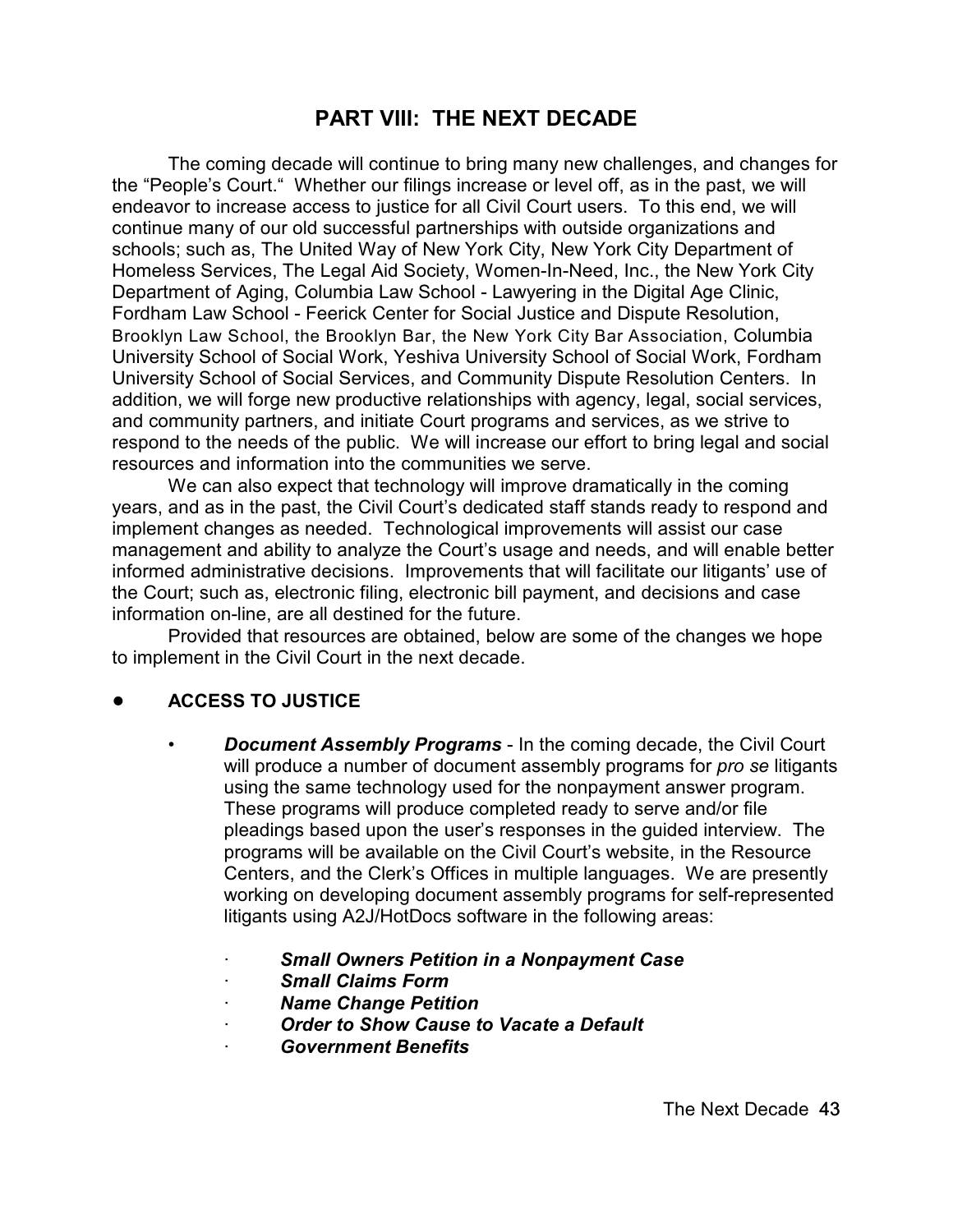# **PART VIII: THE NEXT DECADE**

The coming decade will continue to bring many new challenges, and changes for the "People's Court." Whether our filings increase or level off, as in the past, we will endeavor to increase access to justice for all Civil Court users. To this end, we will continue many of our old successful partnerships with outside organizations and schools; such as, The United Way of New York City, New York City Department of Homeless Services, The Legal Aid Society, Women-In-Need, Inc., the New York City Department of Aging, Columbia Law School - Lawyering in the Digital Age Clinic, Fordham Law School - Feerick Center for Social Justice and Dispute Resolution, Brooklyn Law School, the Brooklyn Bar, the New York City Bar Association, Columbia University School of Social Work, Yeshiva University School of Social Work, Fordham University School of Social Services, and Community Dispute Resolution Centers. In addition, we will forge new productive relationships with agency, legal, social services, and community partners, and initiate Court programs and services, as we strive to respond to the needs of the public. We will increase our effort to bring legal and social resources and information into the communities we serve.

We can also expect that technology will improve dramatically in the coming years, and as in the past, the Civil Court's dedicated staff stands ready to respond and implement changes as needed. Technological improvements will assist our case management and ability to analyze the Court's usage and needs, and will enable better informed administrative decisions. Improvements that will facilitate our litigants' use of the Court; such as, electronic filing, electronic bill payment, and decisions and case information on-line, are all destined for the future.

Provided that resources are obtained, below are some of the changes we hope to implement in the Civil Court in the next decade.

## ! **ACCESS TO JUSTICE**

- *Document Assembly Programs* In the coming decade, the Civil Court will produce a number of document assembly programs for *pro se* litigants using the same technology used for the nonpayment answer program. These programs will produce completed ready to serve and/or file pleadings based upon the user's responses in the guided interview. The programs will be available on the Civil Court's website, in the Resource Centers, and the Clerk's Offices in multiple languages. We are presently working on developing document assembly programs for self-represented litigants using A2J/HotDocs software in the following areas:
	- · *Small Owners Petition in a Nonpayment Case*
	- · *Small Claims Form*
	- · *Name Change Petition*
	- · *Order to Show Cause to Vacate a Default*
	- · *Government Benefits*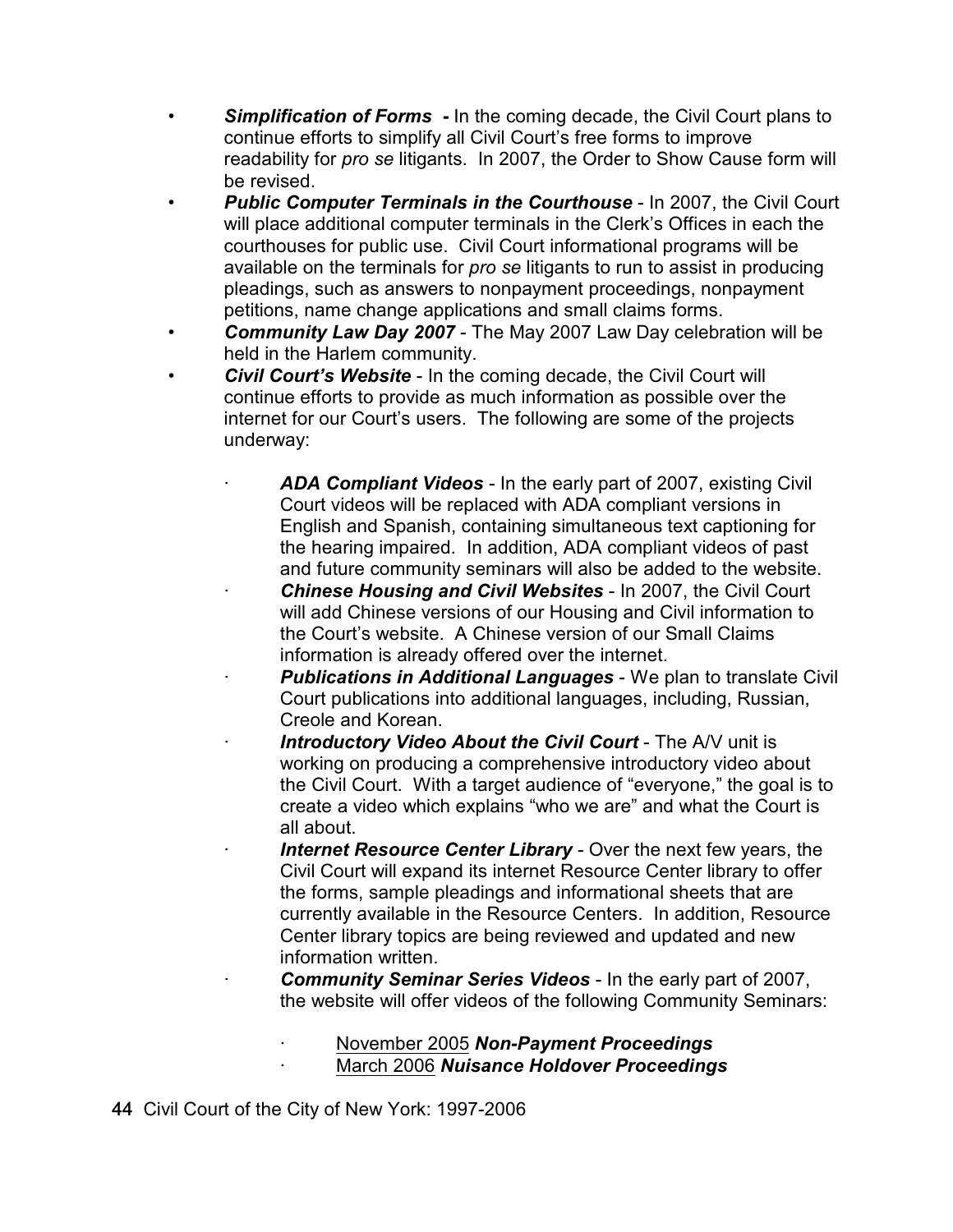- *Simplification of Forms* **-** In the coming decade, the Civil Court plans to continue efforts to simplify all Civil Court's free forms to improve readability for *pro se* litigants. In 2007, the Order to Show Cause form will be revised.
- **Public Computer Terminals in the Courthouse In 2007, the Civil Court** will place additional computer terminals in the Clerk's Offices in each the courthouses for public use. Civil Court informational programs will be available on the terminals for *pro se* litigants to run to assist in producing pleadings, such as answers to nonpayment proceedings, nonpayment petitions, name change applications and small claims forms.
- *Community Law Day 2007* The May 2007 Law Day celebration will be held in the Harlem community.
- *Civil Court's Website* In the coming decade, the Civil Court will continue efforts to provide as much information as possible over the internet for our Court's users. The following are some of the projects underway:
	- ADA Compliant Videos In the early part of 2007, existing Civil Court videos will be replaced with ADA compliant versions in English and Spanish, containing simultaneous text captioning for the hearing impaired. In addition, ADA compliant videos of past and future community seminars will also be added to the website.
	- · *Chinese Housing and Civil Websites*  In 2007, the Civil Court will add Chinese versions of our Housing and Civil information to the Court's website. A Chinese version of our Small Claims information is already offered over the internet.
	- **Publications in Additional Languages** We plan to translate Civil Court publications into additional languages, including, Russian, Creole and Korean.
	- **Introductory Video About the Civil Court** The A/V unit is working on producing a comprehensive introductory video about the Civil Court. With a target audience of "everyone," the goal is to create a video which explains "who we are" and what the Court is all about.
		- **Internet Resource Center Library** Over the next few years, the Civil Court will expand its internet Resource Center library to offer the forms, sample pleadings and informational sheets that are currently available in the Resource Centers. In addition, Resource Center library topics are being reviewed and updated and new information written.
			- · *Community Seminar Series Videos* In the early part of 2007, the website will offer videos of the following Community Seminars:
				- · November 2005 *Non-Payment Proceedings* · March 2006 *Nuisance Holdover Proceedings*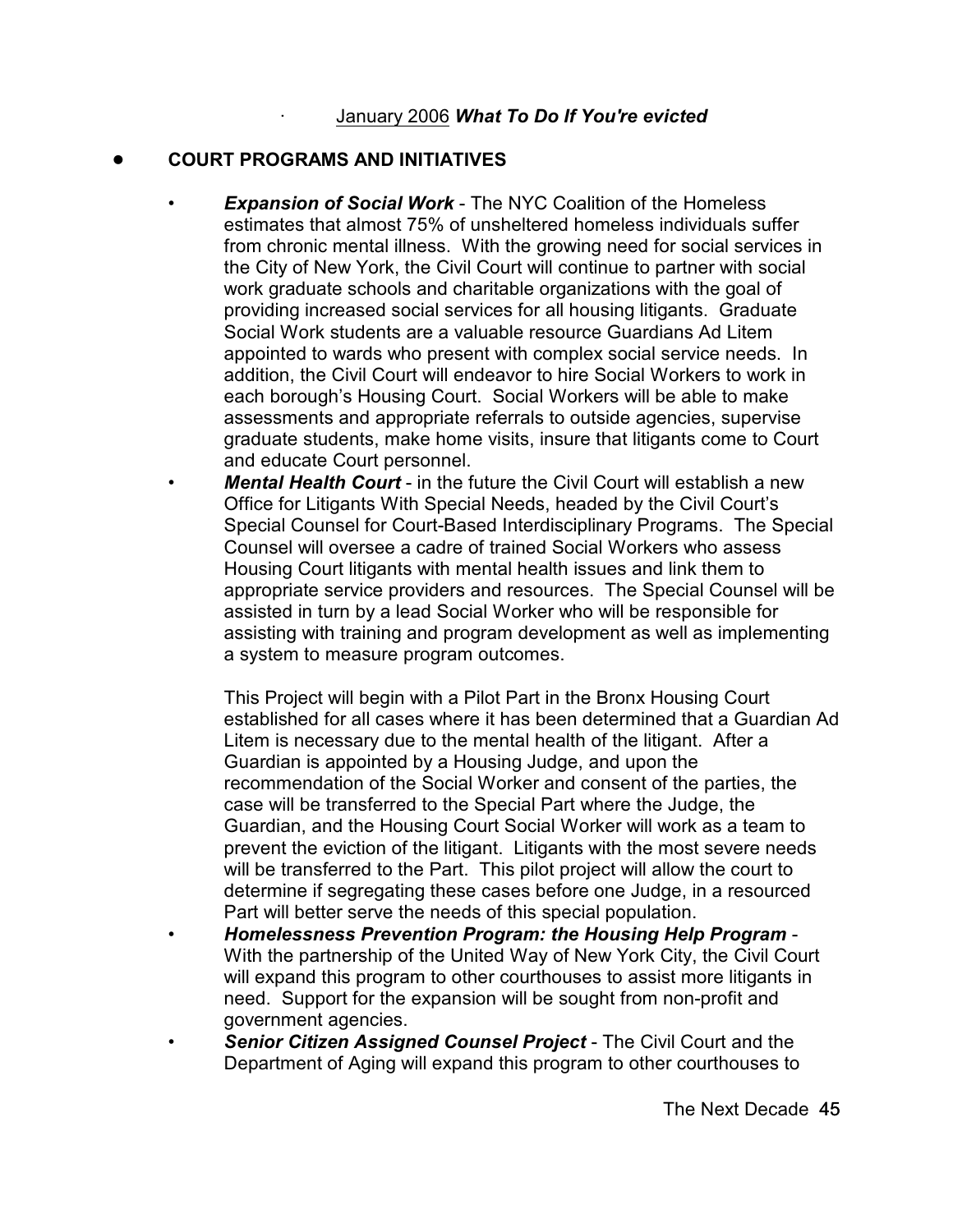## ! **COURT PROGRAMS AND INITIATIVES**

- *Expansion of Social Work* The NYC Coalition of the Homeless estimates that almost 75% of unsheltered homeless individuals suffer from chronic mental illness. With the growing need for social services in the City of New York, the Civil Court will continue to partner with social work graduate schools and charitable organizations with the goal of providing increased social services for all housing litigants. Graduate Social Work students are a valuable resource Guardians Ad Litem appointed to wards who present with complex social service needs. In addition, the Civil Court will endeavor to hire Social Workers to work in each borough's Housing Court. Social Workers will be able to make assessments and appropriate referrals to outside agencies, supervise graduate students, make home visits, insure that litigants come to Court and educate Court personnel.
- *Mental Health Court* in the future the Civil Court will establish a new Office for Litigants With Special Needs, headed by the Civil Court's Special Counsel for Court-Based Interdisciplinary Programs. The Special Counsel will oversee a cadre of trained Social Workers who assess Housing Court litigants with mental health issues and link them to appropriate service providers and resources. The Special Counsel will be assisted in turn by a lead Social Worker who will be responsible for assisting with training and program development as well as implementing a system to measure program outcomes.

This Project will begin with a Pilot Part in the Bronx Housing Court established for all cases where it has been determined that a Guardian Ad Litem is necessary due to the mental health of the litigant. After a Guardian is appointed by a Housing Judge, and upon the recommendation of the Social Worker and consent of the parties, the case will be transferred to the Special Part where the Judge, the Guardian, and the Housing Court Social Worker will work as a team to prevent the eviction of the litigant. Litigants with the most severe needs will be transferred to the Part. This pilot project will allow the court to determine if segregating these cases before one Judge, in a resourced Part will better serve the needs of this special population.

- *Homelessness Prevention Program: the Housing Help Program* With the partnership of the United Way of New York City, the Civil Court will expand this program to other courthouses to assist more litigants in need. Support for the expansion will be sought from non-profit and government agencies.
- *Senior Citizen Assigned Counsel Project* The Civil Court and the Department of Aging will expand this program to other courthouses to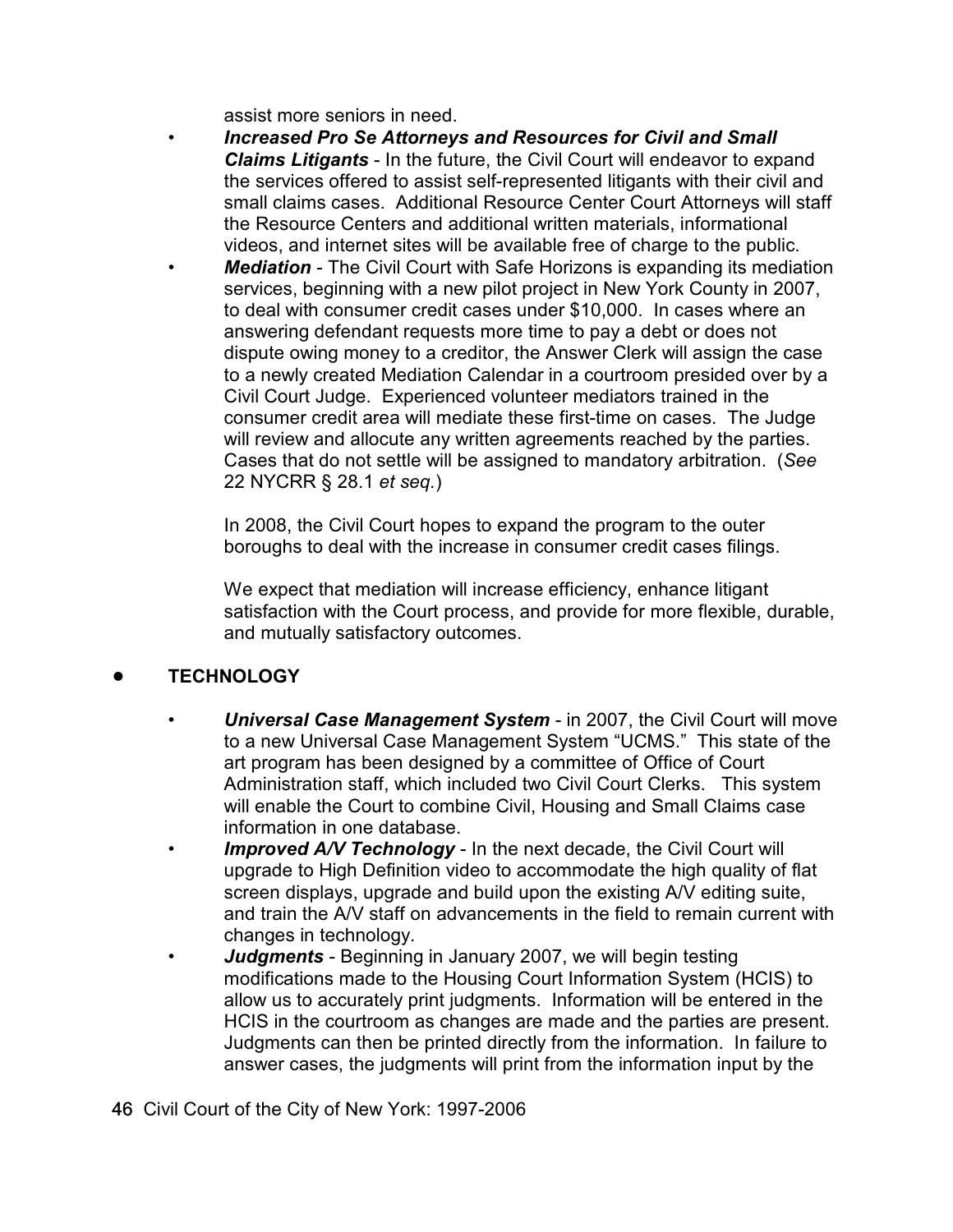assist more seniors in need.

- *Increased Pro Se Attorneys and Resources for Civil and Small Claims Litigants* - In the future, the Civil Court will endeavor to expand the services offered to assist self-represented litigants with their civil and small claims cases. Additional Resource Center Court Attorneys will staff the Resource Centers and additional written materials, informational videos, and internet sites will be available free of charge to the public.
- **Mediation** The Civil Court with Safe Horizons is expanding its mediation services, beginning with a new pilot project in New York County in 2007, to deal with consumer credit cases under \$10,000. In cases where an answering defendant requests more time to pay a debt or does not dispute owing money to a creditor, the Answer Clerk will assign the case to a newly created Mediation Calendar in a courtroom presided over by a Civil Court Judge. Experienced volunteer mediators trained in the consumer credit area will mediate these first-time on cases. The Judge will review and allocute any written agreements reached by the parties. Cases that do not settle will be assigned to mandatory arbitration. (*See* 22 NYCRR § 28.1 *et seq.*)

In 2008, the Civil Court hopes to expand the program to the outer boroughs to deal with the increase in consumer credit cases filings.

We expect that mediation will increase efficiency, enhance litigant satisfaction with the Court process, and provide for more flexible, durable, and mutually satisfactory outcomes.

## ! **TECHNOLOGY**

- *Universal Case Management System* in 2007, the Civil Court will move to a new Universal Case Management System "UCMS." This state of the art program has been designed by a committee of Office of Court Administration staff, which included two Civil Court Clerks. This system will enable the Court to combine Civil, Housing and Small Claims case information in one database.
- **Improved A/V Technology** In the next decade, the Civil Court will upgrade to High Definition video to accommodate the high quality of flat screen displays, upgrade and build upon the existing A/V editing suite, and train the A/V staff on advancements in the field to remain current with changes in technology.
- *Judgments* Beginning in January 2007, we will begin testing modifications made to the Housing Court Information System (HCIS) to allow us to accurately print judgments. Information will be entered in the HCIS in the courtroom as changes are made and the parties are present. Judgments can then be printed directly from the information. In failure to answer cases, the judgments will print from the information input by the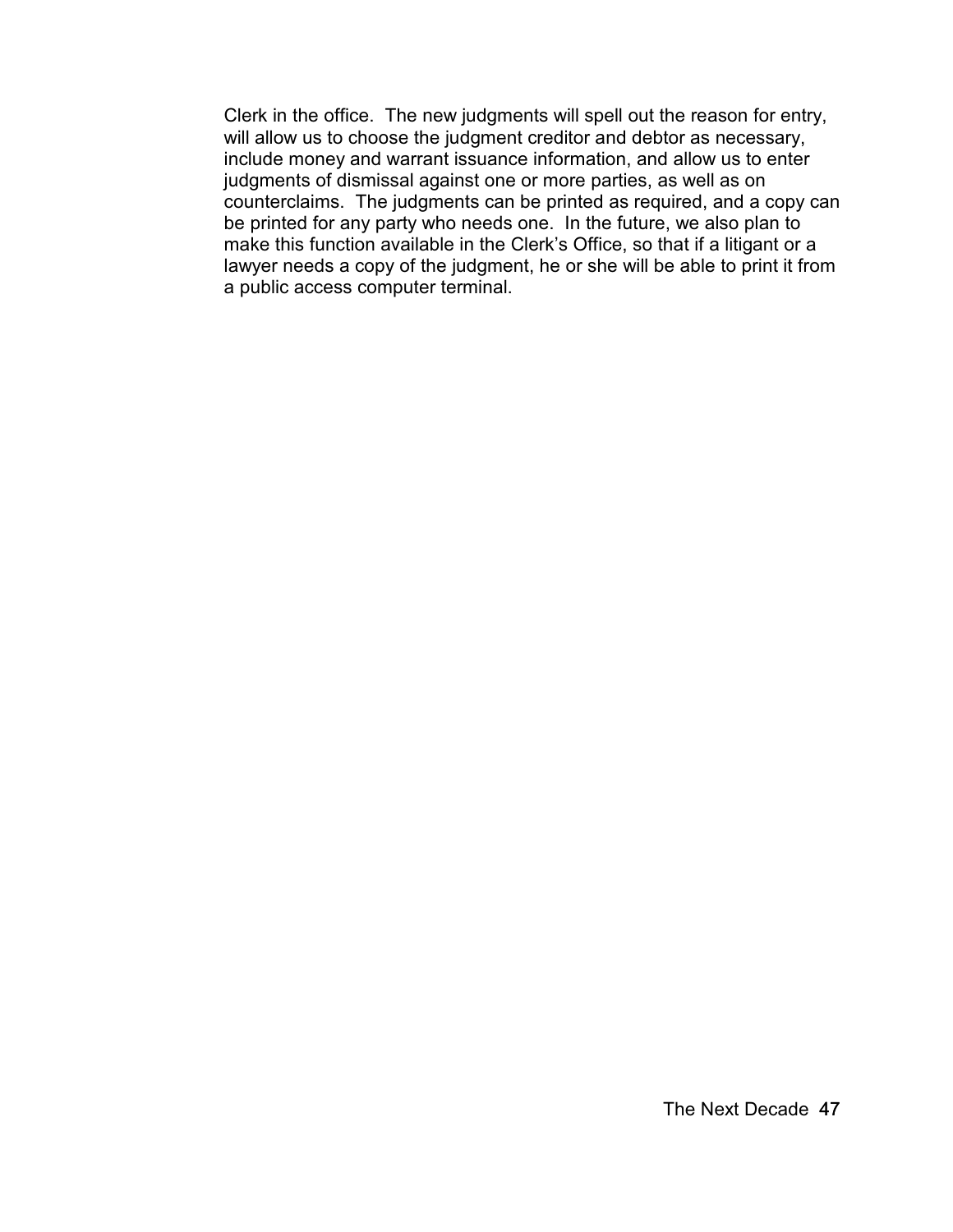Clerk in the office. The new judgments will spell out the reason for entry, will allow us to choose the judgment creditor and debtor as necessary, include money and warrant issuance information, and allow us to enter judgments of dismissal against one or more parties, as well as on counterclaims. The judgments can be printed as required, and a copy can be printed for any party who needs one. In the future, we also plan to make this function available in the Clerk's Office, so that if a litigant or a lawyer needs a copy of the judgment, he or she will be able to print it from a public access computer terminal.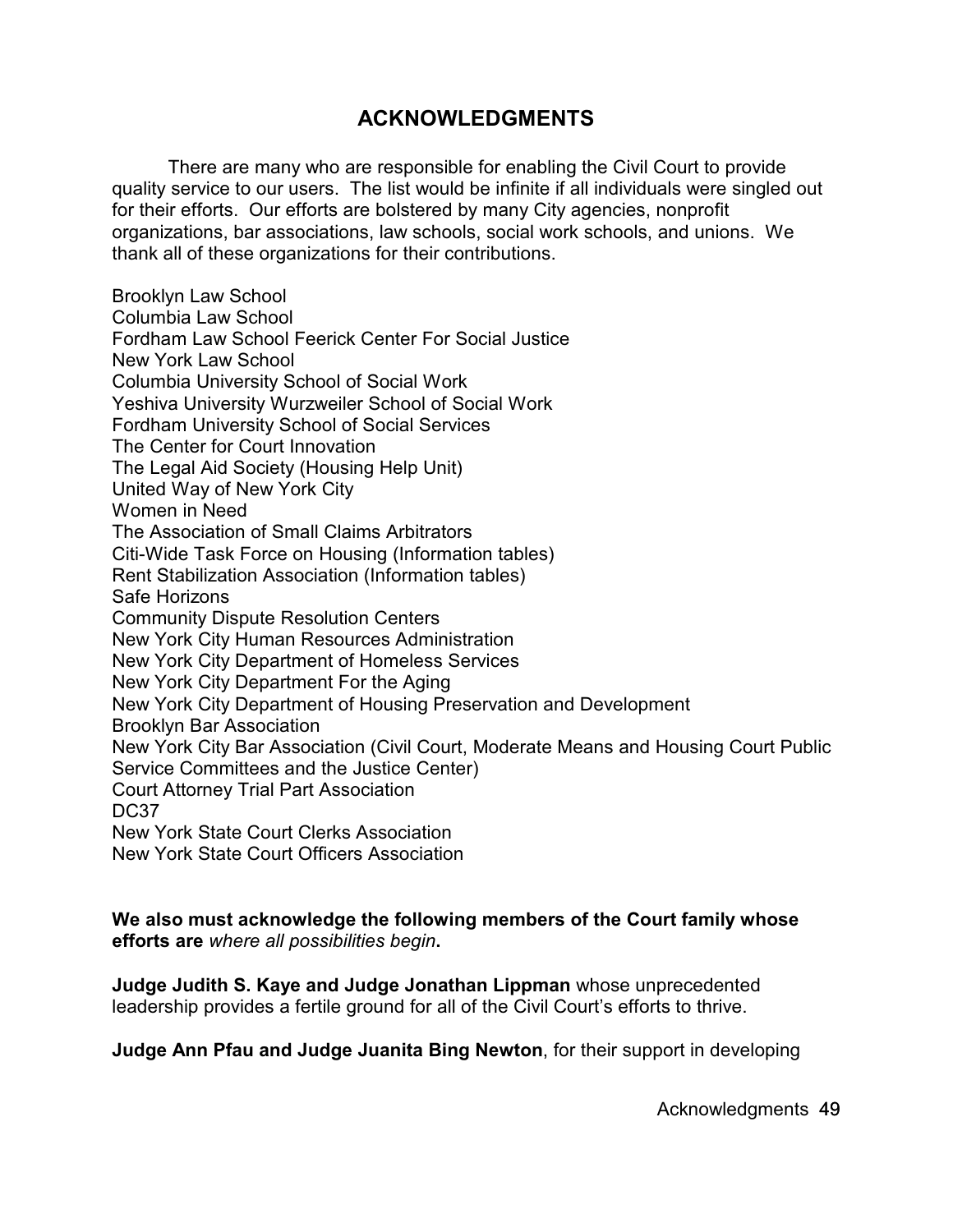# **ACKNOWLEDGMENTS**

There are many who are responsible for enabling the Civil Court to provide quality service to our users. The list would be infinite if all individuals were singled out for their efforts. Our efforts are bolstered by many City agencies, nonprofit organizations, bar associations, law schools, social work schools, and unions. We thank all of these organizations for their contributions.

Brooklyn Law School Columbia Law School Fordham Law School Feerick Center For Social Justice New York Law School Columbia University School of Social Work Yeshiva University Wurzweiler School of Social Work Fordham University School of Social Services The Center for Court Innovation The Legal Aid Society (Housing Help Unit) United Way of New York City Women in Need The Association of Small Claims Arbitrators Citi-Wide Task Force on Housing (Information tables) Rent Stabilization Association (Information tables) Safe Horizons Community Dispute Resolution Centers New York City Human Resources Administration New York City Department of Homeless Services New York City Department For the Aging New York City Department of Housing Preservation and Development Brooklyn Bar Association New York City Bar Association (Civil Court, Moderate Means and Housing Court Public Service Committees and the Justice Center) Court Attorney Trial Part Association DC<sub>37</sub> New York State Court Clerks Association New York State Court Officers Association

**We also must acknowledge the following members of the Court family whose efforts are** *where all possibilities begin***.**

**Judge Judith S. Kaye and Judge Jonathan Lippman** whose unprecedented leadership provides a fertile ground for all of the Civil Court's efforts to thrive.

**Judge Ann Pfau and Judge Juanita Bing Newton**, for their support in developing

Acknowledgments 49